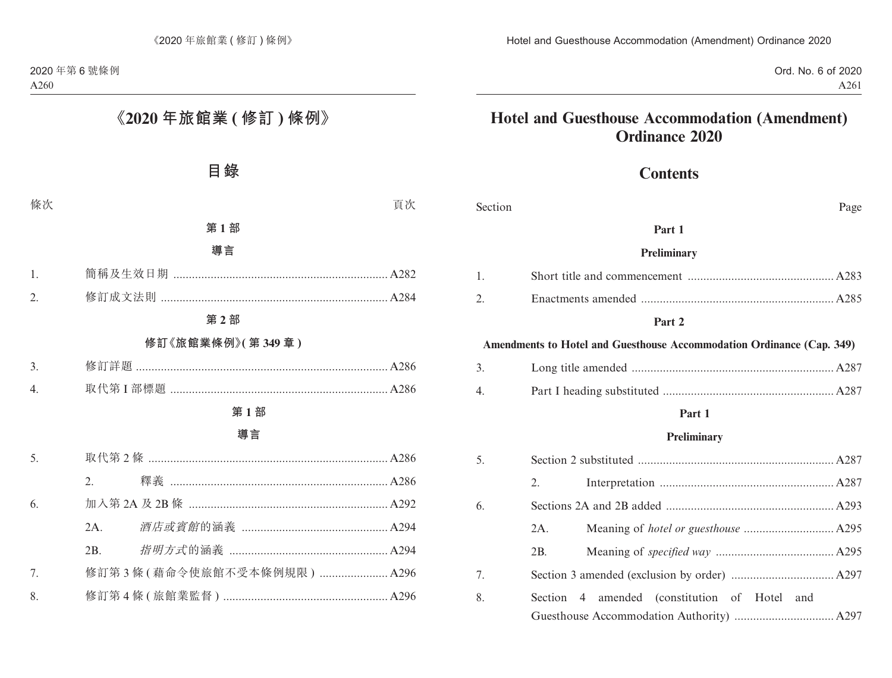Ord. No. 6 of 2020 A261

# **Hotel and Guesthouse Accommodation (Amendment) Ordinance 2020**

# **Contents**

| Section | Page                                                                  |
|---------|-----------------------------------------------------------------------|
|         | Part 1                                                                |
|         | Preliminary                                                           |
| 1.      |                                                                       |
| 2.      |                                                                       |
|         | Part 2                                                                |
|         | Amendments to Hotel and Guesthouse Accommodation Ordinance (Cap. 349) |
| 3.      |                                                                       |
| 4.      |                                                                       |
|         | Part 1                                                                |
|         | <b>Preliminary</b>                                                    |
| 5.      |                                                                       |
|         | 2.                                                                    |
| 6.      |                                                                       |
|         | 2A.                                                                   |
|         | 2B.                                                                   |
| 7.      |                                                                       |
| 8.      | Section 4 amended (constitution of Hotel and                          |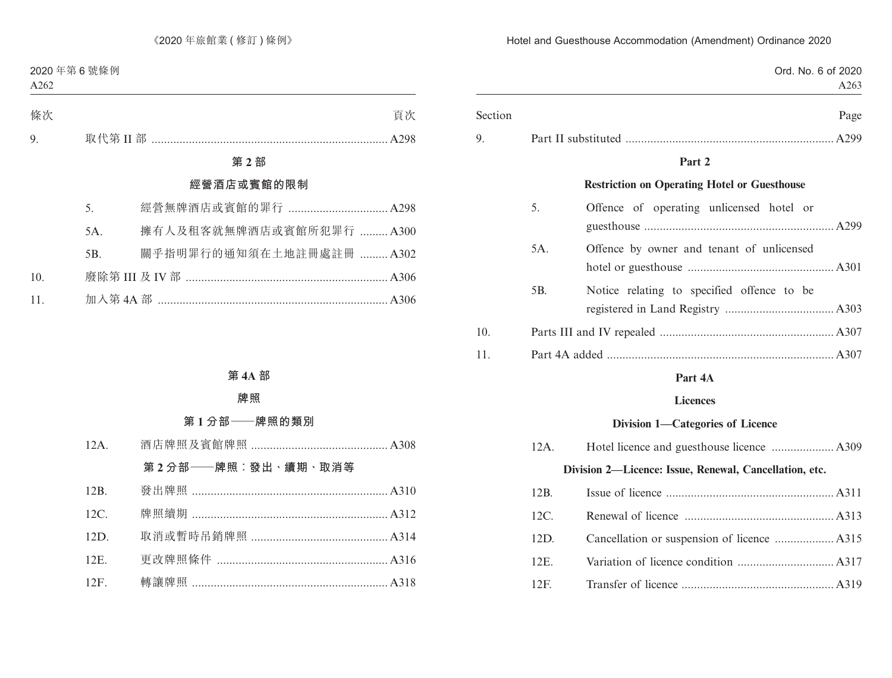| Ord. No. 6 of 2020<br>A263                          |     |         |
|-----------------------------------------------------|-----|---------|
| Page                                                |     | Section |
|                                                     |     | 9.      |
| Part 2                                              |     |         |
| <b>Restriction on Operating Hotel or Guesthouse</b> |     |         |
| Offence of operating unlicensed hotel or            | 5.  |         |
|                                                     |     |         |
| Offence by owner and tenant of unlicensed           | 5A. |         |
|                                                     |     |         |
| Notice relating to specified offence to be          | 5B. |         |
|                                                     |     |         |
|                                                     |     | 10.     |

11. Part 4A added ......................................................................... A307

## **Part 4A**

### **Licences**

### **Division 1—Categories of Licence**

| 12A. |                                                        |
|------|--------------------------------------------------------|
|      | Division 2-Licence: Issue, Renewal, Cancellation, etc. |
| 12B. |                                                        |
| 12C. |                                                        |
| 12D. |                                                        |
| 12E. |                                                        |
| 12F  |                                                        |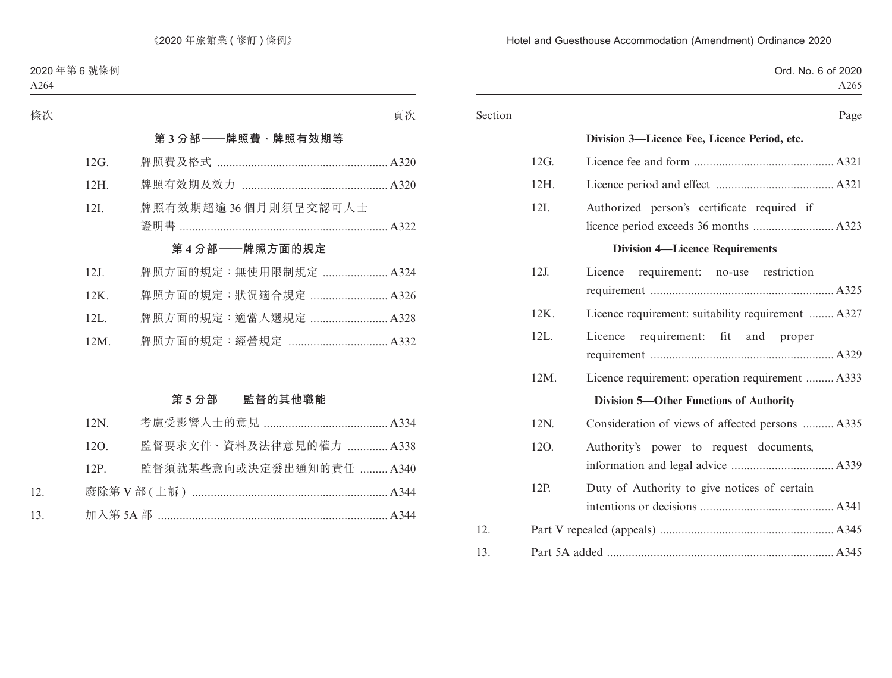| Ord. No. 6 of 2020<br>A265                         |         |         |
|----------------------------------------------------|---------|---------|
| Page                                               |         | Section |
| Division 3-Licence Fee, Licence Period, etc.       |         |         |
|                                                    | 12G.    |         |
|                                                    | 12H.    |         |
| Authorized person's certificate required if        | 12I.    |         |
| <b>Division 4-Licence Requirements</b>             |         |         |
| Licence requirement: no-use restriction            | $12J$ . |         |
| Licence requirement: suitability requirement  A327 | 12K.    |         |
| Licence requirement: fit and proper                | 12L.    |         |
| Licence requirement: operation requirement  A333   | 12M.    |         |
| <b>Division 5-Other Functions of Authority</b>     |         |         |
| Consideration of views of affected persons  A335   | 12N.    |         |
| Authority's power to request documents,            | 12O.    |         |
| Duty of Authority to give notices of certain       | 12P.    |         |
|                                                    |         | 12.     |
|                                                    |         | 13.     |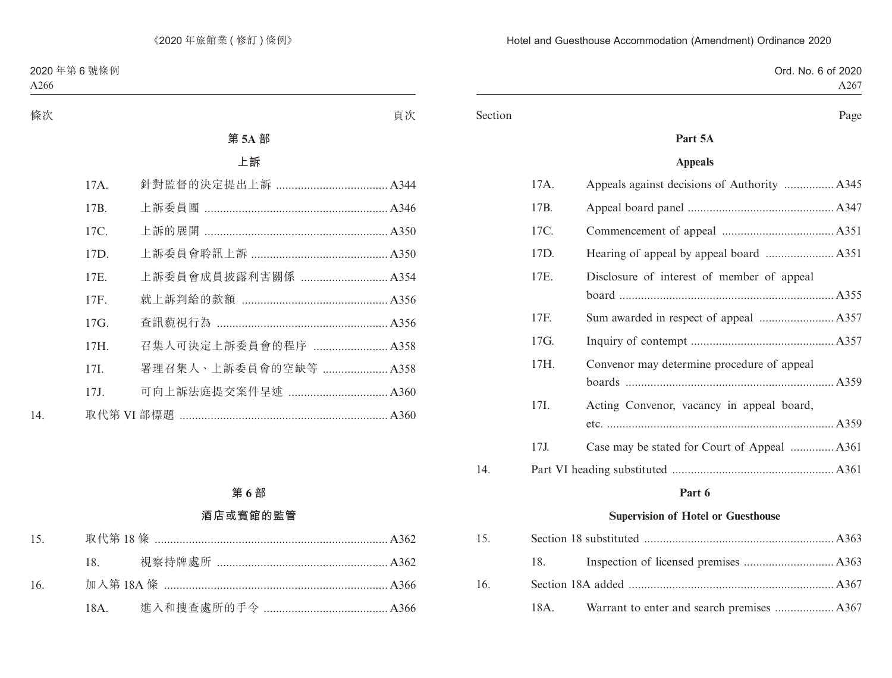|  | Ord. No. 6 of 2020 |
|--|--------------------|
|  | A267               |

#### Section Page

## **Part 5A**

### **Appeals**

| 17I.<br>17J. | Acting Convenor, vacancy in appeal board,  |
|--------------|--------------------------------------------|
|              |                                            |
|              |                                            |
|              |                                            |
|              |                                            |
|              |                                            |
| 17H.         | Convenor may determine procedure of appeal |
| 17G.         |                                            |
| 17F.         |                                            |
|              |                                            |
| 17E.         | Disclosure of interest of member of appeal |
| 17D.         |                                            |
| 17C.         |                                            |
| 17B.         |                                            |
| 17A.         |                                            |
|              |                                            |

#### **Part 6**

## **Supervision of Hotel or Guesthouse**

| 15 <sub>1</sub> |     |  |
|-----------------|-----|--|
|                 | 18. |  |
| 16.             |     |  |
|                 |     |  |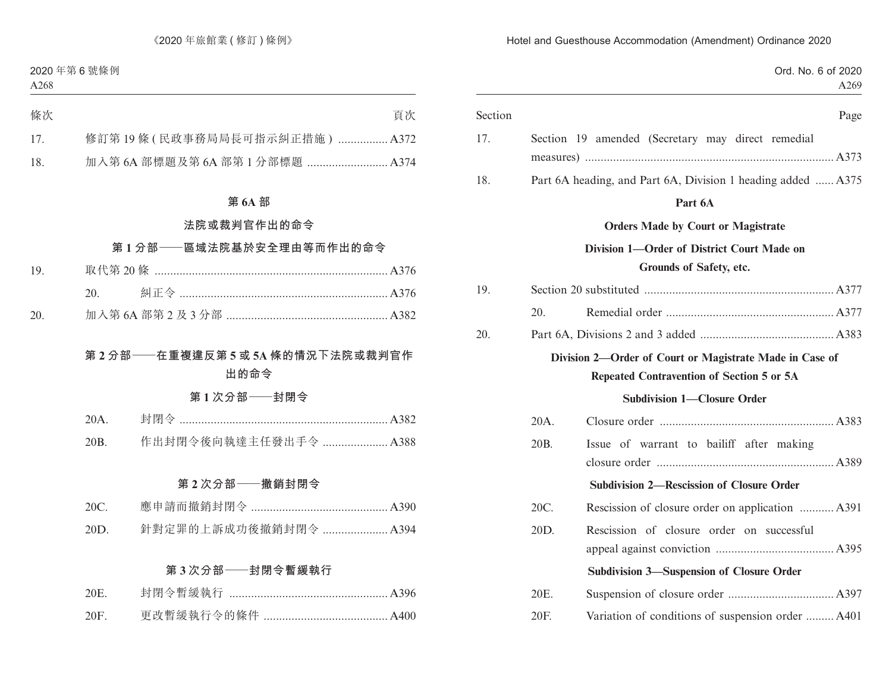|         |                                                                                                      | Ord. No. 6 of 2020<br>A269 |
|---------|------------------------------------------------------------------------------------------------------|----------------------------|
| Section |                                                                                                      | Page                       |
| 17.     | Section 19 amended (Secretary may direct remedial                                                    |                            |
| 18.     | Part 6A heading, and Part 6A, Division 1 heading added  A375                                         |                            |
|         | Part 6A                                                                                              |                            |
|         | <b>Orders Made by Court or Magistrate</b>                                                            |                            |
|         | Division 1-Order of District Court Made on<br>Grounds of Safety, etc.                                |                            |
| 19.     |                                                                                                      |                            |
| 20.     |                                                                                                      |                            |
| 20.     |                                                                                                      |                            |
|         | Division 2-Order of Court or Magistrate Made in Case of<br>Repeated Contravention of Section 5 or 5A |                            |
|         | <b>Subdivision 1-Closure Order</b>                                                                   |                            |
|         | 20A.                                                                                                 |                            |
|         | 20B.<br>Issue of warrant to bailiff after making                                                     |                            |
|         | <b>Subdivision 2-Rescission of Closure Order</b>                                                     |                            |
|         | Rescission of closure order on application  A391<br>20C.                                             |                            |
|         | 20D.<br>Rescission of closure order on successful                                                    |                            |
|         | <b>Subdivision 3-Suspension of Closure Order</b>                                                     |                            |
|         | 20E.                                                                                                 |                            |
|         | Variation of conditions of suspension order  A401<br>20F.                                            |                            |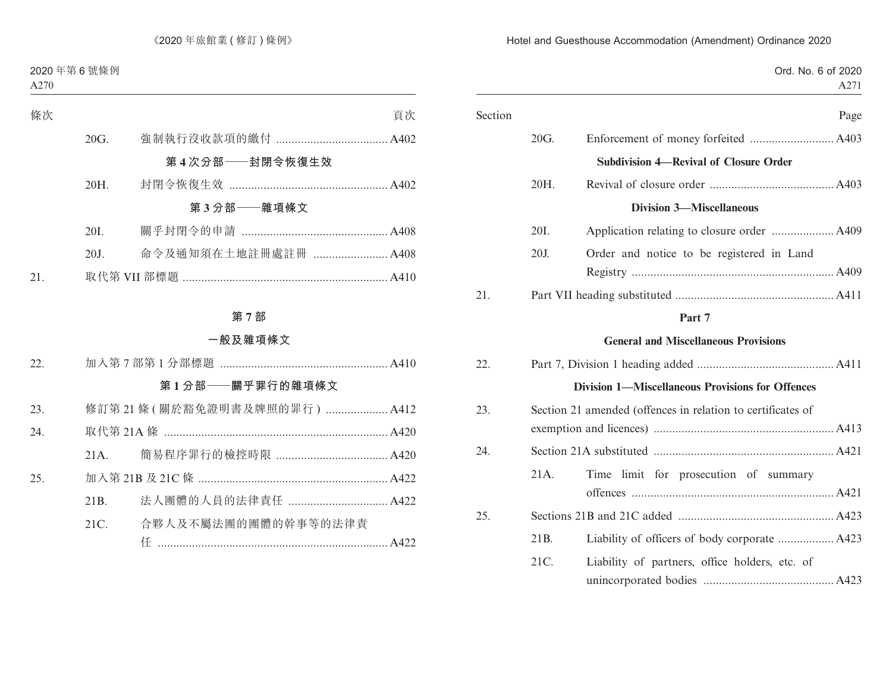|         | Ord. No. 6 of 2020<br>A271                                  |
|---------|-------------------------------------------------------------|
| Section | Page                                                        |
| 20G.    |                                                             |
|         | <b>Subdivision 4-Revival of Closure Order</b>               |
| 20H.    |                                                             |
|         | <b>Division 3-Miscellaneous</b>                             |
| 20I.    |                                                             |
| 20J.    | Order and notice to be registered in Land                   |
| 21.     |                                                             |
|         | Part 7                                                      |
|         | <b>General and Miscellaneous Provisions</b>                 |
| 22.     |                                                             |
|         | <b>Division 1-Miscellaneous Provisions for Offences</b>     |
| 23.     | Section 21 amended (offences in relation to certificates of |
| 24.     |                                                             |
| 21A.    | Time limit for prosecution of summary                       |
| 25.     |                                                             |
| 21B.    | Liability of officers of body corporate  A423               |
| 21C.    | Liability of partners, office holders, etc. of              |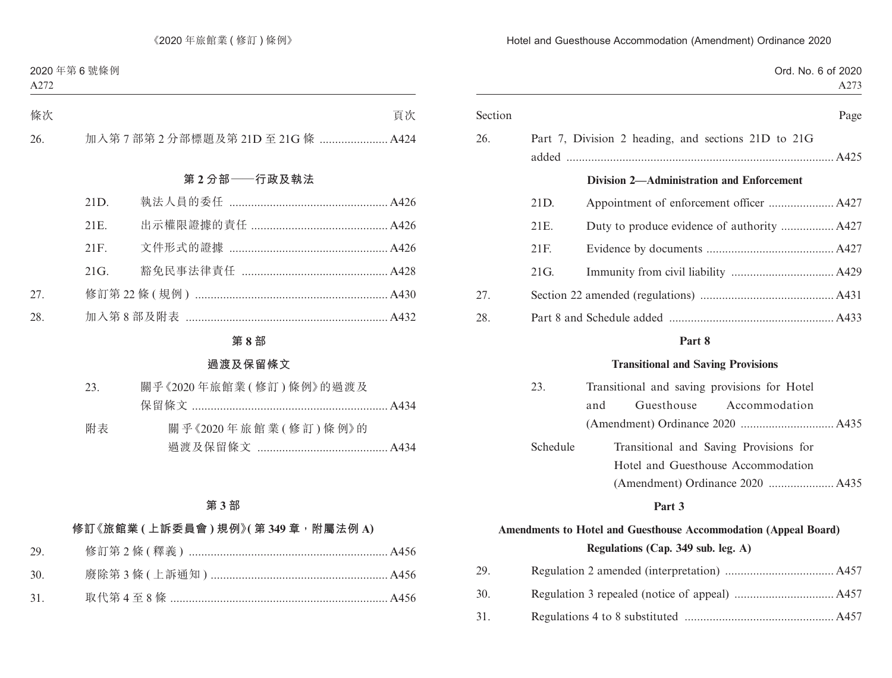|         |          | Ord. No. 6 of 2020<br>A273                          |
|---------|----------|-----------------------------------------------------|
| Section |          | Page                                                |
| 26.     |          | Part 7, Division 2 heading, and sections 21D to 21G |
|         |          |                                                     |
|         |          | <b>Division 2—Administration and Enforcement</b>    |
|         | 21D.     |                                                     |
|         | 21E.     | Duty to produce evidence of authority  A427         |
|         | 21F.     |                                                     |
|         | 21G.     |                                                     |
| 27.     |          |                                                     |
| 28.     |          |                                                     |
|         |          | Part 8                                              |
|         |          | <b>Transitional and Saving Provisions</b>           |
|         | 23.      | Transitional and saving provisions for Hotel        |
|         |          | Guesthouse<br>Accommodation<br>and                  |
|         |          |                                                     |
|         | Schedule | Transitional and Saving Provisions for              |
|         |          | Hotel and Guesthouse Accommodation                  |
|         |          |                                                     |
|         |          | Part 3                                              |

# **Amendments to Hotel and Guesthouse Accommodation (Appeal Board) Regulations (Cap. 349 sub. leg. A)**

| 29. |  |
|-----|--|
| 30. |  |
| 31. |  |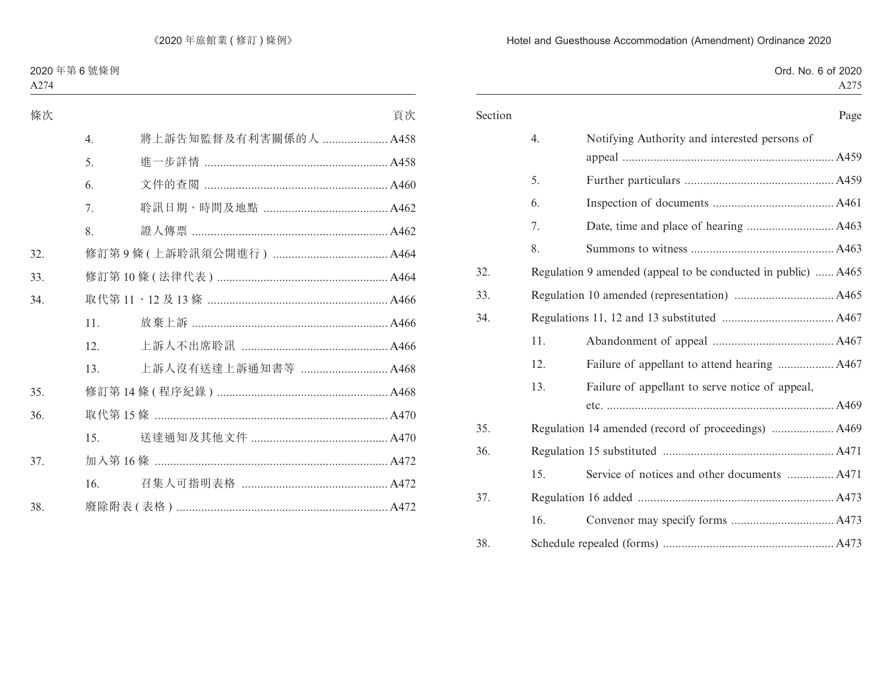|  |  | Ord. No. 6 of 2020 |
|--|--|--------------------|
|  |  | A275               |

| Section |     | Page                                                          |
|---------|-----|---------------------------------------------------------------|
|         | 4.  | Notifying Authority and interested persons of                 |
|         | 5.  |                                                               |
|         | 6.  |                                                               |
|         | 7.  |                                                               |
|         | 8.  |                                                               |
| 32.     |     | Regulation 9 amended (appeal to be conducted in public)  A465 |
| 33.     |     |                                                               |
| 34.     |     |                                                               |
|         | 11. |                                                               |
|         | 12. | Failure of appellant to attend hearing  A467                  |
|         | 13. | Failure of appellant to serve notice of appeal,               |
|         |     |                                                               |
| 35.     |     |                                                               |
| 36.     |     |                                                               |
|         | 15. | Service of notices and other documents  A471                  |
| 37.     |     |                                                               |
|         | 16. |                                                               |
| 38.     |     |                                                               |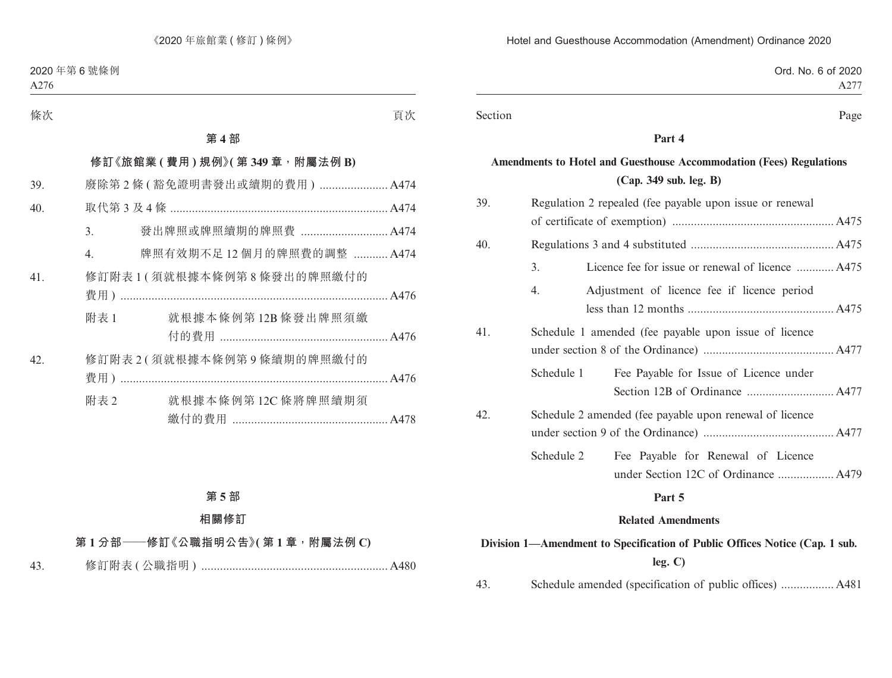| Ord. No. 6 of 2020 |
|--------------------|
| A277               |
|                    |

Section Page

#### **Part 4**

# **Amendments to Hotel and Guesthouse Accommodation (Fees) Regulations (Cap. 349 sub. leg. B)**

|     |                                                          | Part 5                                                  |  |
|-----|----------------------------------------------------------|---------------------------------------------------------|--|
|     |                                                          |                                                         |  |
|     | Schedule 2                                               | Fee Payable for Renewal of Licence                      |  |
|     |                                                          |                                                         |  |
| 42. |                                                          | Schedule 2 amended (fee payable upon renewal of licence |  |
|     |                                                          |                                                         |  |
|     | Schedule 1                                               | Fee Payable for Issue of Licence under                  |  |
|     |                                                          |                                                         |  |
| 41. |                                                          | Schedule 1 amended (fee payable upon issue of licence   |  |
|     |                                                          |                                                         |  |
|     | 4.                                                       | Adjustment of licence fee if licence period             |  |
|     | 3.                                                       | Licence fee for issue or renewal of licence  A475       |  |
| 40. |                                                          |                                                         |  |
|     |                                                          |                                                         |  |
| 39. | Regulation 2 repealed (fee payable upon issue or renewal |                                                         |  |

#### **Related Amendments**

# **Division 1—Amendment to Specification of Public Offices Notice (Cap. 1 sub. leg. C)**

43. Schedule amended (specification of public offices) ................. A481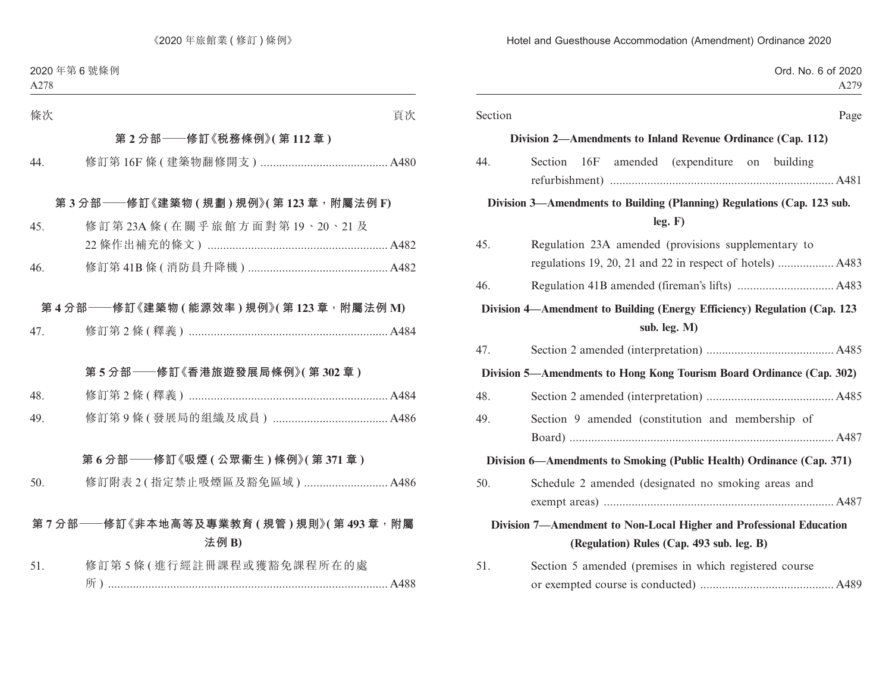| Ord. No. 6 of 2020<br>A279                                                                                       |         |
|------------------------------------------------------------------------------------------------------------------|---------|
| Page                                                                                                             | Section |
| Division 2—Amendments to Inland Revenue Ordinance (Cap. 112)                                                     |         |
| Section 16F amended (expenditure on building                                                                     | 44.     |
| Division 3—Amendments to Building (Planning) Regulations (Cap. 123 sub.<br>leg. F)                               |         |
| Regulation 23A amended (provisions supplementary to                                                              | 45.     |
|                                                                                                                  | 46.     |
| Division 4—Amendment to Building (Energy Efficiency) Regulation (Cap. 123<br>sub. leg. M)                        |         |
|                                                                                                                  | 47.     |
| Division 5—Amendments to Hong Kong Tourism Board Ordinance (Cap. 302)                                            |         |
|                                                                                                                  | 48.     |
| Section 9 amended (constitution and membership of                                                                | 49.     |
| Division 6—Amendments to Smoking (Public Health) Ordinance (Cap. 371)                                            |         |
| Schedule 2 amended (designated no smoking areas and                                                              | 50.     |
| Division 7—Amendment to Non-Local Higher and Professional Education<br>(Regulation) Rules (Cap. 493 sub. leg. B) |         |
| Section 5 amended (premises in which registered course                                                           | 51.     |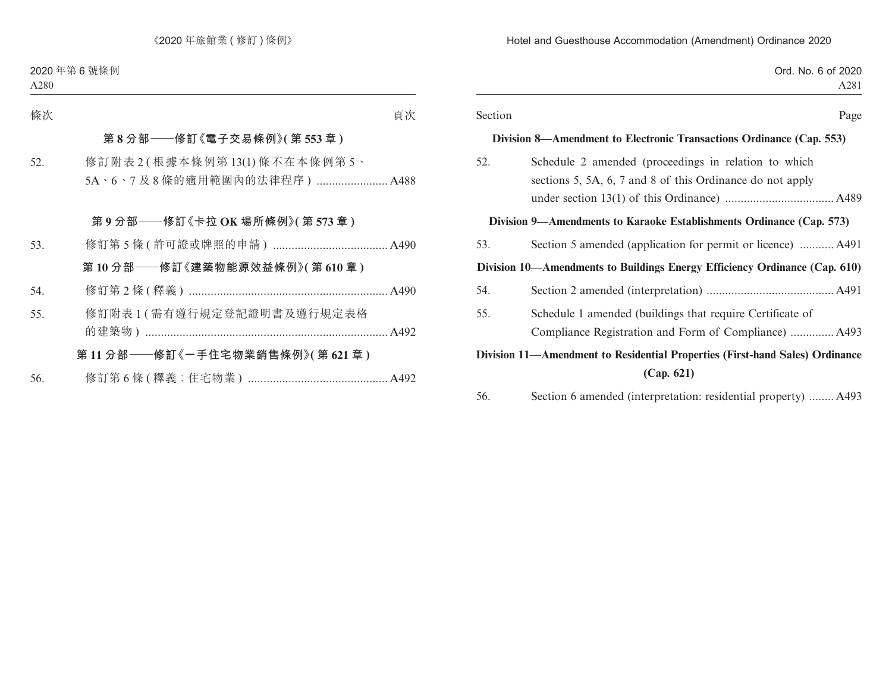|         | Ord. No. 6 of 2020<br>A281                                                                                         |
|---------|--------------------------------------------------------------------------------------------------------------------|
| Section | Page                                                                                                               |
|         | Division 8—Amendment to Electronic Transactions Ordinance (Cap. 553)                                               |
| 52.     | Schedule 2 amended (proceedings in relation to which<br>sections 5, 5A, 6, 7 and 8 of this Ordinance do not apply  |
|         | Division 9—Amendments to Karaoke Establishments Ordinance (Cap. 573)                                               |
| 53.     | Section 5 amended (application for permit or licence)  A491                                                        |
|         | Division 10—Amendments to Buildings Energy Efficiency Ordinance (Cap. 610)                                         |
| 54.     |                                                                                                                    |
| 55.     | Schedule 1 amended (buildings that require Certificate of<br>Compliance Registration and Form of Compliance)  A493 |
|         | Division 11—Amendment to Residential Properties (First-hand Sales) Ordinance<br>(Cap. 621)                         |

56. Section 6 amended (interpretation: residential property) ........ A493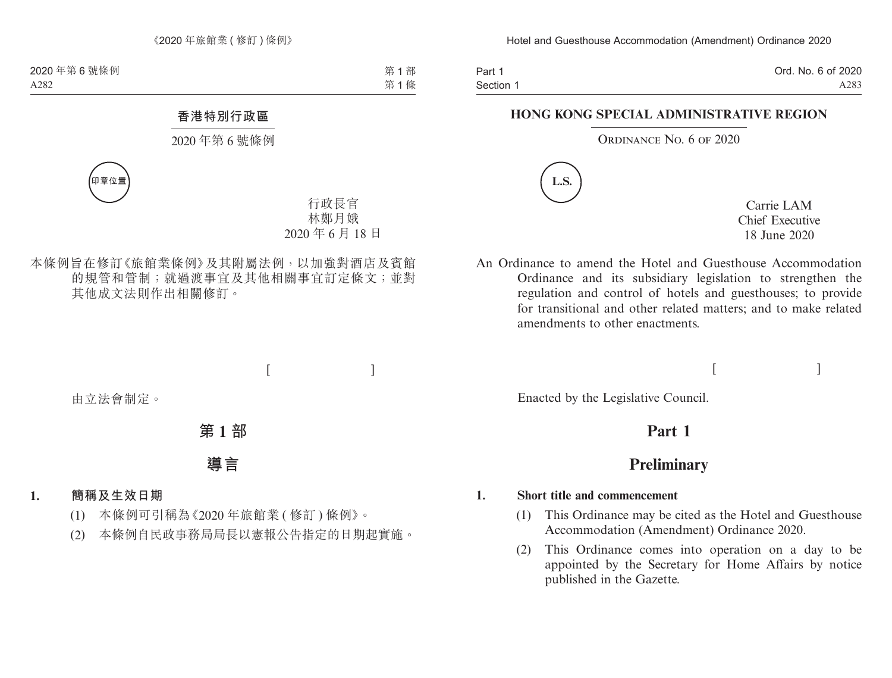Part 1 Section 1 Ord. No. 6 of 2020 A283

### **HONG KONG SPECIAL ADMINISTRATIVE REGION**

ORDINANCE NO. 6 OF 2020



Carrie LAM Chief Executive 18 June 2020

An Ordinance to amend the Hotel and Guesthouse Accommodation Ordinance and its subsidiary legislation to strengthen the regulation and control of hotels and guesthouses; to provide for transitional and other related matters; and to make related amendments to other enactments.

 $[$   $]$ 

Enacted by the Legislative Council.

# **Part 1**

# **Preliminary**

#### **1. Short title and commencement**

- (1) This Ordinance may be cited as the Hotel and Guesthouse Accommodation (Amendment) Ordinance 2020.
- (2) This Ordinance comes into operation on a day to be appointed by the Secretary for Home Affairs by notice published in the Gazette.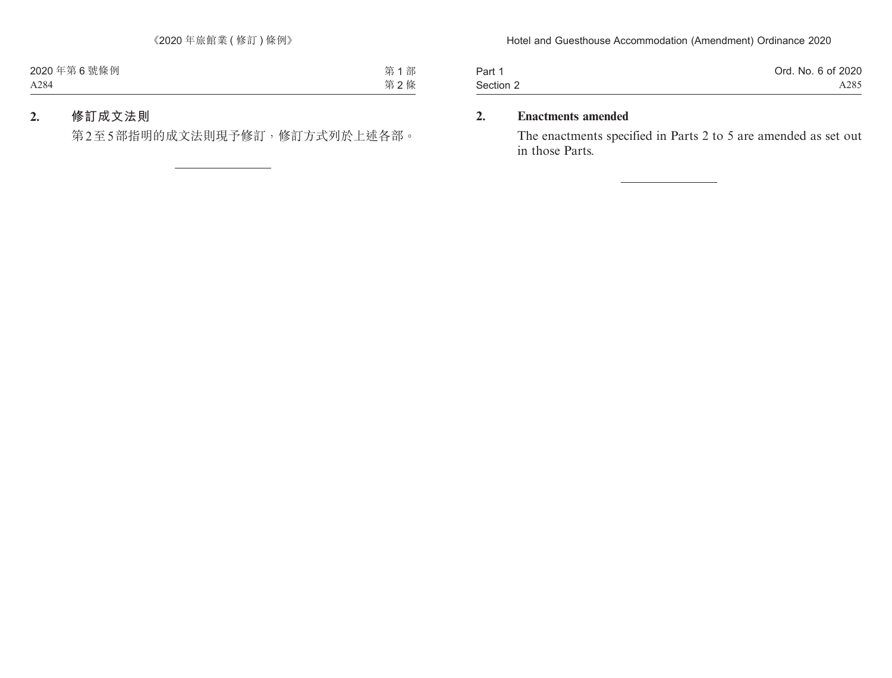| Part 1    | Ord. No. 6 of 2020 |
|-----------|--------------------|
| Section 2 | A285               |

## **2. Enactments amended**

The enactments specified in Parts 2 to 5 are amended as set out in those Parts.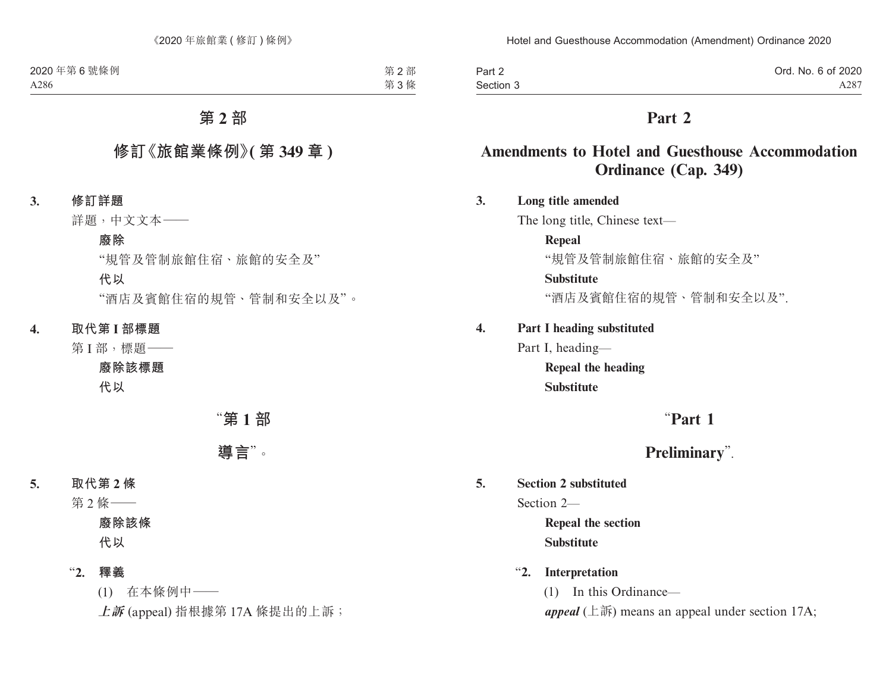| Part 2    | Ord. No. 6 of 2020 |
|-----------|--------------------|
| Section 3 | A287               |

# **Part 2**

# **Amendments to Hotel and Guesthouse Accommodation Ordinance (Cap. 349)**

### **3. Long title amended**

The long title, Chinese text—

### **Repeal**

"規管及管制旅館住宿、旅館的安全及"

### **Substitute**

"酒店及賓館住宿的規管、管制和安全以及".

## **4. Part I heading substituted**

Part I, heading—

**Repeal the heading Substitute**

# "**Part 1**

# **Preliminary**".

## **5. Section 2 substituted**

Section 2—

**Repeal the section Substitute**

## "**2. Interpretation**

(1) In this Ordinance—

*appeal* (上訴) means an appeal under section 17A;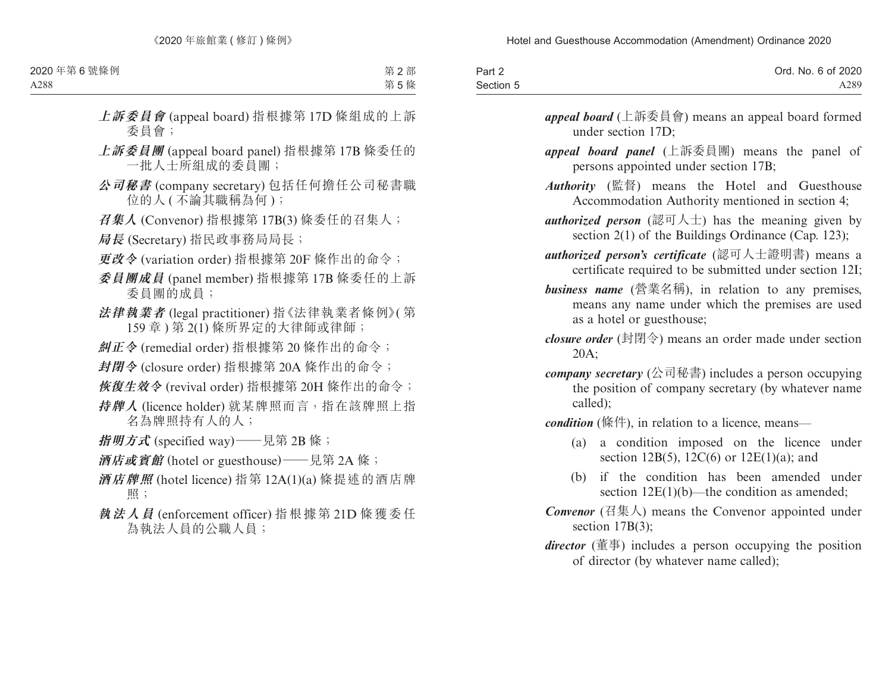| Part 2    | Ord. No. 6 of 2020 |
|-----------|--------------------|
| Section 5 | A289               |

- *appeal board* (上訴委員會) means an appeal board formed under section 17D;
- *appeal board panel* (上訴委員團) means the panel of persons appointed under section 17B;
- *Authority* (監督) means the Hotel and Guesthouse Accommodation Authority mentioned in section 4;
- *authorized person* (認可人士) has the meaning given by section 2(1) of the Buildings Ordinance (Cap. 123);
- *authorized person's certificate* (認可人士證明書) means a certificate required to be submitted under section 12I;
- *business name* (營業名稱), in relation to any premises, means any name under which the premises are used as a hotel or guesthouse;
- *closure order* (封閉令) means an order made under section 20A;
- *company secretary* (公司秘書) includes a person occupying the position of company secretary (by whatever name called);

*condition* (條件), in relation to a licence, means—

- (a) a condition imposed on the licence under section 12B(5), 12C(6) or  $12E(1)(a)$ ; and
- (b) if the condition has been amended under section  $12E(1)(b)$ —the condition as amended;
- *Convenor* (召集人) means the Convenor appointed under section 17B(3);
- *director* (董事) includes a person occupying the position of director (by whatever name called);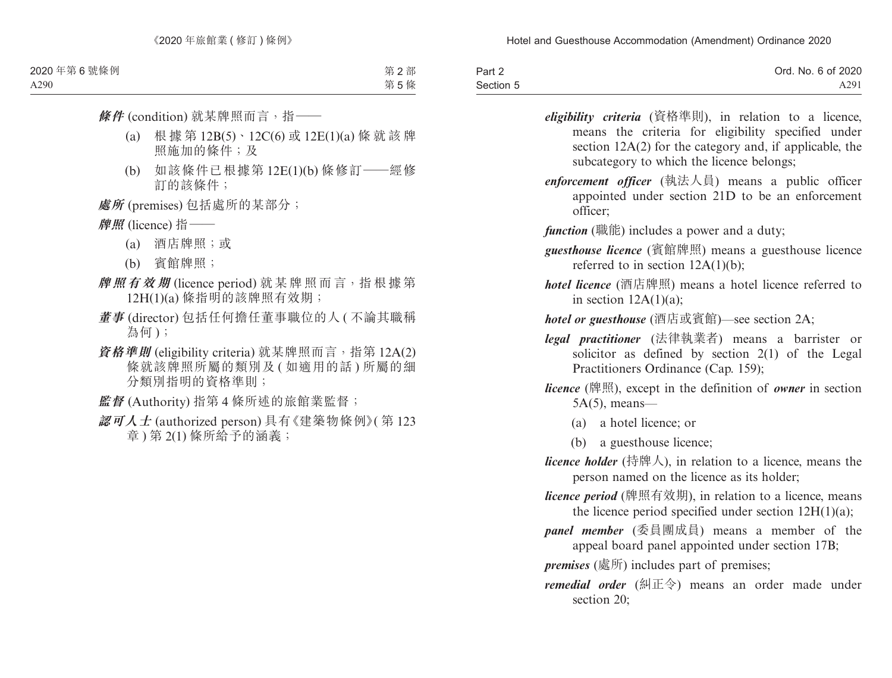| Part 2    | Ord. No. 6 of 2020 |
|-----------|--------------------|
| Section 5 | A291               |

- *eligibility criteria* (資格準則), in relation to a licence, means the criteria for eligibility specified under section 12A(2) for the category and, if applicable, the subcategory to which the licence belongs;
- *enforcement officer* (執法人員) means a public officer appointed under section 21D to be an enforcement officer;
- *function* (職能) includes a power and a duty;
- *guesthouse licence* (賓館牌照) means a guesthouse licence referred to in section 12A(1)(b);
- *hotel licence* (酒店牌照) means a hotel licence referred to in section  $12A(1)(a)$ ;
- *hotel or guesthouse* (酒店或賓館)—see section 2A;
- *legal practitioner* (法律執業者) means a barrister or solicitor as defined by section 2(1) of the Legal Practitioners Ordinance (Cap. 159);
- *licence* (牌照), except in the definition of *owner* in section 5A(5), means—
	- (a) a hotel licence; or
	- (b) a guesthouse licence;
- *licence holder* (持牌人), in relation to a licence, means the person named on the licence as its holder;
- *licence period* (牌照有效期), in relation to a licence, means the licence period specified under section  $12H(1)(a)$ ;
- *panel member* (委員團成員) means a member of the appeal board panel appointed under section 17B;
- *premises* (處所) includes part of premises;
- *remedial order* (糾正令) means an order made under section 20: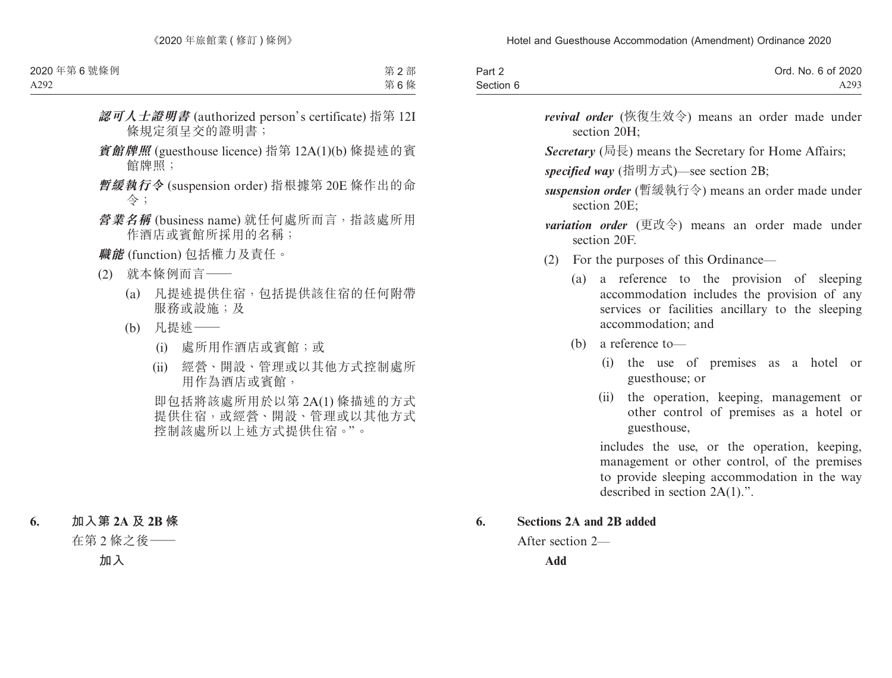| Part 2    | Ord. No. 6 of 2020 |
|-----------|--------------------|
| Section 6 | A293               |

- *revival order* (恢復生效令) means an order made under section 20H;
- *Secretary* (局長) means the Secretary for Home Affairs;

*specified way* (指明方式)—see section 2B;

- *suspension order* (暫緩執行令) means an order made under section 20E;
- *variation order* (更改令) means an order made under section 20F.
- (2) For the purposes of this Ordinance—
	- (a) a reference to the provision of sleeping accommodation includes the provision of any services or facilities ancillary to the sleeping accommodation; and
	- (b) a reference to—
		- (i) the use of premises as a hotel or guesthouse; or
		- (ii) the operation, keeping, management or other control of premises as a hotel or guesthouse,

includes the use, or the operation, keeping, management or other control, of the premises to provide sleeping accommodation in the way described in section 2A(1).".

#### **6. Sections 2A and 2B added**

After section 2—

**Add**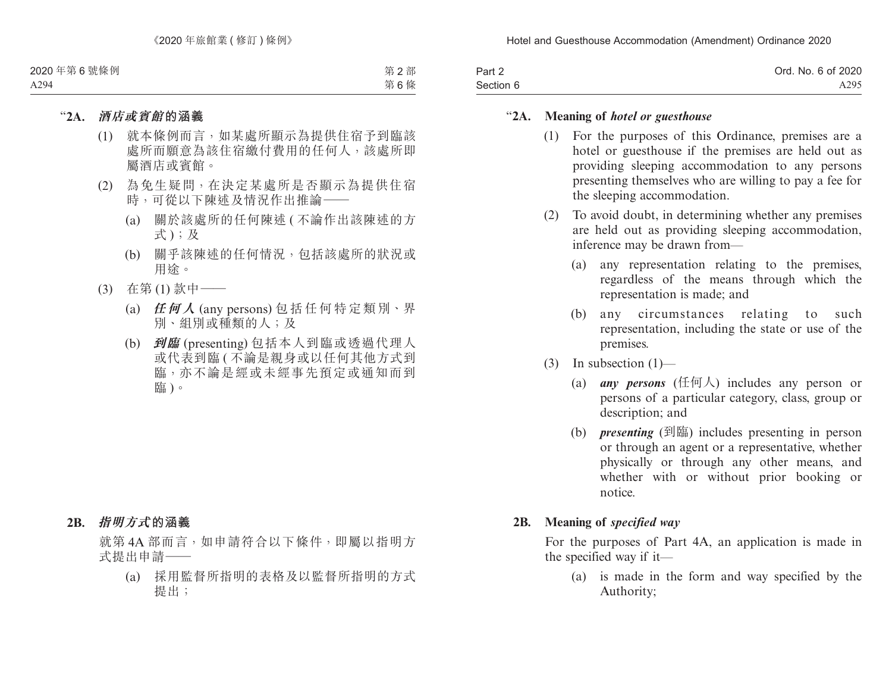| Part 2    | Ord. No. 6 of 2020 |
|-----------|--------------------|
| Section 6 | A295               |

## "**2A. Meaning of** *hotel or guesthouse*

- (1) For the purposes of this Ordinance, premises are a hotel or guesthouse if the premises are held out as providing sleeping accommodation to any persons presenting themselves who are willing to pay a fee for the sleeping accommodation.
- (2) To avoid doubt, in determining whether any premises are held out as providing sleeping accommodation, inference may be drawn from—
	- (a) any representation relating to the premises, regardless of the means through which the representation is made; and
	- (b) any circumstances relating to such representation, including the state or use of the premises.
- (3) In subsection (1)—
	- (a) *any persons* (任何人) includes any person or persons of a particular category, class, group or description; and
	- (b) *presenting* (到臨) includes presenting in person or through an agent or a representative, whether physically or through any other means, and whether with or without prior booking or notice.

### **2B. Meaning of** *specified way*

For the purposes of Part 4A, an application is made in the specified way if it—

(a) is made in the form and way specified by the Authority;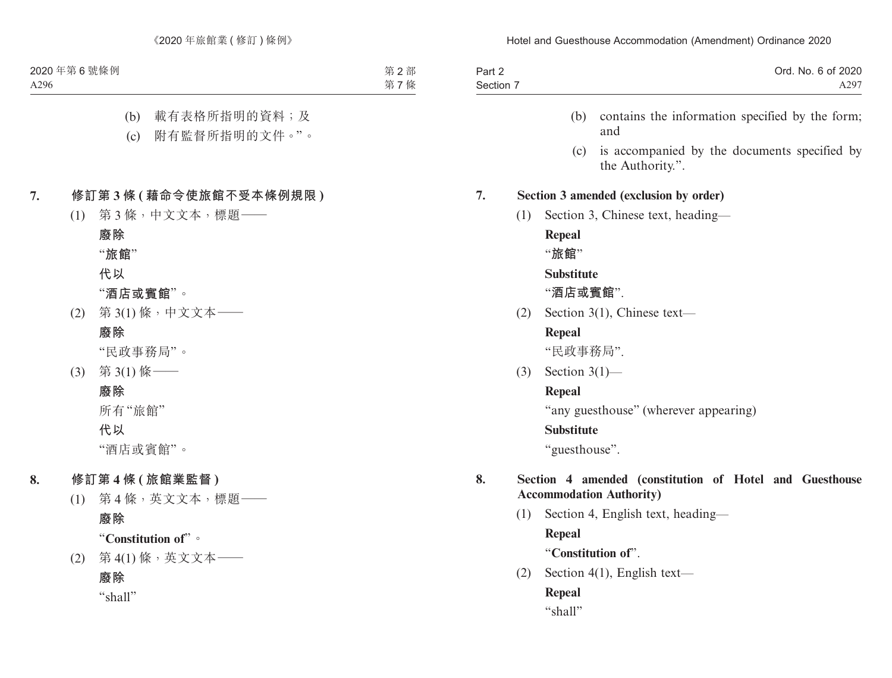| Part 2<br>Section 7 |     |                   | Ord. No. 6 of 2020<br>A297                                                                 |
|---------------------|-----|-------------------|--------------------------------------------------------------------------------------------|
|                     |     | (b)               | contains the information specified by the form;<br>and                                     |
|                     |     | (c)               | is accompanied by the documents specified by<br>the Authority.".                           |
| 7.                  |     |                   | Section 3 amended (exclusion by order)                                                     |
|                     | (1) |                   | Section 3, Chinese text, heading—                                                          |
|                     |     | Repeal<br>"旅館"    |                                                                                            |
|                     |     | <b>Substitute</b> |                                                                                            |
|                     |     | "酒店或賓館".          |                                                                                            |
|                     | (2) |                   | Section $3(1)$ , Chinese text—                                                             |
|                     |     | Repeal            |                                                                                            |
|                     |     | "民政事務局".          |                                                                                            |
|                     | (3) | Section $3(1)$ —  |                                                                                            |
|                     |     | Repeal            |                                                                                            |
|                     |     |                   | "any guesthouse" (wherever appearing)                                                      |
|                     |     | <b>Substitute</b> |                                                                                            |
|                     |     | "guesthouse".     |                                                                                            |
| 8.                  |     |                   | Section 4 amended (constitution of Hotel and Guesthouse<br><b>Accommodation Authority)</b> |
|                     | (1) |                   | Section 4, English text, heading—                                                          |
|                     |     |                   |                                                                                            |

**Repeal**

"**Constitution of**".

(2) Section 4(1), English text—

**Repeal** "shall"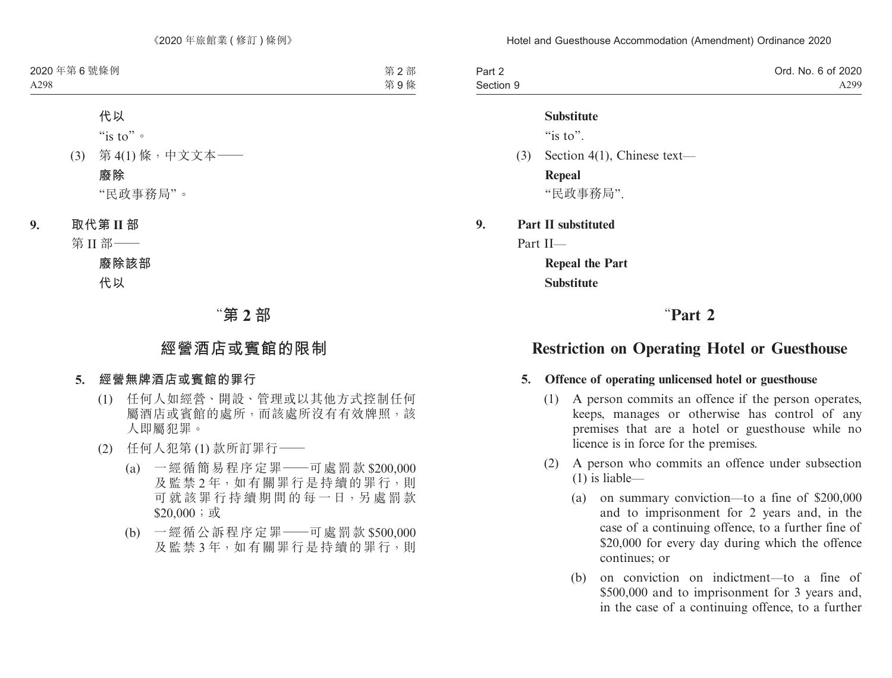| Part 2    | Ord. No. 6 of 2020 |
|-----------|--------------------|
| Section 9 | A299               |

#### **Substitute**

" $is to$ "

(3) Section 4(1), Chinese text— **Repeal**

"民政事務局".

**9. Part II substituted**

Part II—

**Repeal the Part Substitute**

# "**Part 2**

# **Restriction on Operating Hotel or Guesthouse**

### **5. Offence of operating unlicensed hotel or guesthouse**

- (1) A person commits an offence if the person operates, keeps, manages or otherwise has control of any premises that are a hotel or guesthouse while no licence is in force for the premises.
- (2) A person who commits an offence under subsection (1) is liable—
	- (a) on summary conviction—to a fine of \$200,000 and to imprisonment for 2 years and, in the case of a continuing offence, to a further fine of \$20,000 for every day during which the offence continues; or
	- (b) on conviction on indictment—to a fine of \$500,000 and to imprisonment for 3 years and, in the case of a continuing offence, to a further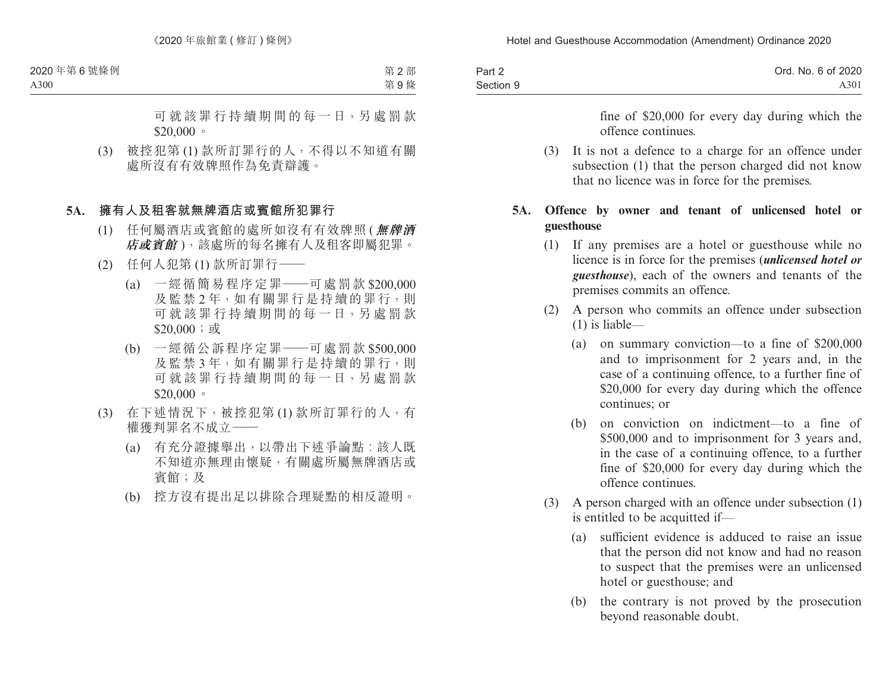| Part 2    | Ord. No. 6 of 2020 |
|-----------|--------------------|
| Section 9 | A301               |

fine of \$20,000 for every day during which the offence continues.

(3) It is not a defence to a charge for an offence under subsection (1) that the person charged did not know that no licence was in force for the premises.

## **5A. Offence by owner and tenant of unlicensed hotel or guesthouse**

- (1) If any premises are a hotel or guesthouse while no licence is in force for the premises (*unlicensed hotel or guesthouse*), each of the owners and tenants of the premises commits an offence.
- (2) A person who commits an offence under subsection (1) is liable—
	- (a) on summary conviction—to a fine of \$200,000 and to imprisonment for 2 years and, in the case of a continuing offence, to a further fine of \$20,000 for every day during which the offence continues; or
	- (b) on conviction on indictment—to a fine of \$500,000 and to imprisonment for 3 years and, in the case of a continuing offence, to a further fine of \$20,000 for every day during which the offence continues.
- (3) A person charged with an offence under subsection (1) is entitled to be acquitted if—
	- (a) sufficient evidence is adduced to raise an issue that the person did not know and had no reason to suspect that the premises were an unlicensed hotel or guesthouse; and
	- (b) the contrary is not proved by the prosecution beyond reasonable doubt.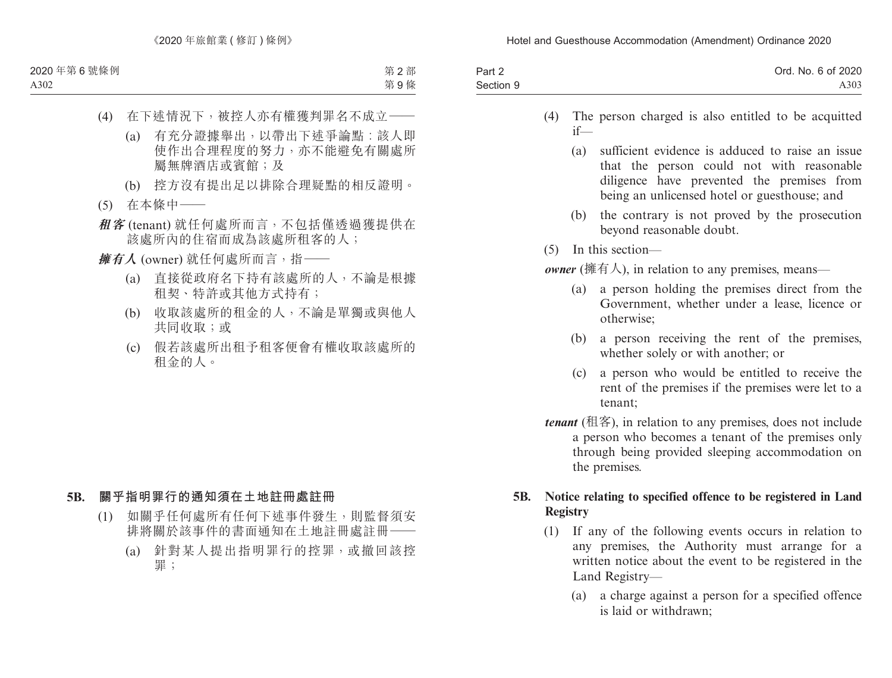| Part 2    | Ord. No. 6 of 2020 |
|-----------|--------------------|
| Section 9 | A303               |

- (4) The person charged is also entitled to be acquitted if—
	- (a) sufficient evidence is adduced to raise an issue that the person could not with reasonable diligence have prevented the premises from being an unlicensed hotel or guesthouse; and
	- (b) the contrary is not proved by the prosecution beyond reasonable doubt.
- (5) In this section—

*owner* (擁有人), in relation to any premises, means—

- (a) a person holding the premises direct from the Government, whether under a lease, licence or otherwise;
- (b) a person receiving the rent of the premises, whether solely or with another; or
- (c) a person who would be entitled to receive the rent of the premises if the premises were let to a tenant;
- *tenant* (租客), in relation to any premises, does not include a person who becomes a tenant of the premises only through being provided sleeping accommodation on the premises.

## **5B. Notice relating to specified offence to be registered in Land Registry**

- (1) If any of the following events occurs in relation to any premises, the Authority must arrange for a written notice about the event to be registered in the Land Registry—
	- (a) a charge against a person for a specified offence is laid or withdrawn;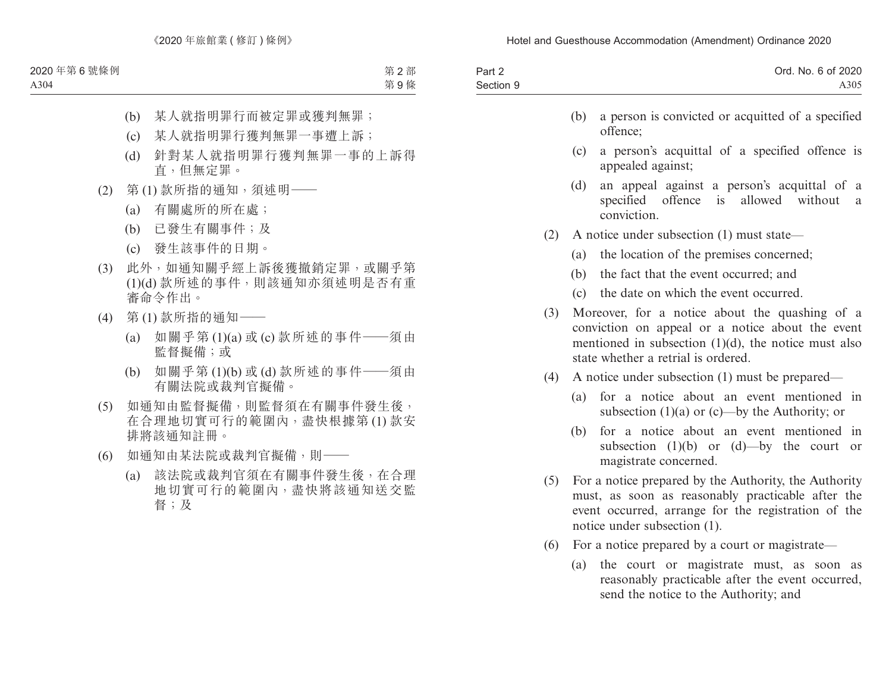| Part 2    |     | Ord. No. 6 of 2020                                            |
|-----------|-----|---------------------------------------------------------------|
| Section 9 |     | A305                                                          |
|           | (h) | a person is convicted or acquitted of a specified<br>offence; |
|           |     | (a) a narrary against a maginal of power                      |

- (c) a person's acquittal of a specified offence is appealed against;
- (d) an appeal against a person's acquittal of a specified offence is allowed without a conviction.
- (2) A notice under subsection (1) must state—
	- (a) the location of the premises concerned;
	- (b) the fact that the event occurred; and
	- (c) the date on which the event occurred.
- (3) Moreover, for a notice about the quashing of a conviction on appeal or a notice about the event mentioned in subsection (1)(d), the notice must also state whether a retrial is ordered.
- (4) A notice under subsection (1) must be prepared—
	- (a) for a notice about an event mentioned in subsection (1)(a) or (c)—by the Authority; or
	- (b) for a notice about an event mentioned in subsection  $(1)(b)$  or  $(d)$ —by the court or magistrate concerned.
- (5) For a notice prepared by the Authority, the Authority must, as soon as reasonably practicable after the event occurred, arrange for the registration of the notice under subsection (1).
- (6) For a notice prepared by a court or magistrate—
	- (a) the court or magistrate must, as soon as reasonably practicable after the event occurred, send the notice to the Authority; and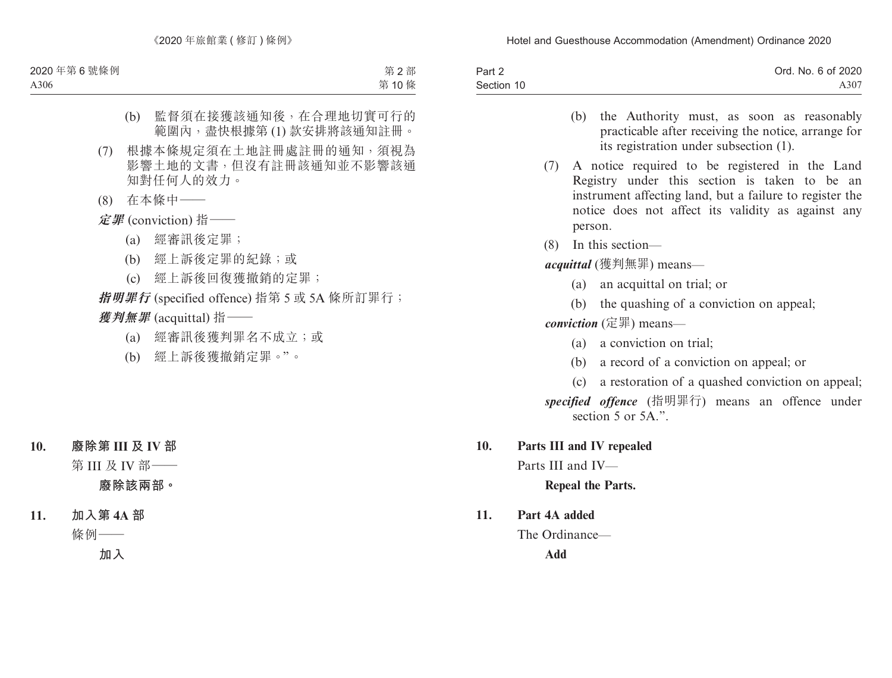| Part 2     | Ord. No. 6 of 2020 |
|------------|--------------------|
| Section 10 | A307               |

- (b) the Authority must, as soon as reasonably practicable after receiving the notice, arrange for its registration under subsection (1).
- (7) A notice required to be registered in the Land Registry under this section is taken to be an instrument affecting land, but a failure to register the notice does not affect its validity as against any person.
- (8) In this section—

*acquittal* (獲判無罪) means—

- (a) an acquittal on trial; or
- (b) the quashing of a conviction on appeal;

*conviction* (定罪) means—

- (a) a conviction on trial;
- (b) a record of a conviction on appeal; or
- (c) a restoration of a quashed conviction on appeal; *specified offence* (指明罪行) means an offence under section 5 or 5A."
- **10. Parts III and IV repealed**

Parts III and IV—

## **Repeal the Parts.**

**11. Part 4A added**

The Ordinance—

**Add**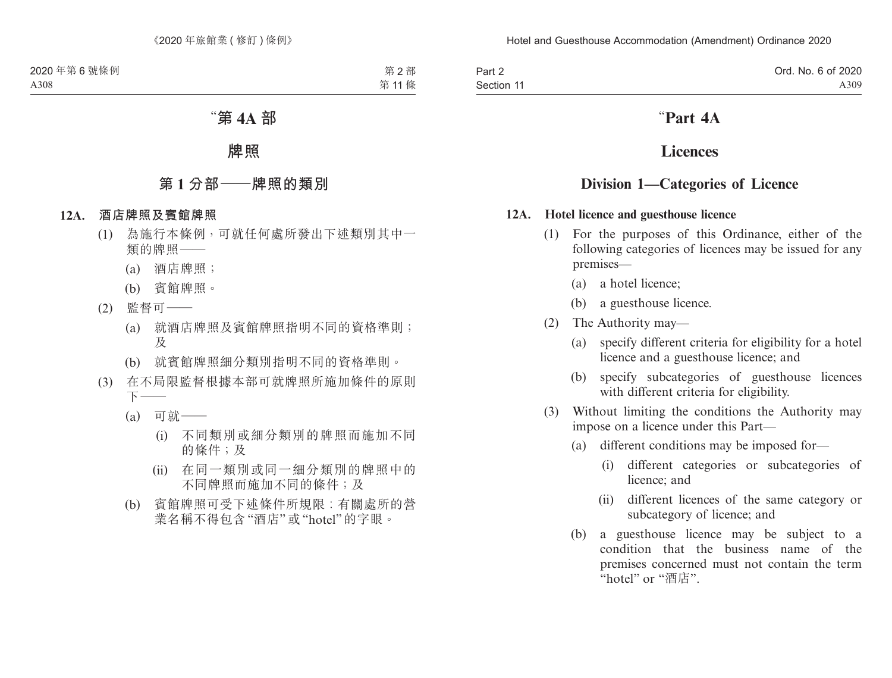Part 2 Section 11

# "**Part 4A**

# **Licences**

# **Division 1—Categories of Licence**

## **12A. Hotel licence and guesthouse licence**

- (1) For the purposes of this Ordinance, either of the following categories of licences may be issued for any premises—
	- (a) a hotel licence;
	- (b) a guesthouse licence.
- (2) The Authority may—
	- (a) specify different criteria for eligibility for a hotel licence and a guesthouse licence; and
	- (b) specify subcategories of guesthouse licences with different criteria for eligibility.
- (3) Without limiting the conditions the Authority may impose on a licence under this Part—
	- (a) different conditions may be imposed for—
		- (i) different categories or subcategories of licence; and
		- (ii) different licences of the same category or subcategory of licence; and
	- (b) a guesthouse licence may be subject to a condition that the business name of the premises concerned must not contain the term "hotel" or "酒店".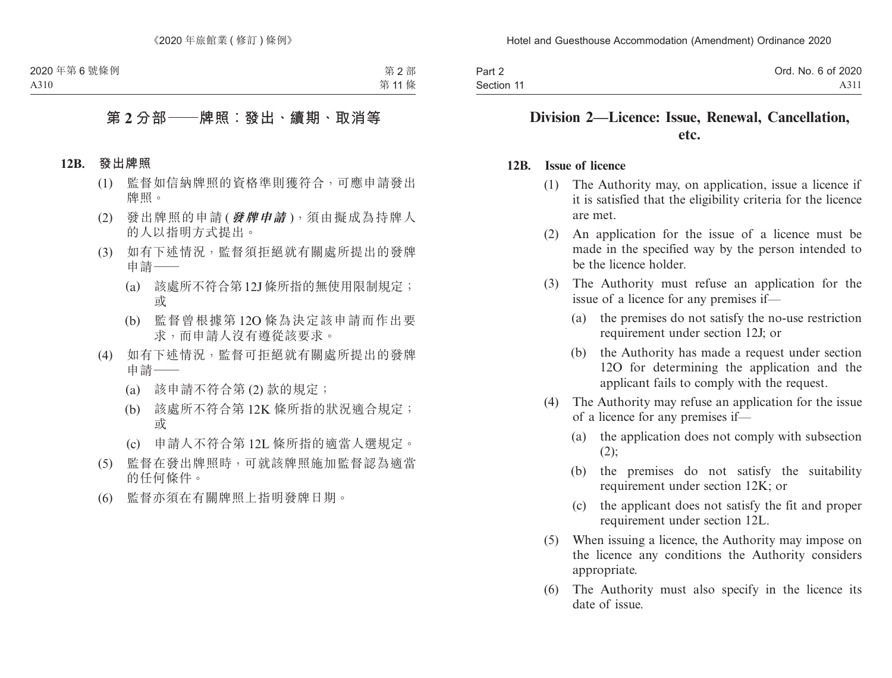| Part 2     | Ord. No. 6 of 2020 |
|------------|--------------------|
| Section 11 | A311               |

# **Division 2—Licence: Issue, Renewal, Cancellation, etc.**

#### **12B. Issue of licence**

- (1) The Authority may, on application, issue a licence if it is satisfied that the eligibility criteria for the licence are met.
- (2) An application for the issue of a licence must be made in the specified way by the person intended to be the licence holder.
- (3) The Authority must refuse an application for the issue of a licence for any premises if—
	- (a) the premises do not satisfy the no-use restriction requirement under section 12J; or
	- (b) the Authority has made a request under section 12O for determining the application and the applicant fails to comply with the request.
- (4) The Authority may refuse an application for the issue of a licence for any premises if—
	- (a) the application does not comply with subsection  $(2)$ ;
	- (b) the premises do not satisfy the suitability requirement under section 12K; or
	- (c) the applicant does not satisfy the fit and proper requirement under section 12L.
- (5) When issuing a licence, the Authority may impose on the licence any conditions the Authority considers appropriate.
- (6) The Authority must also specify in the licence its date of issue.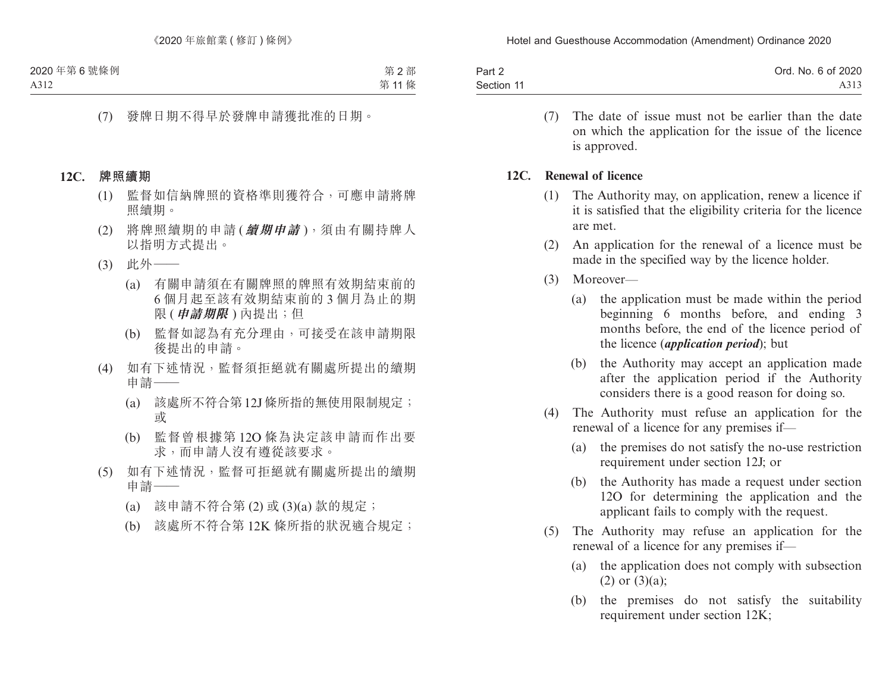| Part 2     | Ord. No. 6 of 2020 |
|------------|--------------------|
| Section 11 | A313               |

(7) The date of issue must not be earlier than the date on which the application for the issue of the licence is approved.

#### **12C. Renewal of licence**

- (1) The Authority may, on application, renew a licence if it is satisfied that the eligibility criteria for the licence are met.
- (2) An application for the renewal of a licence must be made in the specified way by the licence holder.
- (3) Moreover—
	- (a) the application must be made within the period beginning 6 months before, and ending 3 months before, the end of the licence period of the licence (*application period*); but
	- (b) the Authority may accept an application made after the application period if the Authority considers there is a good reason for doing so.
- (4) The Authority must refuse an application for the renewal of a licence for any premises if—
	- (a) the premises do not satisfy the no-use restriction requirement under section 12J; or
	- (b) the Authority has made a request under section 12O for determining the application and the applicant fails to comply with the request.
- (5) The Authority may refuse an application for the renewal of a licence for any premises if—
	- (a) the application does not comply with subsection  $(2)$  or  $(3)(a)$ ;
	- (b) the premises do not satisfy the suitability requirement under section 12K;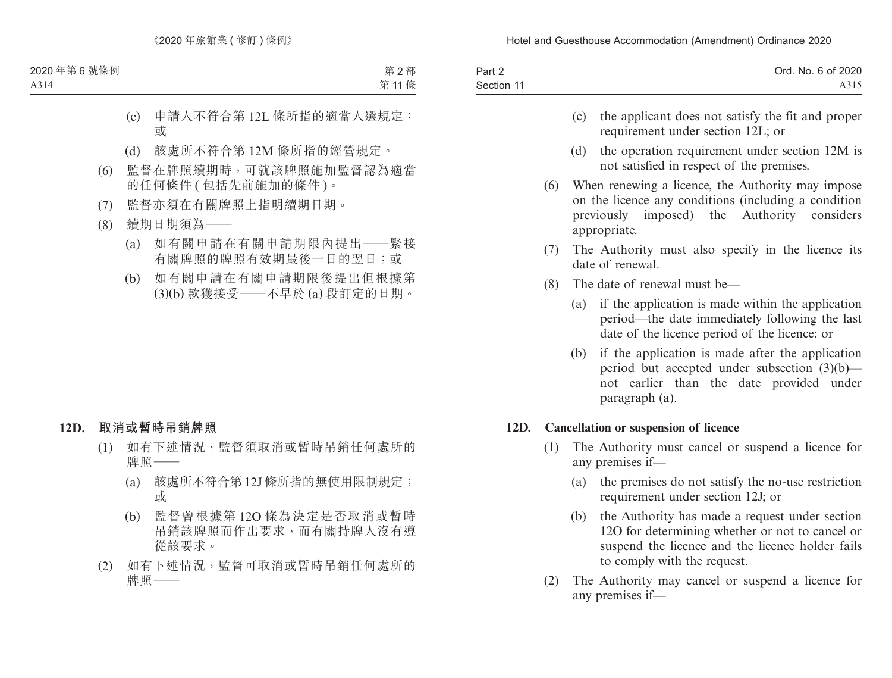| Part 2     | Ord. No. 6 of 2020 |
|------------|--------------------|
| Section 11 | A315               |

- (c) the applicant does not satisfy the fit and proper requirement under section 12L; or
- (d) the operation requirement under section 12M is not satisfied in respect of the premises.
- (6) When renewing a licence, the Authority may impose on the licence any conditions (including a condition previously imposed) the Authority considers appropriate.
- (7) The Authority must also specify in the licence its date of renewal.
- (8) The date of renewal must be—
	- (a) if the application is made within the application period—the date immediately following the last date of the licence period of the licence; or
	- (b) if the application is made after the application period but accepted under subsection (3)(b) not earlier than the date provided under paragraph (a).

## **12D. Cancellation or suspension of licence**

- (1) The Authority must cancel or suspend a licence for any premises if—
	- (a) the premises do not satisfy the no-use restriction requirement under section 12J; or
	- (b) the Authority has made a request under section 12O for determining whether or not to cancel or suspend the licence and the licence holder fails to comply with the request.
- (2) The Authority may cancel or suspend a licence for any premises if—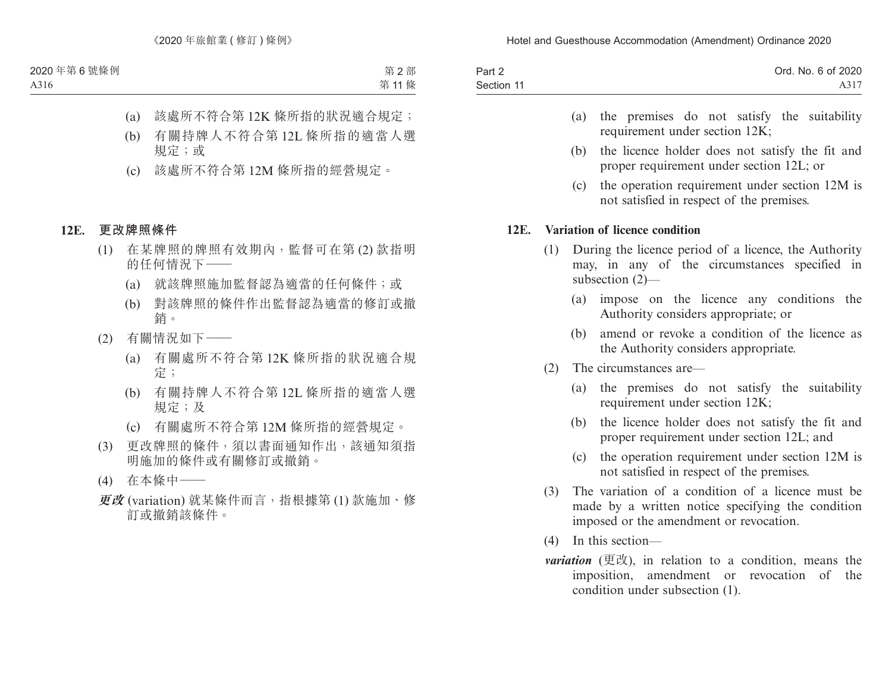| Part 2     | Ord. No. 6 of 2020 |
|------------|--------------------|
| Section 11 | A317               |

- (a) the premises do not satisfy the suitability requirement under section 12K;
- (b) the licence holder does not satisfy the fit and proper requirement under section 12L; or
- (c) the operation requirement under section 12M is not satisfied in respect of the premises.

### **12E. Variation of licence condition**

- (1) During the licence period of a licence, the Authority may, in any of the circumstances specified in subsection (2)—
	- (a) impose on the licence any conditions the Authority considers appropriate; or
	- (b) amend or revoke a condition of the licence as the Authority considers appropriate.
- (2) The circumstances are—
	- (a) the premises do not satisfy the suitability requirement under section 12K;
	- (b) the licence holder does not satisfy the fit and proper requirement under section 12L; and
	- (c) the operation requirement under section 12M is not satisfied in respect of the premises.
- (3) The variation of a condition of a licence must be made by a written notice specifying the condition imposed or the amendment or revocation.
- (4) In this section—
- *variation* (更改), in relation to a condition, means the imposition, amendment or revocation of the condition under subsection (1).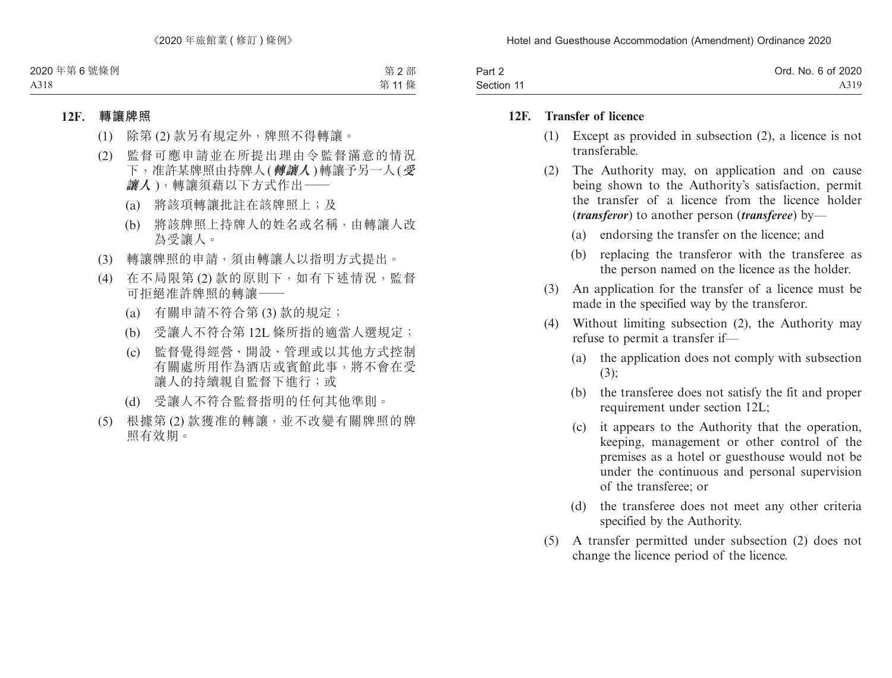| Part 2     | Ord. No. 6 of 2020 |
|------------|--------------------|
| Section 11 | A319               |

### **12F. Transfer of licence**

- (1) Except as provided in subsection (2), a licence is not transferable.
- (2) The Authority may, on application and on cause being shown to the Authority's satisfaction, permit the transfer of a licence from the licence holder (*transferor*) to another person (*transferee*) by—
	- (a) endorsing the transfer on the licence; and
	- (b) replacing the transferor with the transferee as the person named on the licence as the holder.
- (3) An application for the transfer of a licence must be made in the specified way by the transferor.
- (4) Without limiting subsection (2), the Authority may refuse to permit a transfer if—
	- (a) the application does not comply with subsection (3);
	- (b) the transferee does not satisfy the fit and proper requirement under section 12L;
	- (c) it appears to the Authority that the operation, keeping, management or other control of the premises as a hotel or guesthouse would not be under the continuous and personal supervision of the transferee; or
	- (d) the transferee does not meet any other criteria specified by the Authority.
- (5) A transfer permitted under subsection (2) does not change the licence period of the licence.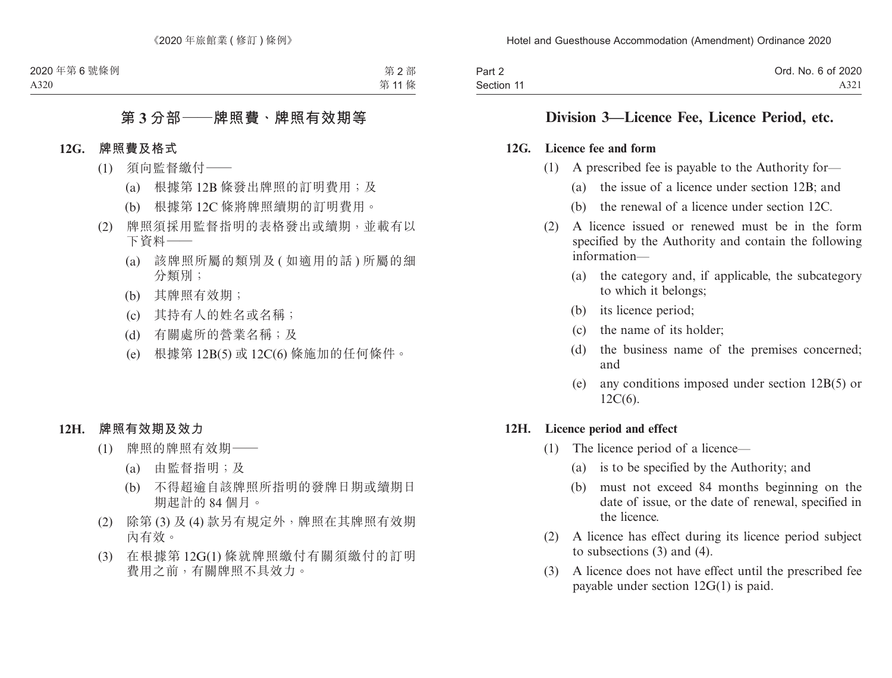| Part 2     | Ord. No. 6 of 2020 |
|------------|--------------------|
| Section 11 | A321               |

## **Division 3—Licence Fee, Licence Period, etc.**

#### **12G. Licence fee and form**

- (1) A prescribed fee is payable to the Authority for—
	- (a) the issue of a licence under section 12B; and
	- (b) the renewal of a licence under section 12C.
- (2) A licence issued or renewed must be in the form specified by the Authority and contain the following information—
	- (a) the category and, if applicable, the subcategory to which it belongs;
	- (b) its licence period;
	- (c) the name of its holder;
	- (d) the business name of the premises concerned; and
	- (e) any conditions imposed under section 12B(5) or 12C(6).

### **12H. Licence period and effect**

- (1) The licence period of a licence—
	- (a) is to be specified by the Authority; and
	- (b) must not exceed 84 months beginning on the date of issue, or the date of renewal, specified in the licence.
- (2) A licence has effect during its licence period subject to subsections (3) and (4).
- (3) A licence does not have effect until the prescribed fee payable under section 12G(1) is paid.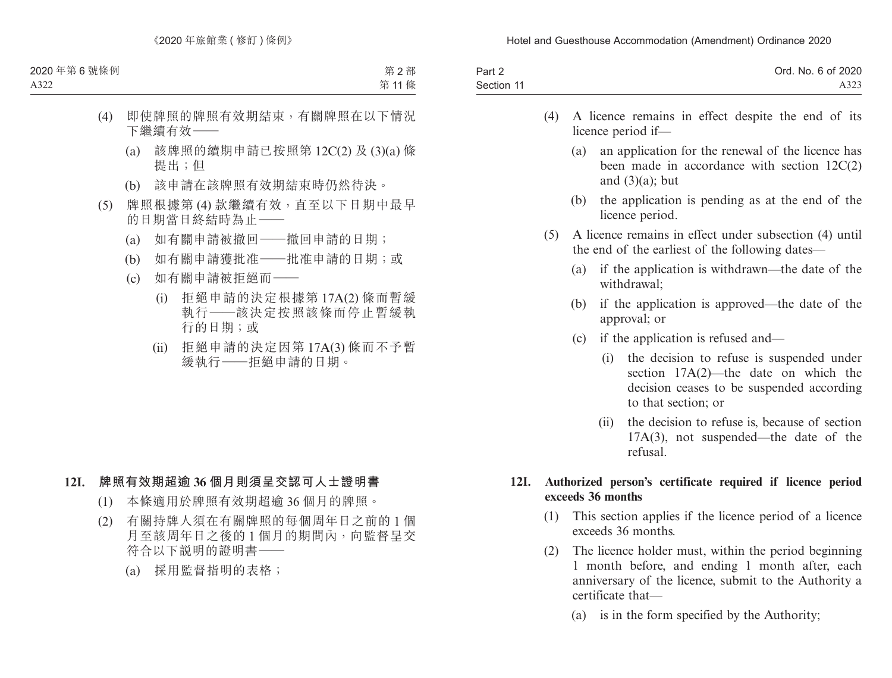| Part 2     | Ord. No. 6 of 2020 |
|------------|--------------------|
| Section 11 | A323               |

- (4) A licence remains in effect despite the end of its licence period if—
	- (a) an application for the renewal of the licence has been made in accordance with section 12C(2) and  $(3)(a)$ ; but
	- (b) the application is pending as at the end of the licence period.
- (5) A licence remains in effect under subsection (4) until the end of the earliest of the following dates—
	- (a) if the application is withdrawn—the date of the withdrawal;
	- (b) if the application is approved—the date of the approval; or
	- (c) if the application is refused and—
		- (i) the decision to refuse is suspended under section 17A(2)—the date on which the decision ceases to be suspended according to that section; or
		- (ii) the decision to refuse is, because of section 17A(3), not suspended—the date of the refusal.

## **12I. Authorized person's certificate required if licence period exceeds 36 months**

- (1) This section applies if the licence period of a licence exceeds 36 months.
- (2) The licence holder must, within the period beginning 1 month before, and ending 1 month after, each anniversary of the licence, submit to the Authority a certificate that—
	- (a) is in the form specified by the Authority;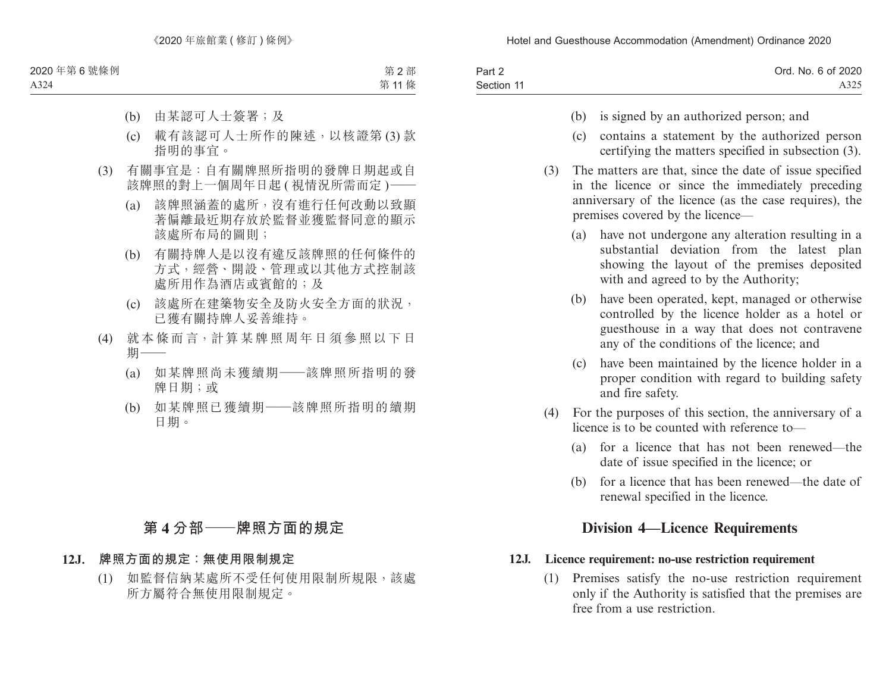| Part 2     | Ord. No. 6 of 2020 |
|------------|--------------------|
| Section 11 | A325               |

- (b) is signed by an authorized person; and
- (c) contains a statement by the authorized person certifying the matters specified in subsection (3).
- (3) The matters are that, since the date of issue specified in the licence or since the immediately preceding anniversary of the licence (as the case requires), the premises covered by the licence—
	- (a) have not undergone any alteration resulting in a substantial deviation from the latest plan showing the layout of the premises deposited with and agreed to by the Authority;
	- (b) have been operated, kept, managed or otherwise controlled by the licence holder as a hotel or guesthouse in a way that does not contravene any of the conditions of the licence; and
	- (c) have been maintained by the licence holder in a proper condition with regard to building safety and fire safety.
- (4) For the purposes of this section, the anniversary of a licence is to be counted with reference to—
	- (a) for a licence that has not been renewed—the date of issue specified in the licence; or
	- (b) for a licence that has been renewed—the date of renewal specified in the licence.

# **Division 4—Licence Requirements**

## **12J. Licence requirement: no-use restriction requirement**

(1) Premises satisfy the no-use restriction requirement only if the Authority is satisfied that the premises are free from a use restriction.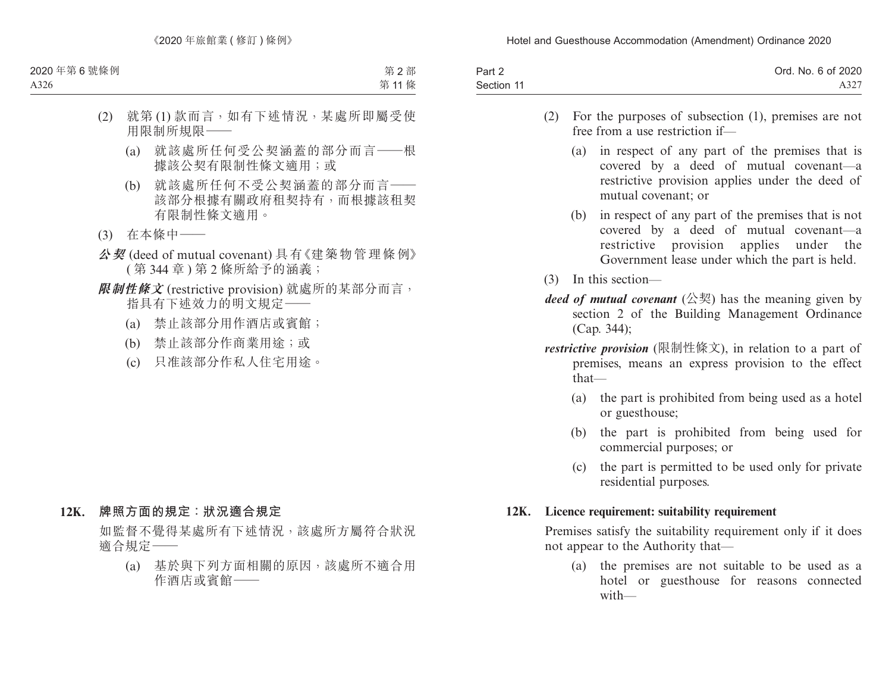| Part 2     | Ord. No. 6 of 2020 |
|------------|--------------------|
| Section 11 | $A32^{\circ}$      |

- (2) For the purposes of subsection (1), premises are not free from a use restriction if—
	- (a) in respect of any part of the premises that is covered by a deed of mutual covenant—a restrictive provision applies under the deed of mutual covenant; or
	- (b) in respect of any part of the premises that is not covered by a deed of mutual covenant—a restrictive provision applies under the Government lease under which the part is held.
- (3) In this section—
- *deed of mutual covenant*  $(\&$ 契) has the meaning given by section 2 of the Building Management Ordinance (Cap. 344);
- *restrictive provision* (限制性條文), in relation to a part of premises, means an express provision to the effect that—
	- (a) the part is prohibited from being used as a hotel or guesthouse;
	- (b) the part is prohibited from being used for commercial purposes; or
	- (c) the part is permitted to be used only for private residential purposes.

### **12K. Licence requirement: suitability requirement**

Premises satisfy the suitability requirement only if it does not appear to the Authority that—

(a) the premises are not suitable to be used as a hotel or guesthouse for reasons connected with—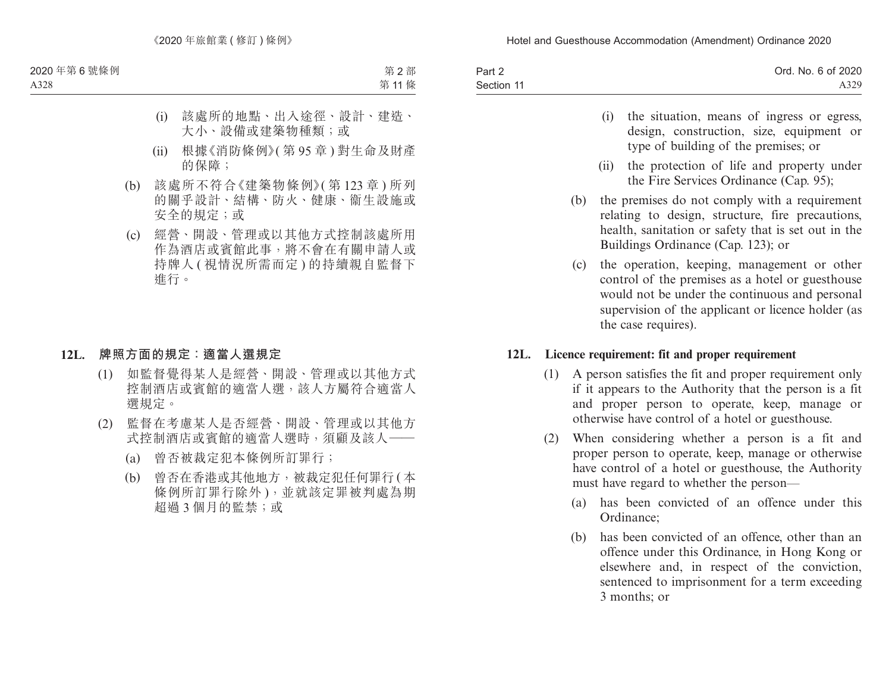| Part 2     | Ord. No. 6 of 2020 |
|------------|--------------------|
| Section 11 | A329               |

- (i) the situation, means of ingress or egress, design, construction, size, equipment or type of building of the premises; or
- (ii) the protection of life and property under the Fire Services Ordinance (Cap. 95);
- (b) the premises do not comply with a requirement relating to design, structure, fire precautions, health, sanitation or safety that is set out in the Buildings Ordinance (Cap. 123); or
- (c) the operation, keeping, management or other control of the premises as a hotel or guesthouse would not be under the continuous and personal supervision of the applicant or licence holder (as the case requires).

### **12L. Licence requirement: fit and proper requirement**

- (1) A person satisfies the fit and proper requirement only if it appears to the Authority that the person is a fit and proper person to operate, keep, manage or otherwise have control of a hotel or guesthouse.
- (2) When considering whether a person is a fit and proper person to operate, keep, manage or otherwise have control of a hotel or guesthouse, the Authority must have regard to whether the person—
	- (a) has been convicted of an offence under this Ordinance;
	- (b) has been convicted of an offence, other than an offence under this Ordinance, in Hong Kong or elsewhere and, in respect of the conviction, sentenced to imprisonment for a term exceeding 3 months; or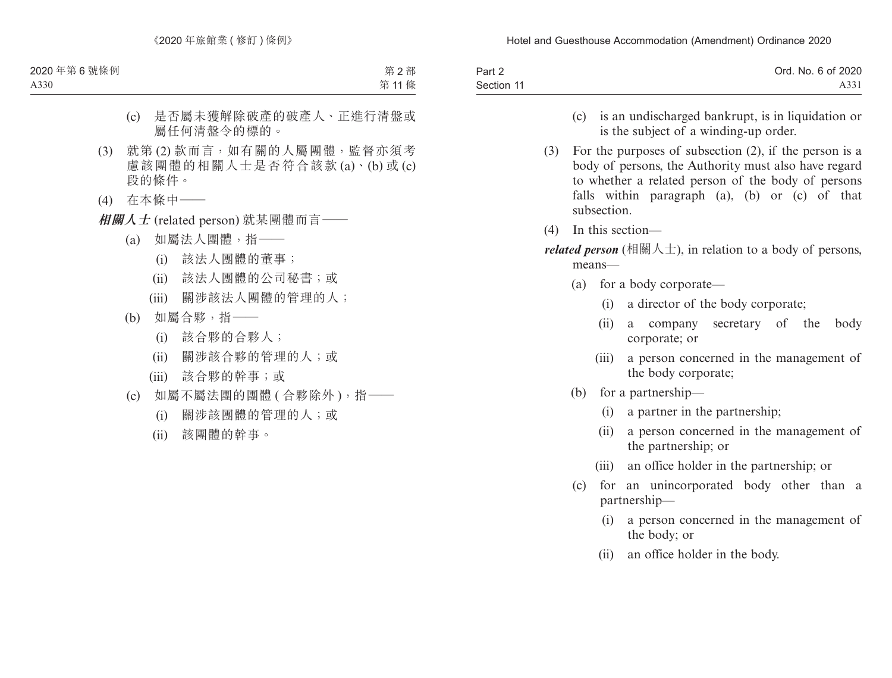| Part 2     | Ord. No. 6 of 2020 |
|------------|--------------------|
| Section 11 | A331               |

- (c) is an undischarged bankrupt, is in liquidation or is the subject of a winding-up order.
- (3) For the purposes of subsection (2), if the person is a body of persons, the Authority must also have regard to whether a related person of the body of persons falls within paragraph (a), (b) or (c) of that subsection.
- (4) In this section—
- *related person* (相關人士), in relation to a body of persons, means—
	- (a) for a body corporate—
		- (i) a director of the body corporate;
		- (ii) a company secretary of the body corporate; or
		- (iii) a person concerned in the management of the body corporate;
	- (b) for a partnership—
		- (i) a partner in the partnership;
		- (ii) a person concerned in the management of the partnership; or
		- (iii) an office holder in the partnership; or
	- (c) for an unincorporated body other than a partnership—
		- (i) a person concerned in the management of the body; or
		- (ii) an office holder in the body.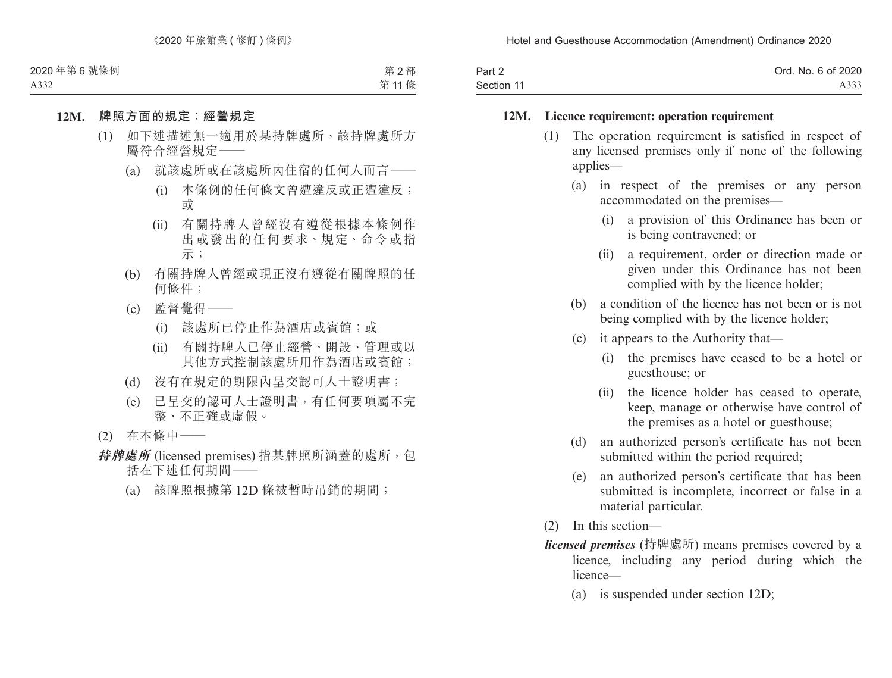| Part 2     | Ord. No. 6 of 2020 |
|------------|--------------------|
| Section 11 | A333               |

#### **12M. Licence requirement: operation requirement**

- (1) The operation requirement is satisfied in respect of any licensed premises only if none of the following applies—
	- (a) in respect of the premises or any person accommodated on the premises—
		- (i) a provision of this Ordinance has been or is being contravened; or
		- (ii) a requirement, order or direction made or given under this Ordinance has not been complied with by the licence holder;
	- (b) a condition of the licence has not been or is not being complied with by the licence holder;
	- (c) it appears to the Authority that—
		- (i) the premises have ceased to be a hotel or guesthouse; or
		- (ii) the licence holder has ceased to operate, keep, manage or otherwise have control of the premises as a hotel or guesthouse;
	- (d) an authorized person's certificate has not been submitted within the period required;
	- (e) an authorized person's certificate that has been submitted is incomplete, incorrect or false in a material particular.
- (2) In this section—
- *licensed premises* (持牌處所) means premises covered by a licence, including any period during which the licence—
	- (a) is suspended under section 12D;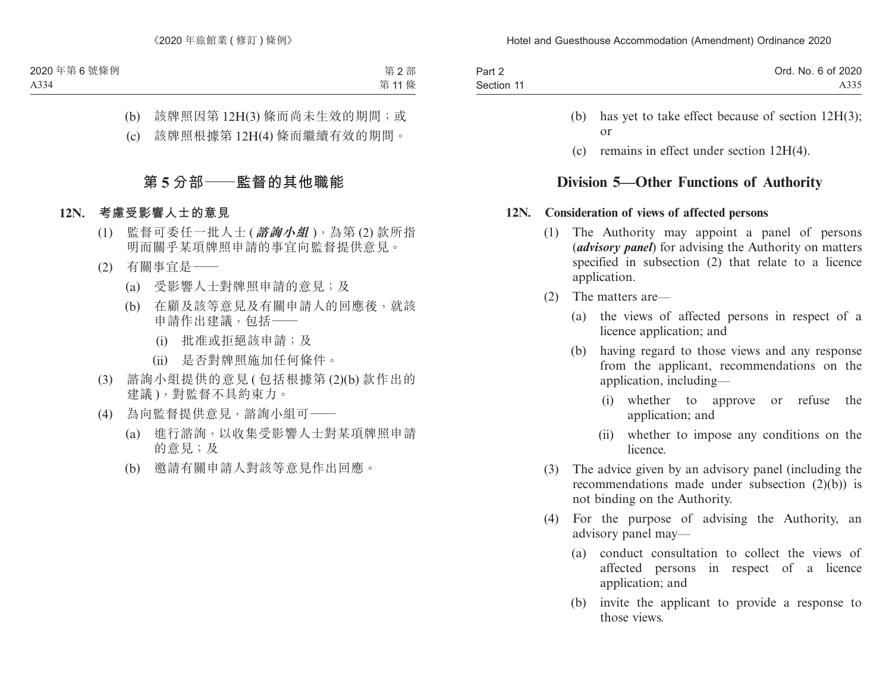| Part 2     | Ord. No. 6 of 2020 |
|------------|--------------------|
| Section 11 | A335               |

- (b) has yet to take effect because of section 12H(3); or
- (c) remains in effect under section 12H(4).

# **Division 5—Other Functions of Authority**

### **12N. Consideration of views of affected persons**

- (1) The Authority may appoint a panel of persons (*advisory panel*) for advising the Authority on matters specified in subsection (2) that relate to a licence application.
- (2) The matters are—
	- (a) the views of affected persons in respect of a licence application; and
	- (b) having regard to those views and any response from the applicant, recommendations on the application, including—
		- (i) whether to approve or refuse the application; and
		- (ii) whether to impose any conditions on the licence.
- (3) The advice given by an advisory panel (including the recommendations made under subsection (2)(b)) is not binding on the Authority.
- (4) For the purpose of advising the Authority, an advisory panel may—
	- (a) conduct consultation to collect the views of affected persons in respect of a licence application; and
	- (b) invite the applicant to provide a response to those views.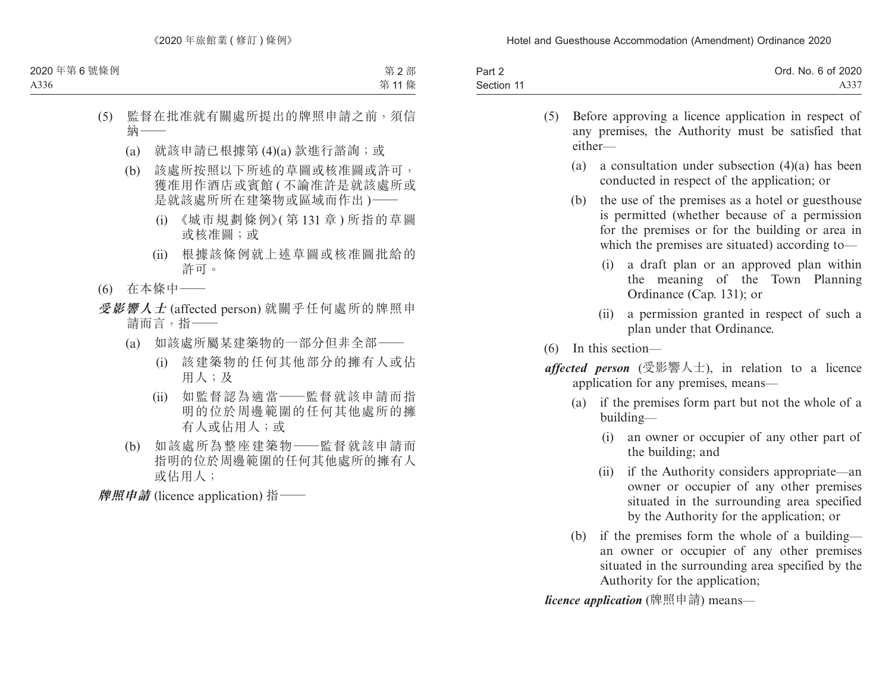| Part 2     | Ord. No. 6 of 2020 |
|------------|--------------------|
| Section 11 | A337               |

- (5) Before approving a licence application in respect of any premises, the Authority must be satisfied that either—
	- (a) a consultation under subsection (4)(a) has been conducted in respect of the application; or
	- (b) the use of the premises as a hotel or guesthouse is permitted (whether because of a permission for the premises or for the building or area in which the premises are situated) according to—
		- (i) a draft plan or an approved plan within the meaning of the Town Planning Ordinance (Cap. 131); or
		- (ii) a permission granted in respect of such a plan under that Ordinance.
- (6) In this section—
- *affected person* (受影響人士), in relation to a licence application for any premises, means—
	- (a) if the premises form part but not the whole of a building—
		- (i) an owner or occupier of any other part of the building; and
		- (ii) if the Authority considers appropriate—an owner or occupier of any other premises situated in the surrounding area specified by the Authority for the application; or
	- (b) if the premises form the whole of a building an owner or occupier of any other premises situated in the surrounding area specified by the Authority for the application;

*licence application* (牌照申請) means—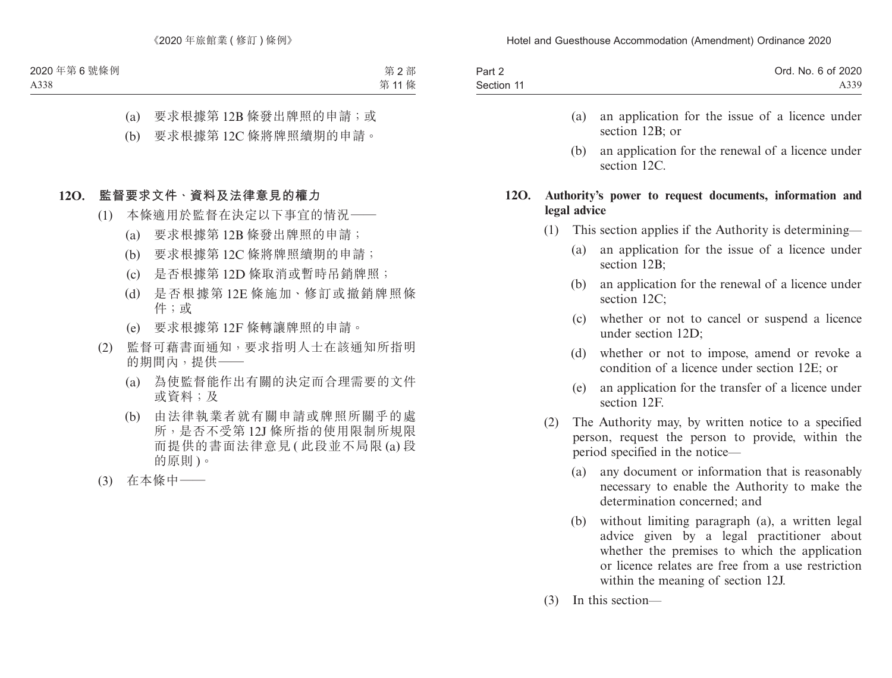| Part 2     | Ord. No. 6 of 2020 |
|------------|--------------------|
| Section 11 | A339               |

- (a) an application for the issue of a licence under section 12B; or
- (b) an application for the renewal of a licence under section 12C.

### **12O. Authority's power to request documents, information and legal advice**

- (1) This section applies if the Authority is determining—
	- (a) an application for the issue of a licence under section 12B;
	- (b) an application for the renewal of a licence under section 12C:
	- (c) whether or not to cancel or suspend a licence under section 12D;
	- (d) whether or not to impose, amend or revoke a condition of a licence under section 12E; or
	- (e) an application for the transfer of a licence under section 12F.
- (2) The Authority may, by written notice to a specified person, request the person to provide, within the period specified in the notice—
	- (a) any document or information that is reasonably necessary to enable the Authority to make the determination concerned; and
	- (b) without limiting paragraph (a), a written legal advice given by a legal practitioner about whether the premises to which the application or licence relates are free from a use restriction within the meaning of section 12J.
- (3) In this section—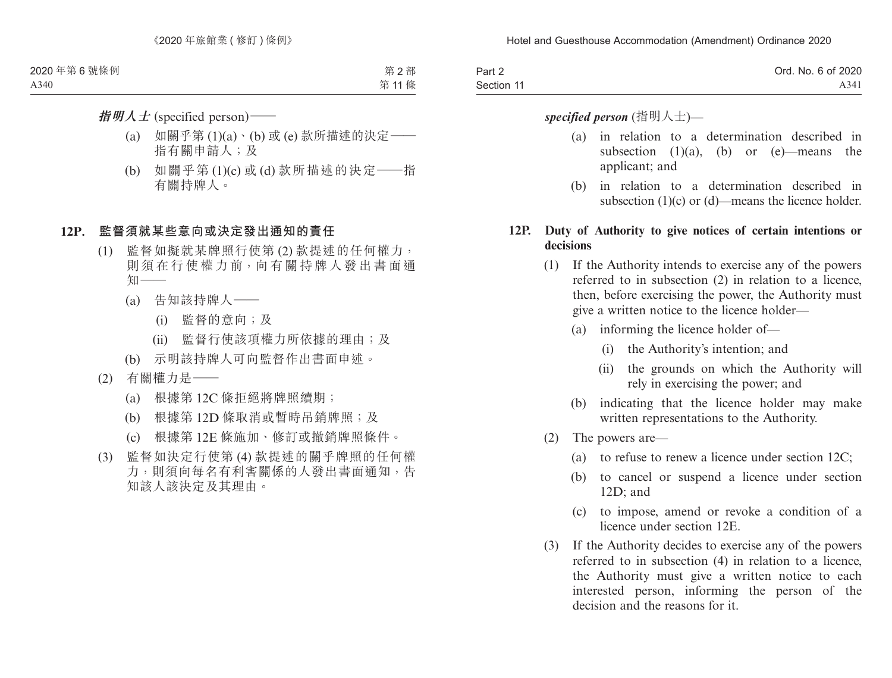| Part 2     | Ord. No. 6 of 2020 |
|------------|--------------------|
| Section 11 | A341               |

### *specified person* (指明人士)—

- (a) in relation to a determination described in subsection  $(1)(a)$ ,  $(b)$  or  $(e)$ —means the applicant; and
- (b) in relation to a determination described in subsection (1)(c) or (d)—means the licence holder.

### **12P. Duty of Authority to give notices of certain intentions or decisions**

- (1) If the Authority intends to exercise any of the powers referred to in subsection (2) in relation to a licence, then, before exercising the power, the Authority must give a written notice to the licence holder—
	- (a) informing the licence holder of—
		- (i) the Authority's intention; and
		- (ii) the grounds on which the Authority will rely in exercising the power; and
	- (b) indicating that the licence holder may make written representations to the Authority.
- (2) The powers are—
	- (a) to refuse to renew a licence under section 12C;
	- (b) to cancel or suspend a licence under section 12D; and
	- (c) to impose, amend or revoke a condition of a licence under section 12E.
- (3) If the Authority decides to exercise any of the powers referred to in subsection (4) in relation to a licence, the Authority must give a written notice to each interested person, informing the person of the decision and the reasons for it.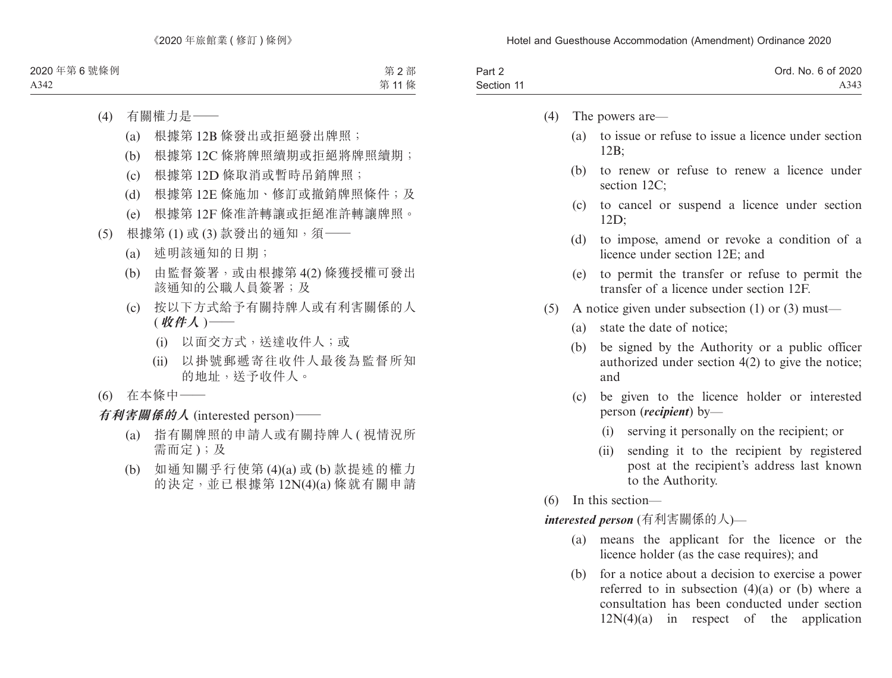| Part 2     | Ord. No. 6 of 2020 |
|------------|--------------------|
| Section 11 | A343               |

- (4) The powers are—
	- (a) to issue or refuse to issue a licence under section  $12B$
	- (b) to renew or refuse to renew a licence under section 12C:
	- (c) to cancel or suspend a licence under section 12D;
	- (d) to impose, amend or revoke a condition of a licence under section 12E; and
	- (e) to permit the transfer or refuse to permit the transfer of a licence under section 12F.
- (5) A notice given under subsection (1) or (3) must—
	- (a) state the date of notice;
	- (b) be signed by the Authority or a public officer authorized under section 4(2) to give the notice; and
	- (c) be given to the licence holder or interested person (*recipient*) by—
		- (i) serving it personally on the recipient; or
		- (ii) sending it to the recipient by registered post at the recipient's address last known to the Authority.
- (6) In this section—

*interested person* (有利害關係的人)—

- (a) means the applicant for the licence or the licence holder (as the case requires); and
- (b) for a notice about a decision to exercise a power referred to in subsection (4)(a) or (b) where a consultation has been conducted under section  $12N(4)(a)$  in respect of the application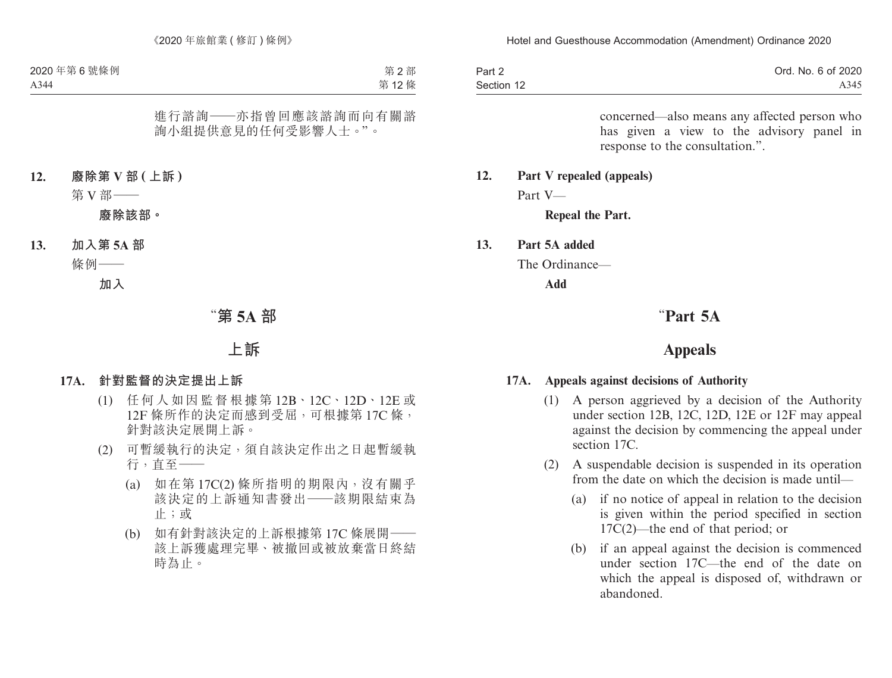| Part 2     | Ord. No. 6 of 2020 |
|------------|--------------------|
| Section 12 | A345               |

concerned—also means any affected person who has given a view to the advisory panel in response to the consultation.".

# **12. Part V repealed (appeals)**

Part V—

#### **Repeal the Part.**

#### **13. Part 5A added**

The Ordinance—

**Add**

# "**Part 5A**

## **Appeals**

#### **17A. Appeals against decisions of Authority**

- (1) A person aggrieved by a decision of the Authority under section 12B, 12C, 12D, 12E or 12F may appeal against the decision by commencing the appeal under section 17C.
- (2) A suspendable decision is suspended in its operation from the date on which the decision is made until—
	- (a) if no notice of appeal in relation to the decision is given within the period specified in section 17C(2)—the end of that period; or
	- (b) if an appeal against the decision is commenced under section 17C—the end of the date on which the appeal is disposed of, withdrawn or abandoned.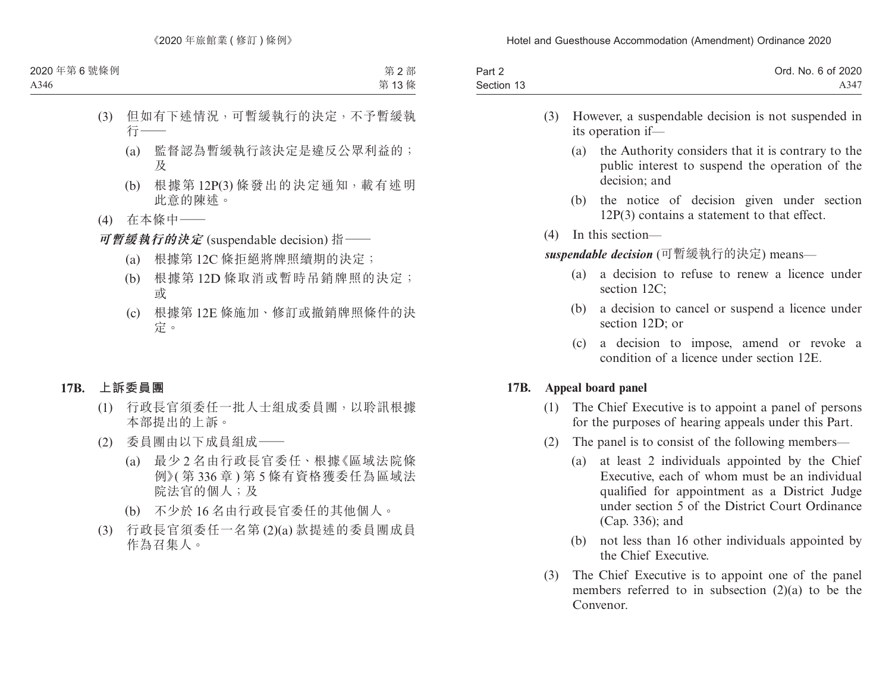| Part 2     | Ord. No. 6 of 2020 |
|------------|--------------------|
| Section 13 | A347               |

- (3) However, a suspendable decision is not suspended in its operation if—
	- (a) the Authority considers that it is contrary to the public interest to suspend the operation of the decision; and
	- (b) the notice of decision given under section 12P(3) contains a statement to that effect.
- (4) In this section—

*suspendable decision* (可暫緩執行的決定) means—

- (a) a decision to refuse to renew a licence under section 12C:
- (b) a decision to cancel or suspend a licence under section 12D; or
- (c) a decision to impose, amend or revoke a condition of a licence under section 12E.

### **17B. Appeal board panel**

- (1) The Chief Executive is to appoint a panel of persons for the purposes of hearing appeals under this Part.
- (2) The panel is to consist of the following members—
	- (a) at least 2 individuals appointed by the Chief Executive, each of whom must be an individual qualified for appointment as a District Judge under section 5 of the District Court Ordinance (Cap. 336); and
	- (b) not less than 16 other individuals appointed by the Chief Executive.
- (3) The Chief Executive is to appoint one of the panel members referred to in subsection (2)(a) to be the Convenor.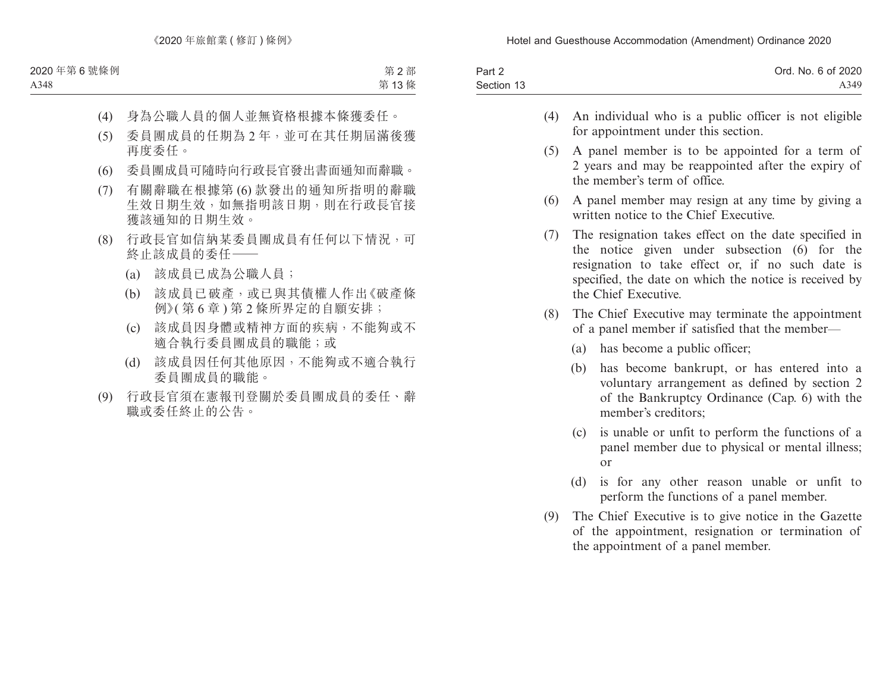| Part 2     | Ord. No. 6 of 2020 |
|------------|--------------------|
| Section 13 | A349               |

- (4) An individual who is a public officer is not eligible for appointment under this section.
- (5) A panel member is to be appointed for a term of 2 years and may be reappointed after the expiry of the member's term of office.
- (6) A panel member may resign at any time by giving a written notice to the Chief Executive.
- (7) The resignation takes effect on the date specified in the notice given under subsection (6) for the resignation to take effect or, if no such date is specified, the date on which the notice is received by the Chief Executive.
- (8) The Chief Executive may terminate the appointment of a panel member if satisfied that the member—
	- (a) has become a public officer;
	- (b) has become bankrupt, or has entered into a voluntary arrangement as defined by section 2 of the Bankruptcy Ordinance (Cap. 6) with the member's creditors;
	- (c) is unable or unfit to perform the functions of a panel member due to physical or mental illness; or
	- (d) is for any other reason unable or unfit to perform the functions of a panel member.
- (9) The Chief Executive is to give notice in the Gazette of the appointment, resignation or termination of the appointment of a panel member.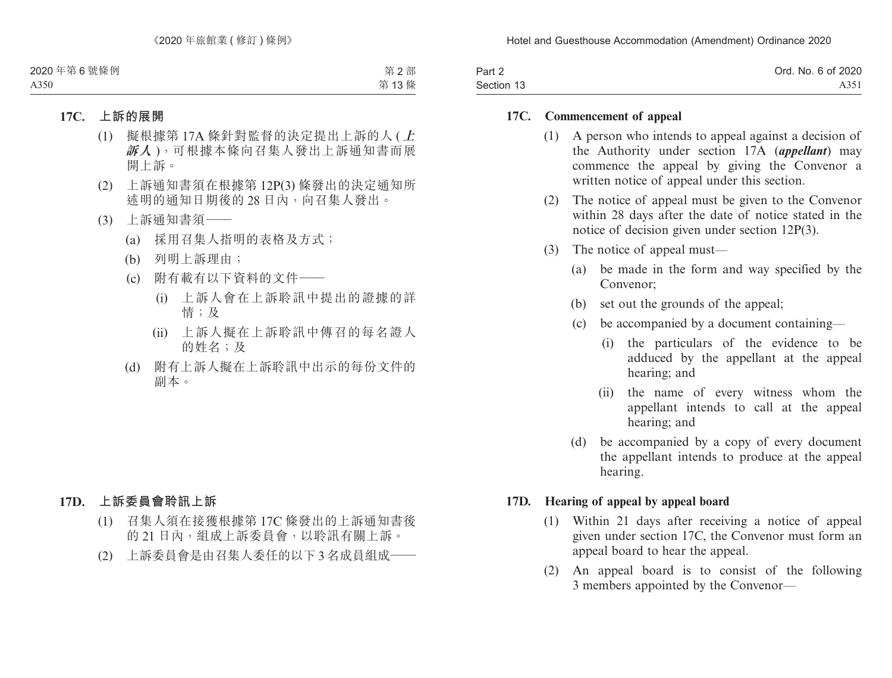| Part 2     | Ord. No. 6 of 2020 |
|------------|--------------------|
| Section 13 | A351               |

#### **17C. Commencement of appeal**

- (1) A person who intends to appeal against a decision of the Authority under section 17A (*appellant*) may commence the appeal by giving the Convenor a written notice of appeal under this section.
- (2) The notice of appeal must be given to the Convenor within 28 days after the date of notice stated in the notice of decision given under section 12P(3).
- (3) The notice of appeal must—
	- (a) be made in the form and way specified by the Convenor;
	- (b) set out the grounds of the appeal;
	- (c) be accompanied by a document containing—
		- (i) the particulars of the evidence to be adduced by the appellant at the appeal hearing; and
		- (ii) the name of every witness whom the appellant intends to call at the appeal hearing; and
	- (d) be accompanied by a copy of every document the appellant intends to produce at the appeal hearing.

### **17D. Hearing of appeal by appeal board**

- (1) Within 21 days after receiving a notice of appeal given under section 17C, the Convenor must form an appeal board to hear the appeal.
- (2) An appeal board is to consist of the following 3 members appointed by the Convenor—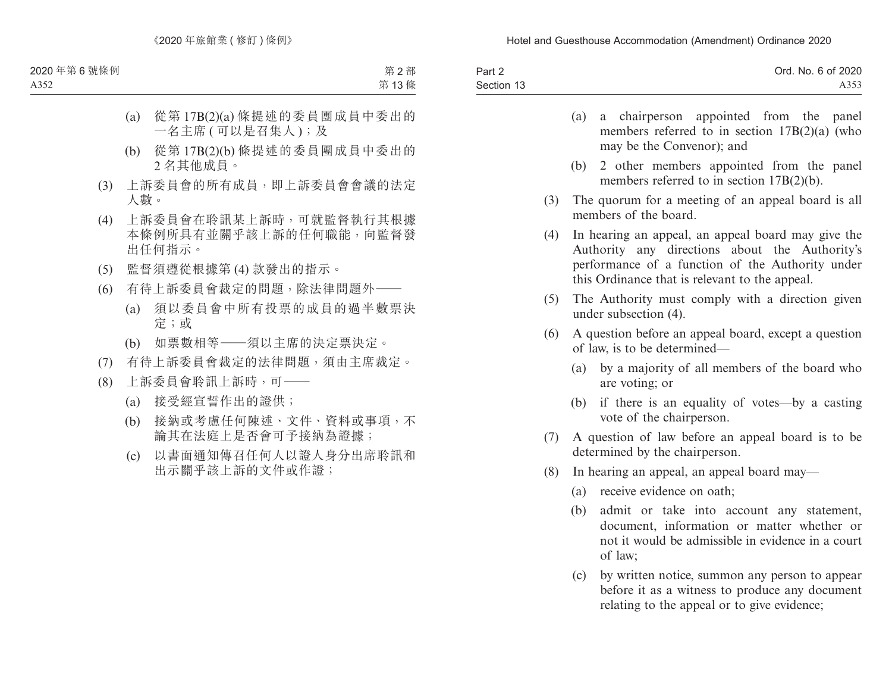| Part 2     | Ord. No. 6 of 2020 |
|------------|--------------------|
| Section 13 | A353               |

|     | (a) | a chairperson appointed from the panel<br>members referred to in section $17B(2)(a)$ (who<br>may be the Convenor); and                                                                                     |
|-----|-----|------------------------------------------------------------------------------------------------------------------------------------------------------------------------------------------------------------|
|     |     | (b) 2 other members appointed from the panel<br>members referred to in section $17B(2)(b)$ .                                                                                                               |
| (3) |     | The quorum for a meeting of an appeal board is all<br>members of the board.                                                                                                                                |
| (4) |     | In hearing an appeal, an appeal board may give the<br>Authority any directions about the Authority's<br>performance of a function of the Authority under<br>this Ordinance that is relevant to the appeal. |
| (5) |     | The Authority must comply with a direction given<br>under subsection (4).                                                                                                                                  |
| (6) |     | A question before an appeal board, except a question<br>of law, is to be determined—                                                                                                                       |
|     |     | (a) by a majority of all members of the board who<br>are voting; or                                                                                                                                        |

- (b) if there is an equality of votes—by a casting vote of the chairperson.
- (7) A question of law before an appeal board is to be determined by the chairperson.
- (8) In hearing an appeal, an appeal board may—
	- (a) receive evidence on oath;
	- (b) admit or take into account any statement, document, information or matter whether or not it would be admissible in evidence in a court of law;
	- (c) by written notice, summon any person to appear before it as a witness to produce any document relating to the appeal or to give evidence;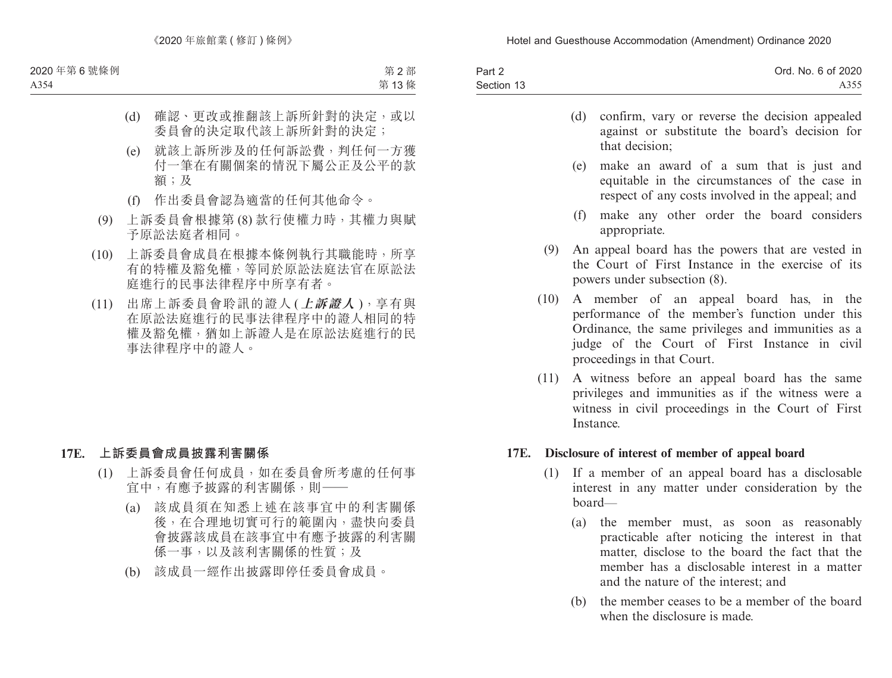| Part 2     | Ord. No. 6 of 2020 |
|------------|--------------------|
| Section 13 | A355               |

- (d) confirm, vary or reverse the decision appealed against or substitute the board's decision for that decision;
- (e) make an award of a sum that is just and equitable in the circumstances of the case in respect of any costs involved in the appeal; and
- (f) make any other order the board considers appropriate.
- (9) An appeal board has the powers that are vested in the Court of First Instance in the exercise of its powers under subsection (8).
- (10) A member of an appeal board has, in the performance of the member's function under this Ordinance, the same privileges and immunities as a judge of the Court of First Instance in civil proceedings in that Court.
- (11) A witness before an appeal board has the same privileges and immunities as if the witness were a witness in civil proceedings in the Court of First **Instance**

### **17E. Disclosure of interest of member of appeal board**

- (1) If a member of an appeal board has a disclosable interest in any matter under consideration by the board—
	- (a) the member must, as soon as reasonably practicable after noticing the interest in that matter, disclose to the board the fact that the member has a disclosable interest in a matter and the nature of the interest; and
	- (b) the member ceases to be a member of the board when the disclosure is made.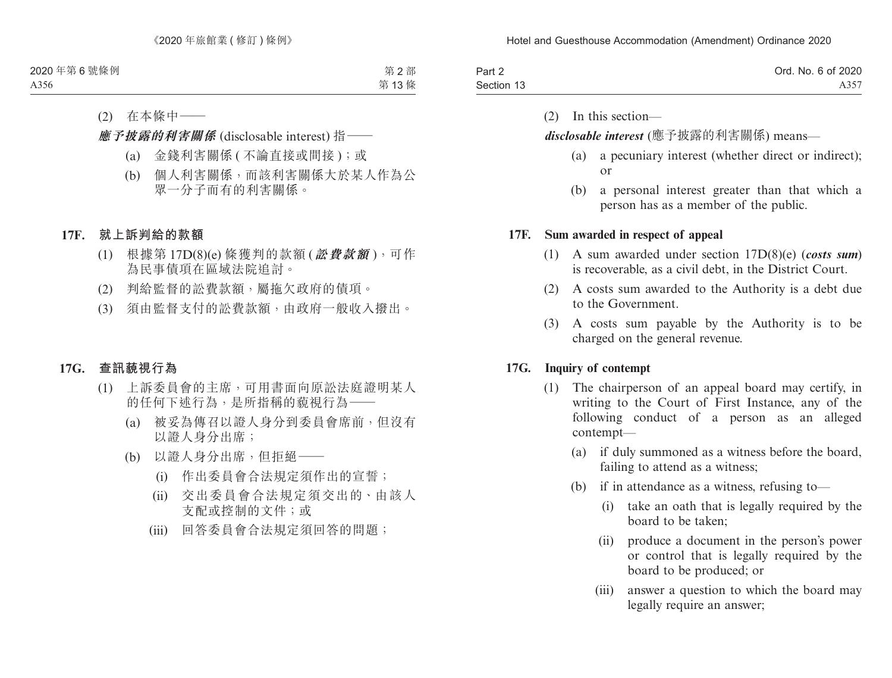| Part 2     | Ord. No. 6 of 2020 |
|------------|--------------------|
| Section 13 | A357               |

(2) In this section—

*disclosable interest* (應予披露的利害關係) means—

- (a) a pecuniary interest (whether direct or indirect); or
- (b) a personal interest greater than that which a person has as a member of the public.

#### **17F. Sum awarded in respect of appeal**

- (1) A sum awarded under section 17D(8)(e) (*costs sum*) is recoverable, as a civil debt, in the District Court.
- (2) A costs sum awarded to the Authority is a debt due to the Government.
- (3) A costs sum payable by the Authority is to be charged on the general revenue.

### **17G. Inquiry of contempt**

- (1) The chairperson of an appeal board may certify, in writing to the Court of First Instance, any of the following conduct of a person as an alleged contempt—
	- (a) if duly summoned as a witness before the board, failing to attend as a witness;
	- (b) if in attendance as a witness, refusing to—
		- (i) take an oath that is legally required by the board to be taken;
		- (ii) produce a document in the person's power or control that is legally required by the board to be produced; or
		- (iii) answer a question to which the board may legally require an answer;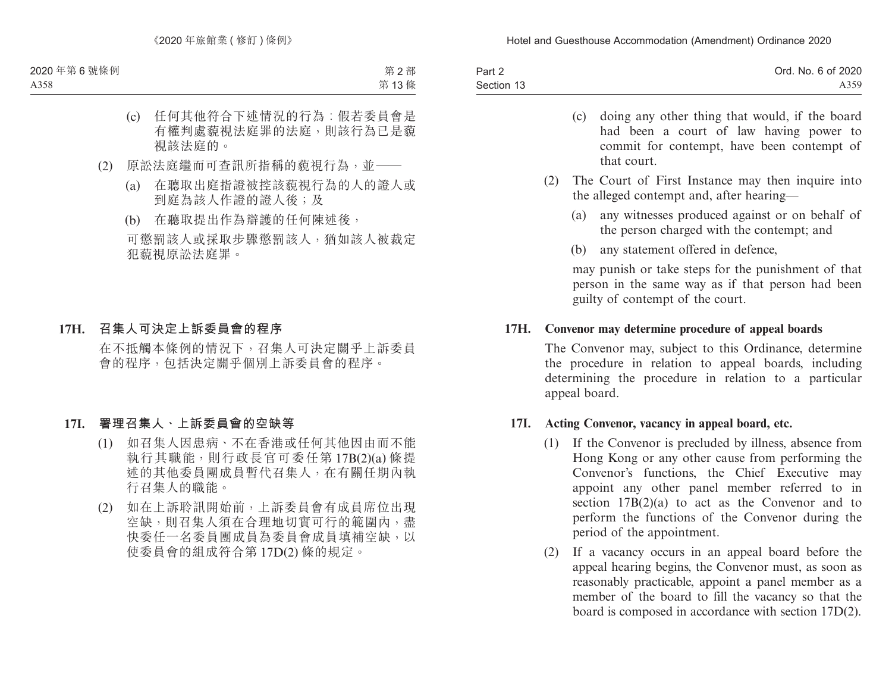| Part 2     | Ord. No. 6 of 2020 |
|------------|--------------------|
| Section 13 | A359               |

- (c) doing any other thing that would, if the board had been a court of law having power to commit for contempt, have been contempt of that court.
- (2) The Court of First Instance may then inquire into the alleged contempt and, after hearing—
	- (a) any witnesses produced against or on behalf of the person charged with the contempt; and
	- (b) any statement offered in defence,

may punish or take steps for the punishment of that person in the same way as if that person had been guilty of contempt of the court.

### **17H. Convenor may determine procedure of appeal boards**

The Convenor may, subject to this Ordinance, determine the procedure in relation to appeal boards, including determining the procedure in relation to a particular appeal board.

### **17I. Acting Convenor, vacancy in appeal board, etc.**

- (1) If the Convenor is precluded by illness, absence from Hong Kong or any other cause from performing the Convenor's functions, the Chief Executive may appoint any other panel member referred to in section 17B(2)(a) to act as the Convenor and to perform the functions of the Convenor during the period of the appointment.
- (2) If a vacancy occurs in an appeal board before the appeal hearing begins, the Convenor must, as soon as reasonably practicable, appoint a panel member as a member of the board to fill the vacancy so that the board is composed in accordance with section 17D(2).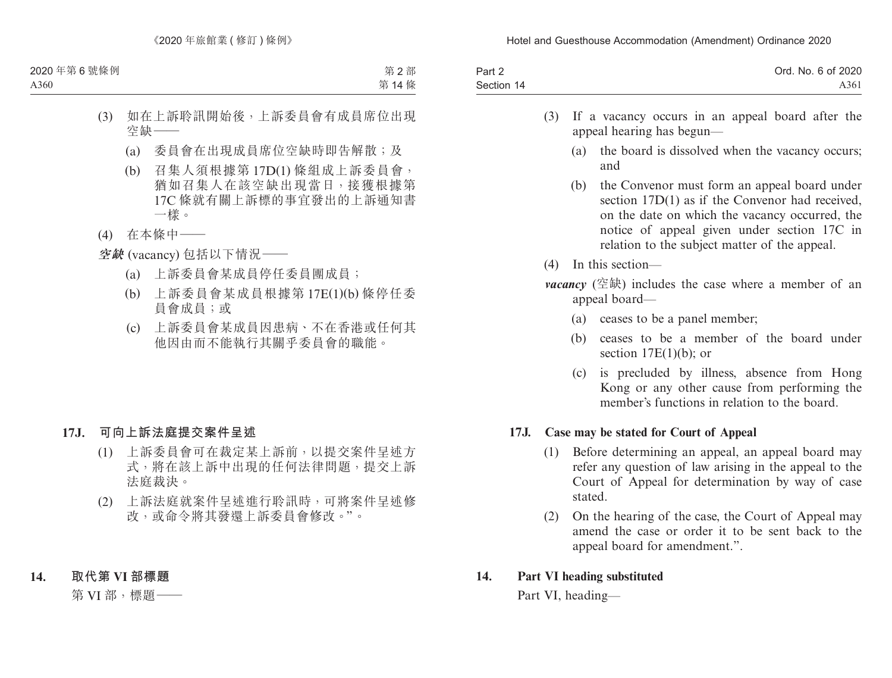| Part 2     | Ord. No. 6 of 2020 |
|------------|--------------------|
| Section 14 | A361               |

- (3) If a vacancy occurs in an appeal board after the appeal hearing has begun—
	- (a) the board is dissolved when the vacancy occurs; and
	- (b) the Convenor must form an appeal board under section 17D(1) as if the Convenor had received, on the date on which the vacancy occurred, the notice of appeal given under section 17C in relation to the subject matter of the appeal.
- (4) In this section—
- *vacancy* (空缺) includes the case where a member of an appeal board—
	- (a) ceases to be a panel member;
	- (b) ceases to be a member of the board under section  $17E(1)(b)$ ; or
	- (c) is precluded by illness, absence from Hong Kong or any other cause from performing the member's functions in relation to the board.

### **17J. Case may be stated for Court of Appeal**

- (1) Before determining an appeal, an appeal board may refer any question of law arising in the appeal to the Court of Appeal for determination by way of case stated.
- (2) On the hearing of the case, the Court of Appeal may amend the case or order it to be sent back to the appeal board for amendment.".

### **14. Part VI heading substituted**

Part VI, heading—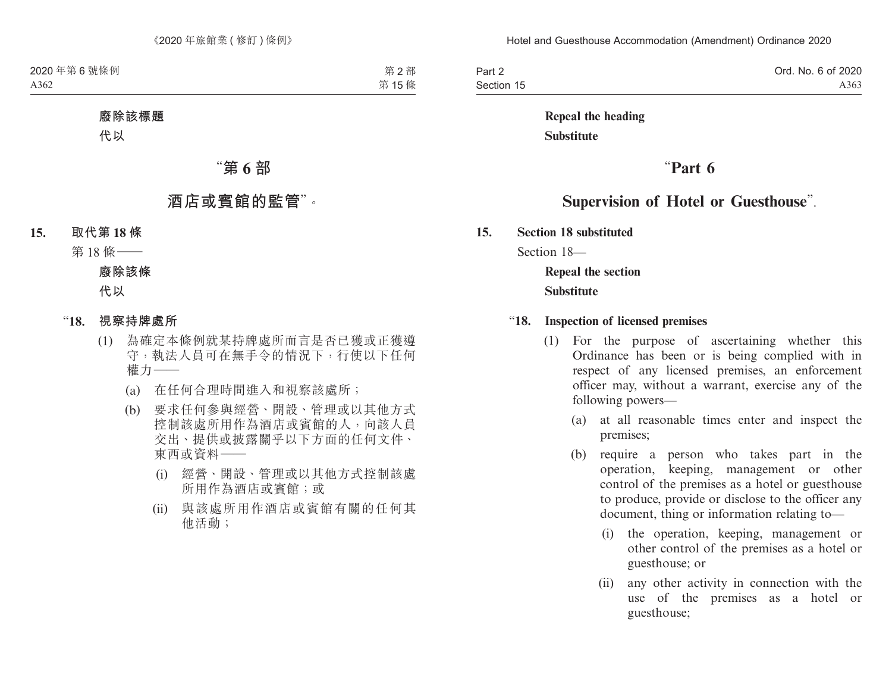| Part 2     | Ord. No. 6 of 2020 |
|------------|--------------------|
| Section 15 | A363               |

# **Repeal the heading Substitute**

# "**Part 6**

# **Supervision of Hotel or Guesthouse**".

**15. Section 18 substituted**

Section 18—

**Repeal the section Substitute**

#### "**18. Inspection of licensed premises**

- (1) For the purpose of ascertaining whether this Ordinance has been or is being complied with in respect of any licensed premises, an enforcement officer may, without a warrant, exercise any of the following powers—
	- (a) at all reasonable times enter and inspect the premises;
	- (b) require a person who takes part in the operation, keeping, management or other control of the premises as a hotel or guesthouse to produce, provide or disclose to the officer any document, thing or information relating to—
		- (i) the operation, keeping, management or other control of the premises as a hotel or guesthouse; or
		- (ii) any other activity in connection with the use of the premises as a hotel or guesthouse;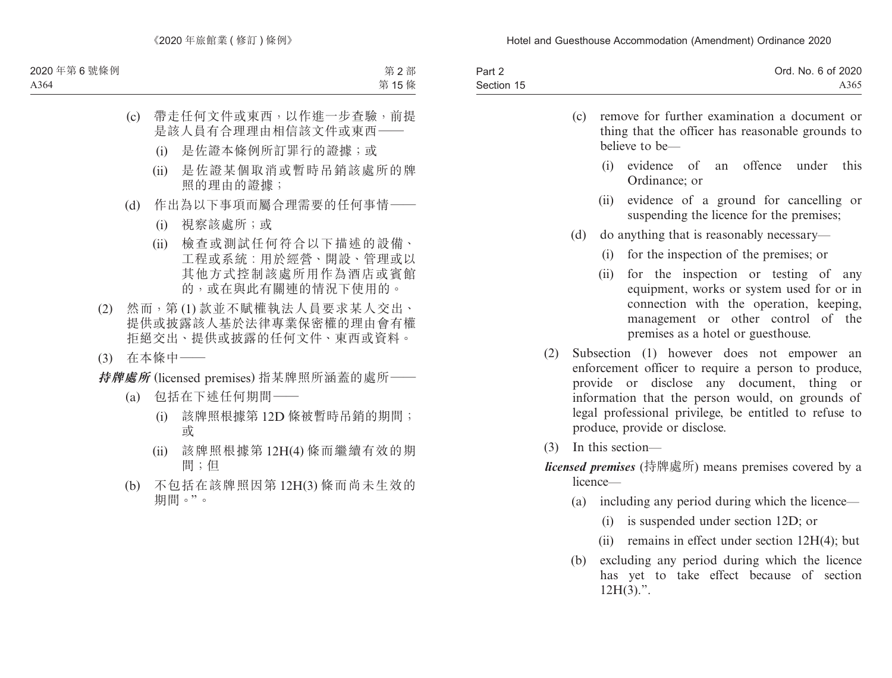| Part 2     | Ord. No. 6 of 2020 |
|------------|--------------------|
| Section 15 | A365               |

| remove for further examination a document or<br>(c)<br>thing that the officer has reasonable grounds to<br>believe to be- |     |                      |                                                                                                                                                                                                                                                               |
|---------------------------------------------------------------------------------------------------------------------------|-----|----------------------|---------------------------------------------------------------------------------------------------------------------------------------------------------------------------------------------------------------------------------------------------------------|
|                                                                                                                           |     | (i)<br>Ordinance; or | evidence of an offence under<br>this                                                                                                                                                                                                                          |
|                                                                                                                           |     |                      | (ii) evidence of a ground for cancelling or<br>suspending the licence for the premises;                                                                                                                                                                       |
|                                                                                                                           | (d) |                      | do anything that is reasonably necessary—                                                                                                                                                                                                                     |
|                                                                                                                           |     | (i)                  | for the inspection of the premises; or                                                                                                                                                                                                                        |
|                                                                                                                           |     |                      | (ii) for the inspection or testing of any<br>equipment, works or system used for or in<br>connection with the operation, keeping,<br>management or other control of the<br>premises as a hotel or guesthouse.                                                 |
| (2)                                                                                                                       |     |                      | Subsection (1) however does not empower an<br>enforcement officer to require a person to produce,<br>provide or disclose any document, thing or<br>information that the person would, on grounds of<br>legal professional privilege, be entitled to refuse to |

(3) In this section—

produce, provide or disclose.

- *licensed premises* (持牌處所) means premises covered by a licence—
	- (a) including any period during which the licence—
		- (i) is suspended under section 12D; or
		- (ii) remains in effect under section 12H(4); but
	- (b) excluding any period during which the licence has yet to take effect because of section  $12H(3)$ .".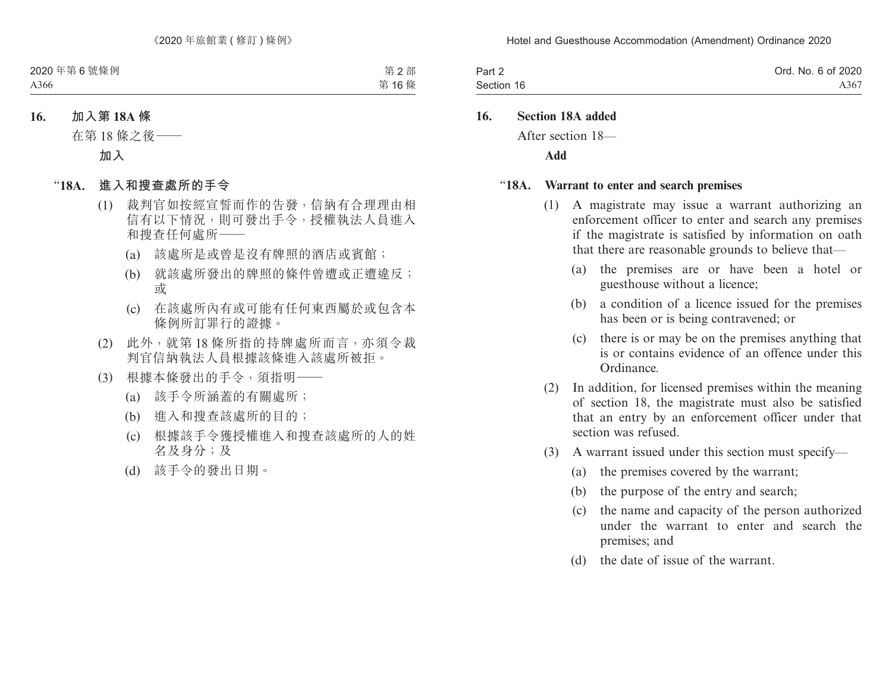| Part 2     | Ord. No. 6 of 2020 |
|------------|--------------------|
| Section 16 | A367               |

### **16. Section 18A added**

After section 18—

**Add**

#### "**18A. Warrant to enter and search premises**

- (1) A magistrate may issue a warrant authorizing an enforcement officer to enter and search any premises if the magistrate is satisfied by information on oath that there are reasonable grounds to believe that—
	- (a) the premises are or have been a hotel or guesthouse without a licence;
	- (b) a condition of a licence issued for the premises has been or is being contravened; or
	- (c) there is or may be on the premises anything that is or contains evidence of an offence under this Ordinance.
- (2) In addition, for licensed premises within the meaning of section 18, the magistrate must also be satisfied that an entry by an enforcement officer under that section was refused.
- (3) A warrant issued under this section must specify—
	- (a) the premises covered by the warrant;
	- (b) the purpose of the entry and search;
	- (c) the name and capacity of the person authorized under the warrant to enter and search the premises; and
	- (d) the date of issue of the warrant.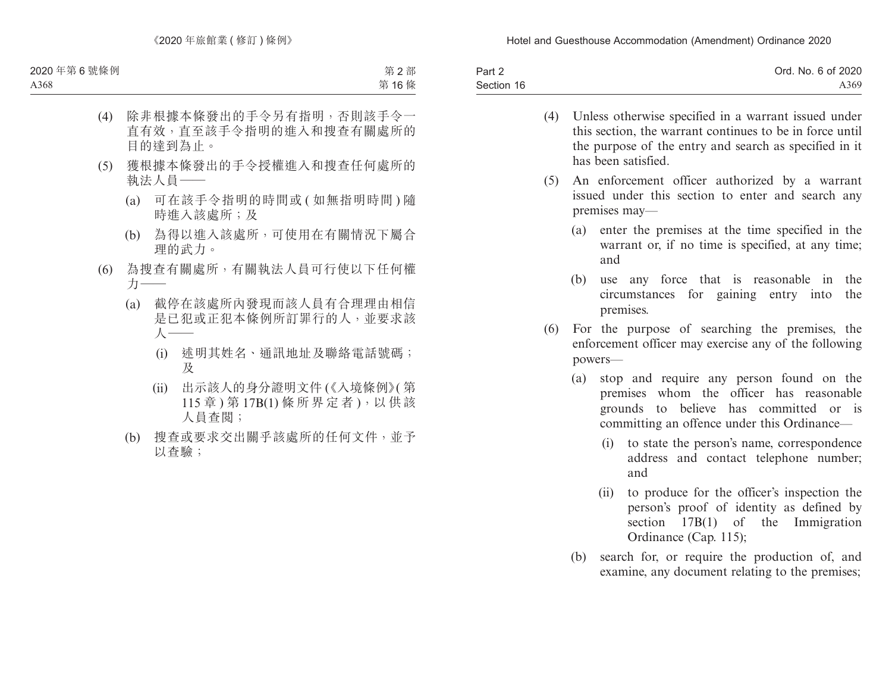| Part 2     | Ord. No. 6 of 2020 |
|------------|--------------------|
| Section 16 | A369               |

- (4) Unless otherwise specified in a warrant issued under this section, the warrant continues to be in force until the purpose of the entry and search as specified in it has been satisfied.
- (5) An enforcement officer authorized by a warrant issued under this section to enter and search any premises may—
	- (a) enter the premises at the time specified in the warrant or, if no time is specified, at any time: and
	- (b) use any force that is reasonable in the circumstances for gaining entry into the premises.
- (6) For the purpose of searching the premises, the enforcement officer may exercise any of the following powers—
	- (a) stop and require any person found on the premises whom the officer has reasonable grounds to believe has committed or is committing an offence under this Ordinance—
		- (i) to state the person's name, correspondence address and contact telephone number; and
		- (ii) to produce for the officer's inspection the person's proof of identity as defined by section 17B(1) of the Immigration Ordinance (Cap. 115);
	- (b) search for, or require the production of, and examine, any document relating to the premises;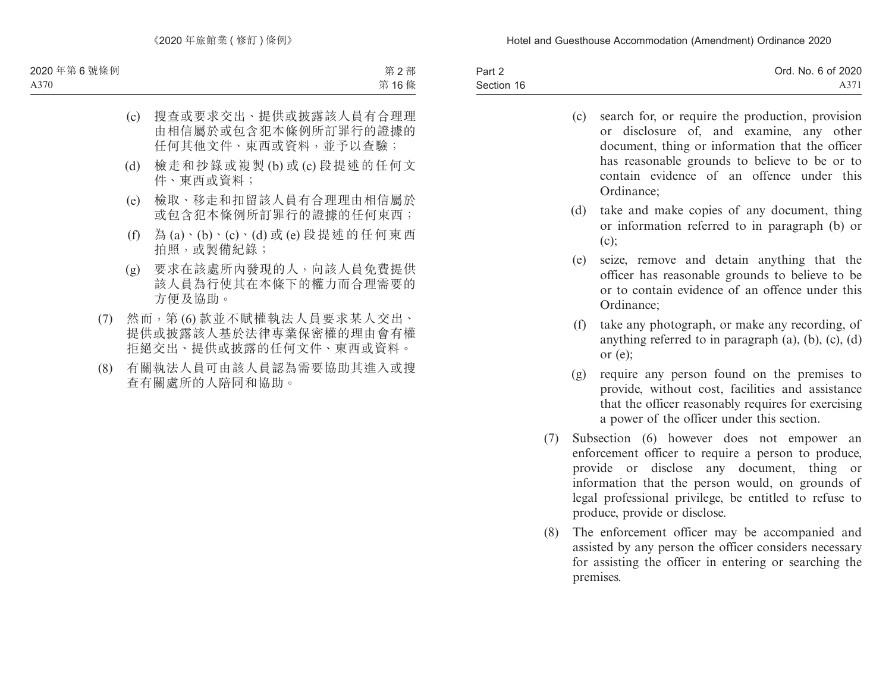| Part 2     | Ord. No. 6 of 2020 |
|------------|--------------------|
| Section 16 | A371               |

- (c) search for, or require the production, provision or disclosure of, and examine, any other document, thing or information that the officer has reasonable grounds to believe to be or to contain evidence of an offence under this Ordinance;
- (d) take and make copies of any document, thing or information referred to in paragraph (b) or  $(c)$ :
- (e) seize, remove and detain anything that the officer has reasonable grounds to believe to be or to contain evidence of an offence under this Ordinance;
- (f) take any photograph, or make any recording, of anything referred to in paragraph  $(a)$ ,  $(b)$ ,  $(c)$ ,  $(d)$ or (e);
- (g) require any person found on the premises to provide, without cost, facilities and assistance that the officer reasonably requires for exercising a power of the officer under this section.
- (7) Subsection (6) however does not empower an enforcement officer to require a person to produce, provide or disclose any document, thing or information that the person would, on grounds of legal professional privilege, be entitled to refuse to produce, provide or disclose.
- (8) The enforcement officer may be accompanied and assisted by any person the officer considers necessary for assisting the officer in entering or searching the premises.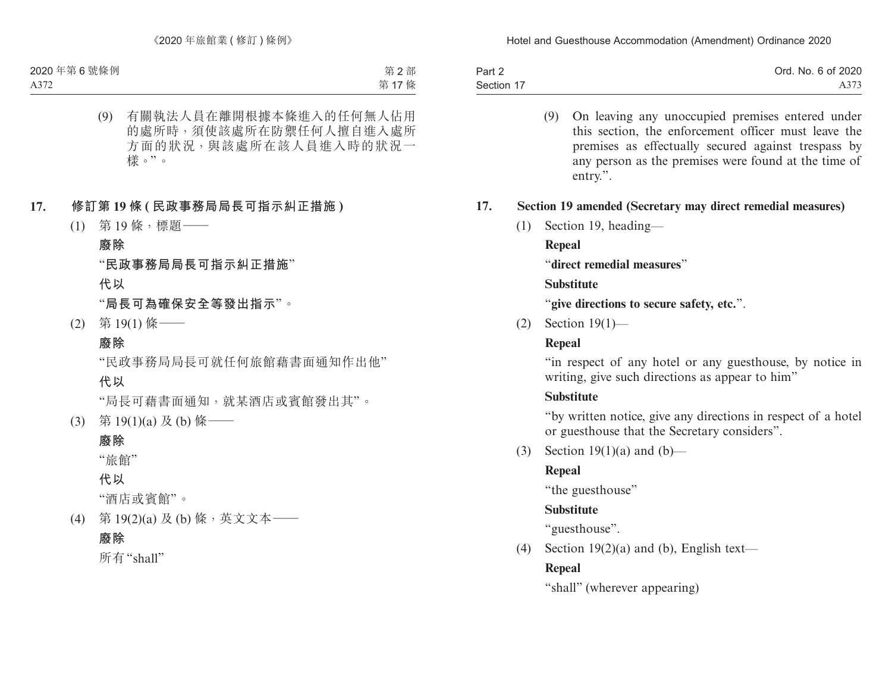| Part 2     | Ord. No. 6 of 2020 |
|------------|--------------------|
| Section 17 | A373               |

(9) On leaving any unoccupied premises entered under this section, the enforcement officer must leave the premises as effectually secured against trespass by any person as the premises were found at the time of entry.".

## **17. Section 19 amended (Secretary may direct remedial measures)**

(1) Section 19, heading—

## **Repeal**

"**direct remedial measures**"

## **Substitute**

"**give directions to secure safety, etc.**".

(2) Section 19(1)—

## **Repeal**

"in respect of any hotel or any guesthouse, by notice in writing, give such directions as appear to him"

## **Substitute**

"by written notice, give any directions in respect of a hotel or guesthouse that the Secretary considers".

(3) Section  $19(1)(a)$  and  $(b)$ —

# **Repeal**

"the guesthouse"

# **Substitute**

"guesthouse".

(4) Section  $19(2)(a)$  and (b), English text—

# **Repeal**

"shall" (wherever appearing)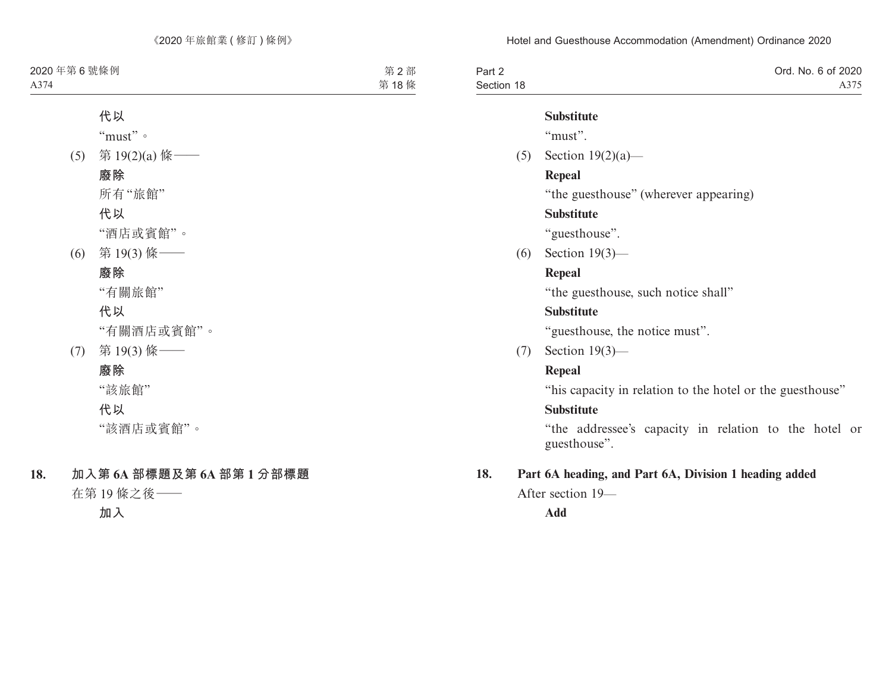| Part 2     | Ord. No. 6 of 2020 |
|------------|--------------------|
| Section 18 | A375               |

#### **Substitute**

"must".

(5) Section 19(2)(a)—

### **Repeal**

"the guesthouse" (wherever appearing)

### **Substitute**

"guesthouse".

(6) Section 19(3)—

### **Repeal**

"the guesthouse, such notice shall"

### **Substitute**

"guesthouse, the notice must".

(7) Section 19(3)—

### **Repeal**

"his capacity in relation to the hotel or the guesthouse"

### **Substitute**

"the addressee's capacity in relation to the hotel or guesthouse".

### **18. Part 6A heading, and Part 6A, Division 1 heading added**

After section 19—

**Add**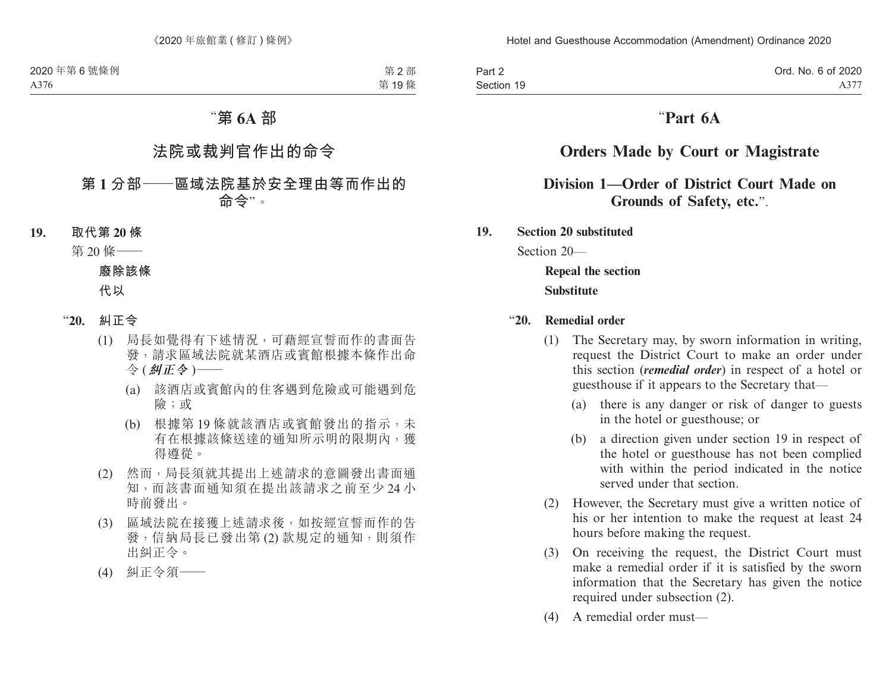| Part 2     |  |
|------------|--|
| Section 19 |  |

# "**Part 6A**

# **Orders Made by Court or Magistrate**

# **Division 1—Order of District Court Made on Grounds of Safety, etc.**".

### **19. Section 20 substituted**

Section 20—

# **Repeal the section Substitute**

### "**20. Remedial order**

- (1) The Secretary may, by sworn information in writing, request the District Court to make an order under this section (*remedial order*) in respect of a hotel or guesthouse if it appears to the Secretary that—
	- (a) there is any danger or risk of danger to guests in the hotel or guesthouse; or
	- (b) a direction given under section 19 in respect of the hotel or guesthouse has not been complied with within the period indicated in the notice served under that section.
- (2) However, the Secretary must give a written notice of his or her intention to make the request at least 24 hours before making the request.
- (3) On receiving the request, the District Court must make a remedial order if it is satisfied by the sworn information that the Secretary has given the notice required under subsection (2).
- (4) A remedial order must—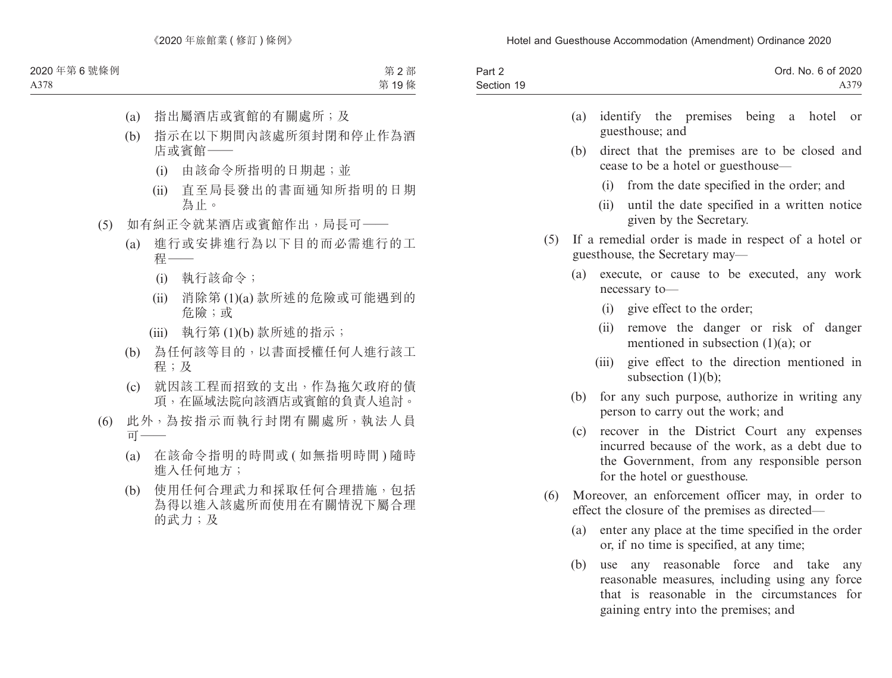| Part 2     | Ord. No. 6 of 2020 |
|------------|--------------------|
| Section 19 | A379               |

|                 | (a) identify the premises being a hotel or |  |  |
|-----------------|--------------------------------------------|--|--|
| guesthouse; and |                                            |  |  |

- (b) direct that the premises are to be closed and cease to be a hotel or guesthouse—
	- (i) from the date specified in the order; and
	- (ii) until the date specified in a written notice given by the Secretary.
- (5) If a remedial order is made in respect of a hotel or guesthouse, the Secretary may—
	- (a) execute, or cause to be executed, any work necessary to—
		- (i) give effect to the order;
		- (ii) remove the danger or risk of danger mentioned in subsection (1)(a); or
		- (iii) give effect to the direction mentioned in subsection  $(1)(b)$ ;
	- (b) for any such purpose, authorize in writing any person to carry out the work; and
	- (c) recover in the District Court any expenses incurred because of the work, as a debt due to the Government, from any responsible person for the hotel or guesthouse.
- (6) Moreover, an enforcement officer may, in order to effect the closure of the premises as directed—
	- (a) enter any place at the time specified in the order or, if no time is specified, at any time;
	- (b) use any reasonable force and take any reasonable measures, including using any force that is reasonable in the circumstances for gaining entry into the premises; and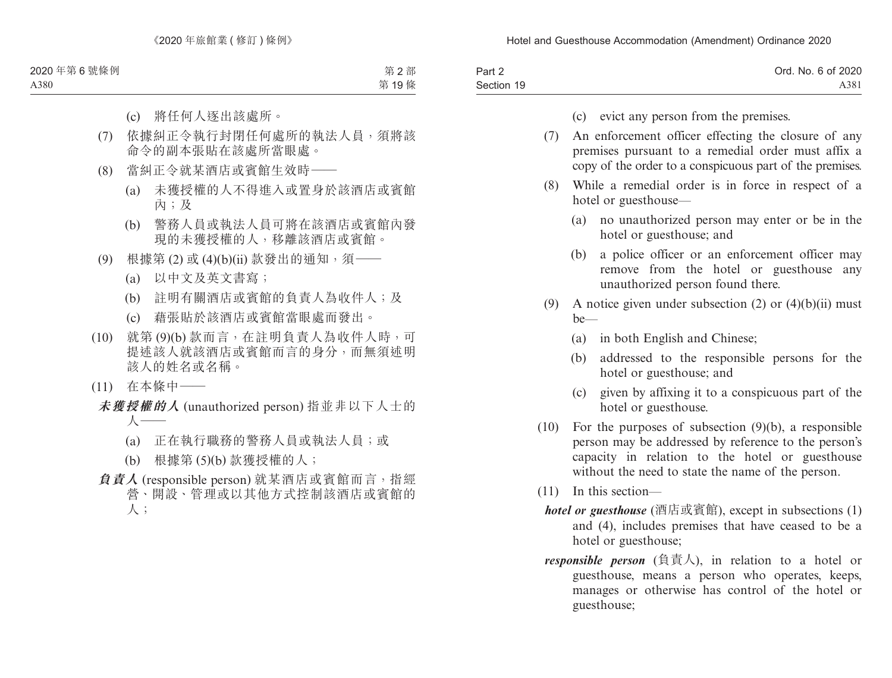| Part 2     | Ord. No. 6 of 2020 |
|------------|--------------------|
| Section 19 | A38 <sub>1</sub>   |

- (c) evict any person from the premises.
- (7) An enforcement officer effecting the closure of any premises pursuant to a remedial order must affix a copy of the order to a conspicuous part of the premises.
- (8) While a remedial order is in force in respect of a hotel or guesthouse—
	- (a) no unauthorized person may enter or be in the hotel or guesthouse; and
	- (b) a police officer or an enforcement officer may remove from the hotel or guesthouse any unauthorized person found there.
- (9) A notice given under subsection  $(2)$  or  $(4)(b)(ii)$  must  $he$ —
	- (a) in both English and Chinese;
	- (b) addressed to the responsible persons for the hotel or guesthouse; and
	- (c) given by affixing it to a conspicuous part of the hotel or guesthouse.
- (10) For the purposes of subsection (9)(b), a responsible person may be addressed by reference to the person's capacity in relation to the hotel or guesthouse without the need to state the name of the person.
- (11) In this section
	- *hotel or guesthouse* (酒店或賓館), except in subsections (1) and (4), includes premises that have ceased to be a hotel or guesthouse;
	- *responsible person* (負責人), in relation to a hotel or guesthouse, means a person who operates, keeps, manages or otherwise has control of the hotel or guesthouse;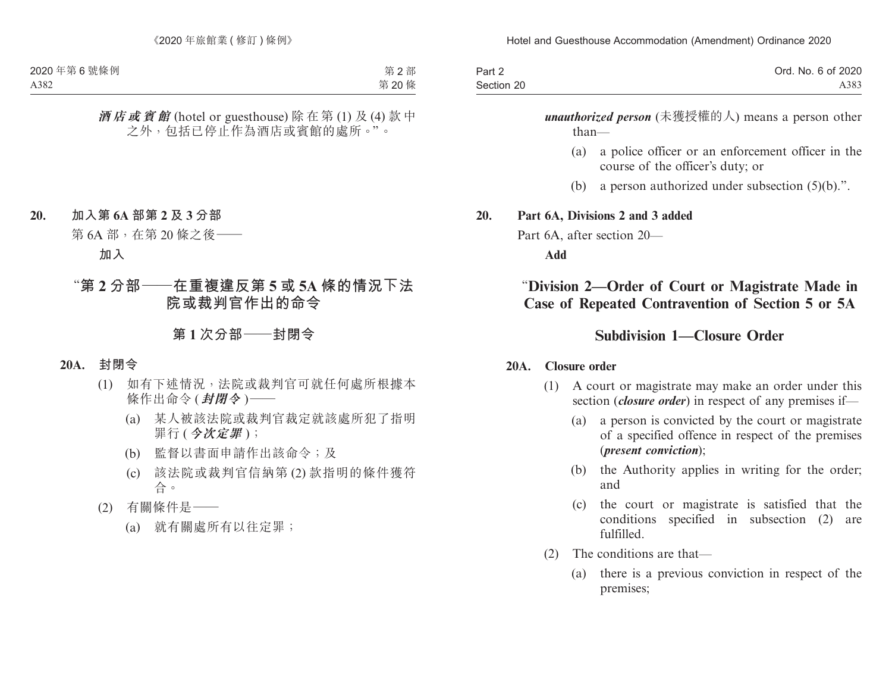| Part 2     | Ord. No. 6 of 2020 |
|------------|--------------------|
| Section 20 | A383               |

*unauthorized person* (未獲授權的人) means a person other than—

- (a) a police officer or an enforcement officer in the course of the officer's duty; or
- (b) a person authorized under subsection (5)(b).".

#### **20. Part 6A, Divisions 2 and 3 added**

Part 6A, after section 20—

**Add**

# "**Division 2—Order of Court or Magistrate Made in Case of Repeated Contravention of Section 5 or 5A**

## **Subdivision 1—Closure Order**

#### **20A. Closure order**

- (1) A court or magistrate may make an order under this section (*closure order*) in respect of any premises if—
	- (a) a person is convicted by the court or magistrate of a specified offence in respect of the premises (*present conviction*);
	- (b) the Authority applies in writing for the order; and
	- (c) the court or magistrate is satisfied that the conditions specified in subsection (2) are fulfilled.
- (2) The conditions are that—
	- (a) there is a previous conviction in respect of the premises;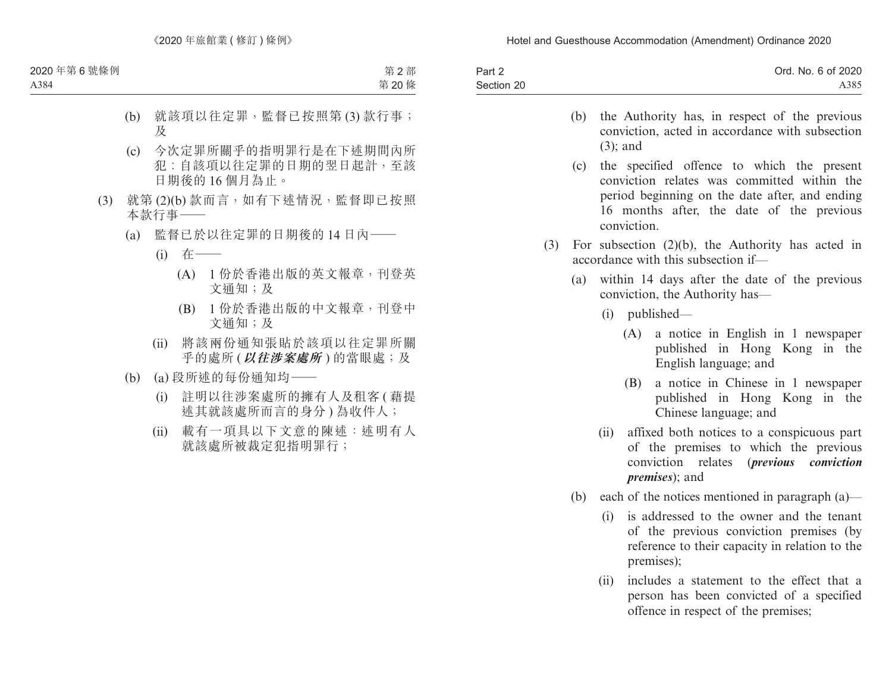| Part 2     | Ord. No. 6 of 2020 |
|------------|--------------------|
| Section 20 | A385               |

- (b) the Authority has, in respect of the previous conviction, acted in accordance with subsection (3); and
- (c) the specified offence to which the present conviction relates was committed within the period beginning on the date after, and ending 16 months after, the date of the previous conviction.
- (3) For subsection (2)(b), the Authority has acted in accordance with this subsection if—
	- (a) within 14 days after the date of the previous conviction, the Authority has—
		- (i) published—
			- (A) a notice in English in 1 newspaper published in Hong Kong in the English language; and
			- (B) a notice in Chinese in 1 newspaper published in Hong Kong in the Chinese language; and
		- (ii) affixed both notices to a conspicuous part of the premises to which the previous conviction relates (*previous conviction premises*); and
	- (b) each of the notices mentioned in paragraph  $(a)$ 
		- (i) is addressed to the owner and the tenant of the previous conviction premises (by reference to their capacity in relation to the premises);
		- (ii) includes a statement to the effect that a person has been convicted of a specified offence in respect of the premises;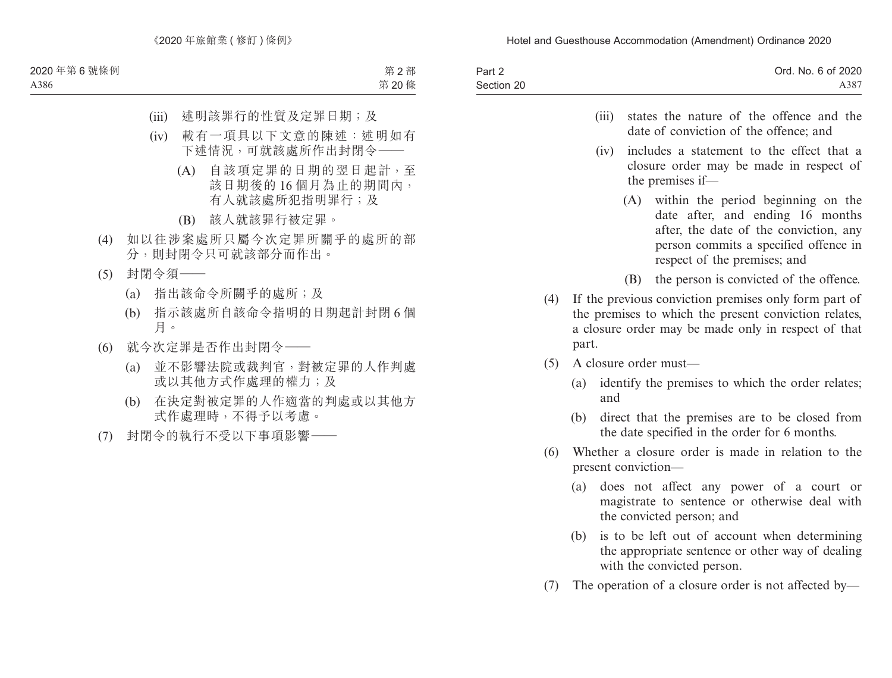| Part 2     | Ord. No. 6 of 2020 |
|------------|--------------------|
| Section 20 | A387               |

- (iii) states the nature of the offence and the date of conviction of the offence; and
- (iv) includes a statement to the effect that a closure order may be made in respect of the premises if—
	- (A) within the period beginning on the date after, and ending 16 months after, the date of the conviction, any person commits a specified offence in respect of the premises; and
	- (B) the person is convicted of the offence.
- (4) If the previous conviction premises only form part of the premises to which the present conviction relates, a closure order may be made only in respect of that part.
- (5) A closure order must—
	- (a) identify the premises to which the order relates; and
	- (b) direct that the premises are to be closed from the date specified in the order for 6 months.
- (6) Whether a closure order is made in relation to the present conviction—
	- (a) does not affect any power of a court or magistrate to sentence or otherwise deal with the convicted person; and
	- (b) is to be left out of account when determining the appropriate sentence or other way of dealing with the convicted person.
- (7) The operation of a closure order is not affected by—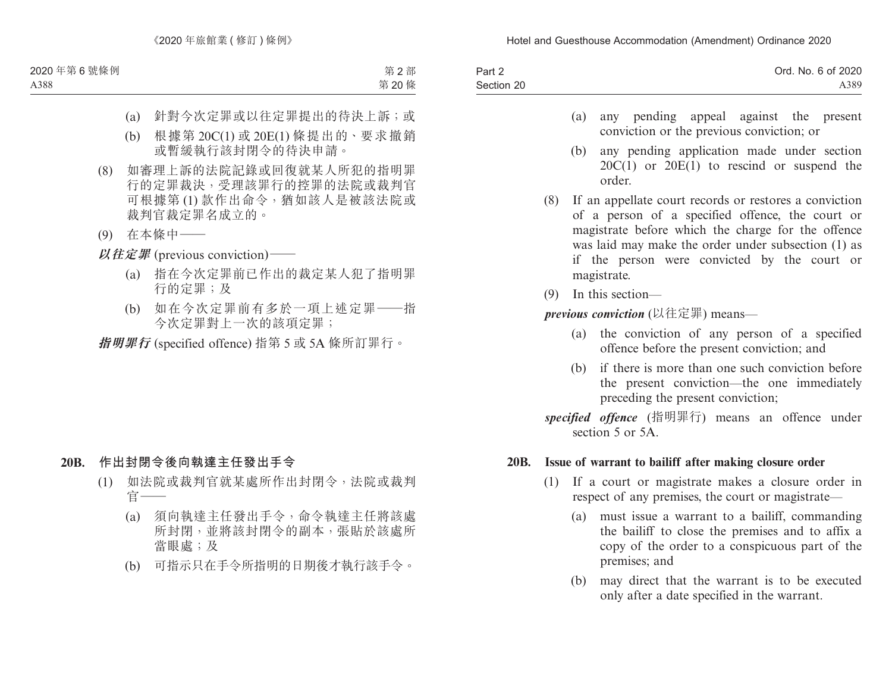| Part 2     | Ord. No. 6 of 2020 |
|------------|--------------------|
| Section 20 | A389               |

- (a) any pending appeal against the present conviction or the previous conviction; or
- (b) any pending application made under section 20C(1) or 20E(1) to rescind or suspend the order.
- (8) If an appellate court records or restores a conviction of a person of a specified offence, the court or magistrate before which the charge for the offence was laid may make the order under subsection (1) as if the person were convicted by the court or magistrate.
- (9) In this section—

### *previous conviction* (以往定罪) means—

- (a) the conviction of any person of a specified offence before the present conviction; and
- (b) if there is more than one such conviction before the present conviction—the one immediately preceding the present conviction;
- *specified offence* (指明罪行) means an offence under section 5 or 5A.

### **20B. Issue of warrant to bailiff after making closure order**

- (1) If a court or magistrate makes a closure order in respect of any premises, the court or magistrate—
	- (a) must issue a warrant to a bailiff, commanding the bailiff to close the premises and to affix a copy of the order to a conspicuous part of the premises; and
	- (b) may direct that the warrant is to be executed only after a date specified in the warrant.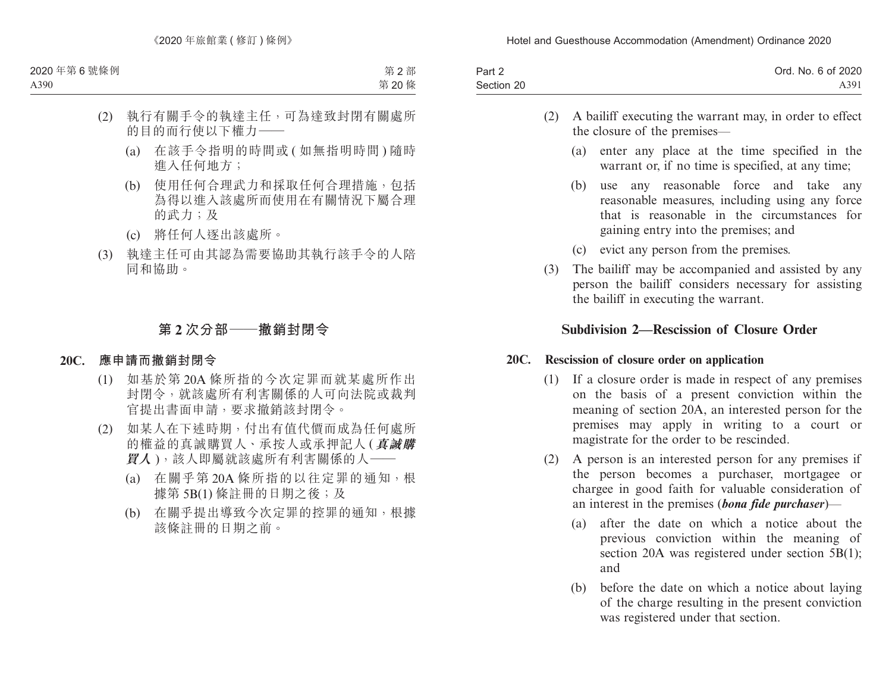| Part 2     | Ord. No. 6 of 2020 |
|------------|--------------------|
| Section 20 | A391               |

- (2) A bailiff executing the warrant may, in order to effect the closure of the premises—
	- (a) enter any place at the time specified in the warrant or, if no time is specified, at any time:
	- (b) use any reasonable force and take any reasonable measures, including using any force that is reasonable in the circumstances for gaining entry into the premises; and
	- (c) evict any person from the premises.
- (3) The bailiff may be accompanied and assisted by any person the bailiff considers necessary for assisting the bailiff in executing the warrant.

## **Subdivision 2—Rescission of Closure Order**

### **20C. Rescission of closure order on application**

- (1) If a closure order is made in respect of any premises on the basis of a present conviction within the meaning of section 20A, an interested person for the premises may apply in writing to a court or magistrate for the order to be rescinded.
- (2) A person is an interested person for any premises if the person becomes a purchaser, mortgagee or chargee in good faith for valuable consideration of an interest in the premises (*bona fide purchaser*)—
	- (a) after the date on which a notice about the previous conviction within the meaning of section 20A was registered under section 5B(1); and
	- (b) before the date on which a notice about laying of the charge resulting in the present conviction was registered under that section.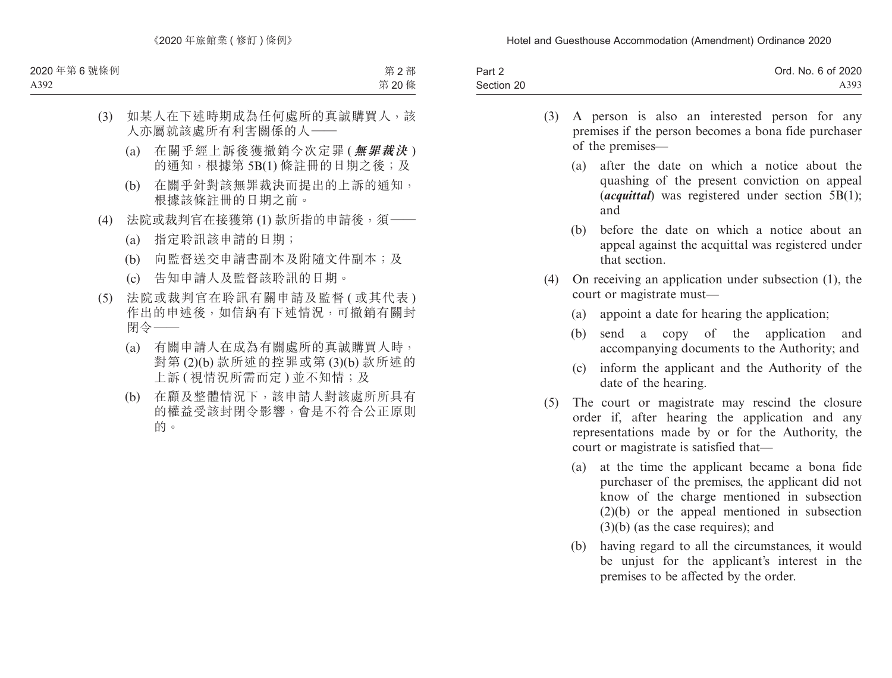| Part 2     | Ord. No. 6 of 2020 |
|------------|--------------------|
| Section 20 | A393               |

- (3) A person is also an interested person for any premises if the person becomes a bona fide purchaser of the premises—
	- (a) after the date on which a notice about the quashing of the present conviction on appeal (*acquittal*) was registered under section 5B(1); and
	- (b) before the date on which a notice about an appeal against the acquittal was registered under that section.
- (4) On receiving an application under subsection (1), the court or magistrate must—
	- (a) appoint a date for hearing the application;
	- (b) send a copy of the application and accompanying documents to the Authority; and
	- (c) inform the applicant and the Authority of the date of the hearing.
- (5) The court or magistrate may rescind the closure order if, after hearing the application and any representations made by or for the Authority, the court or magistrate is satisfied that—
	- (a) at the time the applicant became a bona fide purchaser of the premises, the applicant did not know of the charge mentioned in subsection (2)(b) or the appeal mentioned in subsection (3)(b) (as the case requires); and
	- (b) having regard to all the circumstances, it would be unjust for the applicant's interest in the premises to be affected by the order.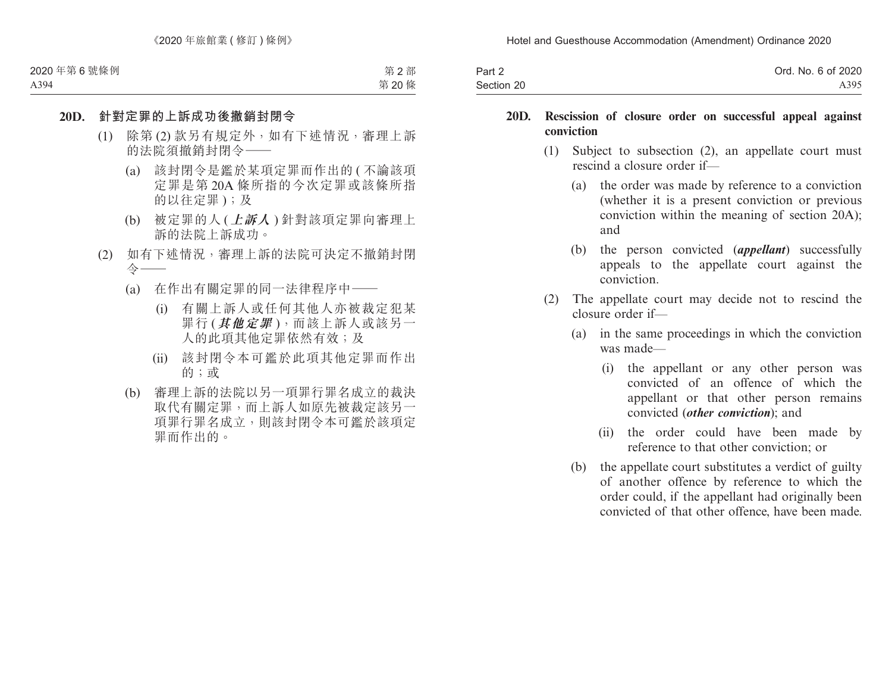| Part 2     | Ord. No. 6 of 2020 |
|------------|--------------------|
| Section 20 | A395               |

#### **20D. Rescission of closure order on successful appeal against conviction**

- (1) Subject to subsection (2), an appellate court must rescind a closure order if—
	- (a) the order was made by reference to a conviction (whether it is a present conviction or previous conviction within the meaning of section 20A); and
	- (b) the person convicted (*appellant*) successfully appeals to the appellate court against the conviction.
- (2) The appellate court may decide not to rescind the closure order if—
	- (a) in the same proceedings in which the conviction was made—
		- (i) the appellant or any other person was convicted of an offence of which the appellant or that other person remains convicted (*other conviction*); and
		- (ii) the order could have been made by reference to that other conviction; or
	- (b) the appellate court substitutes a verdict of guilty of another offence by reference to which the order could, if the appellant had originally been convicted of that other offence, have been made.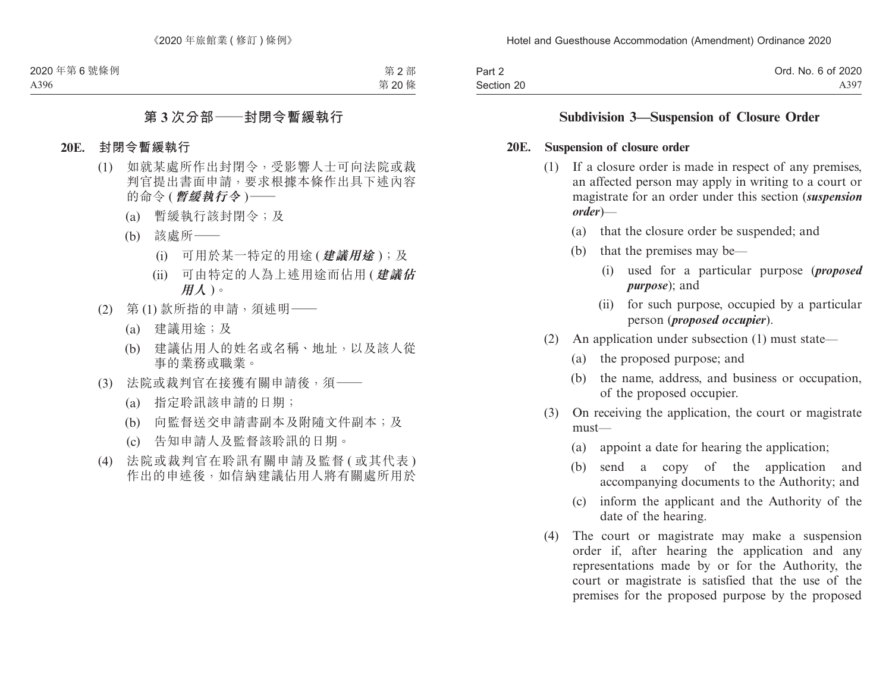| Part 2     | Ord. No. 6 of 2020 |
|------------|--------------------|
| Section 20 | A397               |

## **Subdivision 3—Suspension of Closure Order**

#### **20E. Suspension of closure order**

- (1) If a closure order is made in respect of any premises, an affected person may apply in writing to a court or magistrate for an order under this section (*suspension order*)—
	- (a) that the closure order be suspended; and
	- (b) that the premises may be—
		- (i) used for a particular purpose (*proposed purpose*); and
		- (ii) for such purpose, occupied by a particular person (*proposed occupier*).
- (2) An application under subsection (1) must state—
	- (a) the proposed purpose; and
	- (b) the name, address, and business or occupation, of the proposed occupier.
- (3) On receiving the application, the court or magistrate must—
	- (a) appoint a date for hearing the application;
	- (b) send a copy of the application and accompanying documents to the Authority; and
	- (c) inform the applicant and the Authority of the date of the hearing.
- (4) The court or magistrate may make a suspension order if, after hearing the application and any representations made by or for the Authority, the court or magistrate is satisfied that the use of the premises for the proposed purpose by the proposed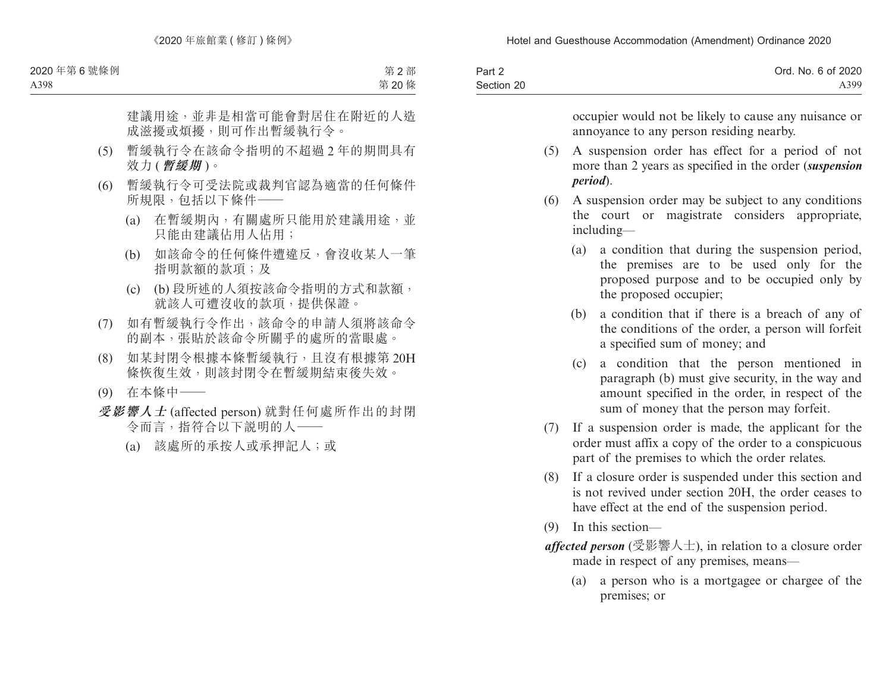| Part 2     | Ord. No. 6 of 2020 |
|------------|--------------------|
| Section 20 | A399               |

occupier would not be likely to cause any nuisance or annoyance to any person residing nearby.

- (5) A suspension order has effect for a period of not more than 2 years as specified in the order (*suspension period*).
- (6) A suspension order may be subject to any conditions the court or magistrate considers appropriate, including—
	- (a) a condition that during the suspension period, the premises are to be used only for the proposed purpose and to be occupied only by the proposed occupier;
	- (b) a condition that if there is a breach of any of the conditions of the order, a person will forfeit a specified sum of money; and
	- (c) a condition that the person mentioned in paragraph (b) must give security, in the way and amount specified in the order, in respect of the sum of money that the person may forfeit.
- (7) If a suspension order is made, the applicant for the order must affix a copy of the order to a conspicuous part of the premises to which the order relates.
- (8) If a closure order is suspended under this section and is not revived under section 20H, the order ceases to have effect at the end of the suspension period.
- (9) In this section—
- *affected person* (受影響人士), in relation to a closure order made in respect of any premises, means—
	- (a) a person who is a mortgagee or chargee of the premises; or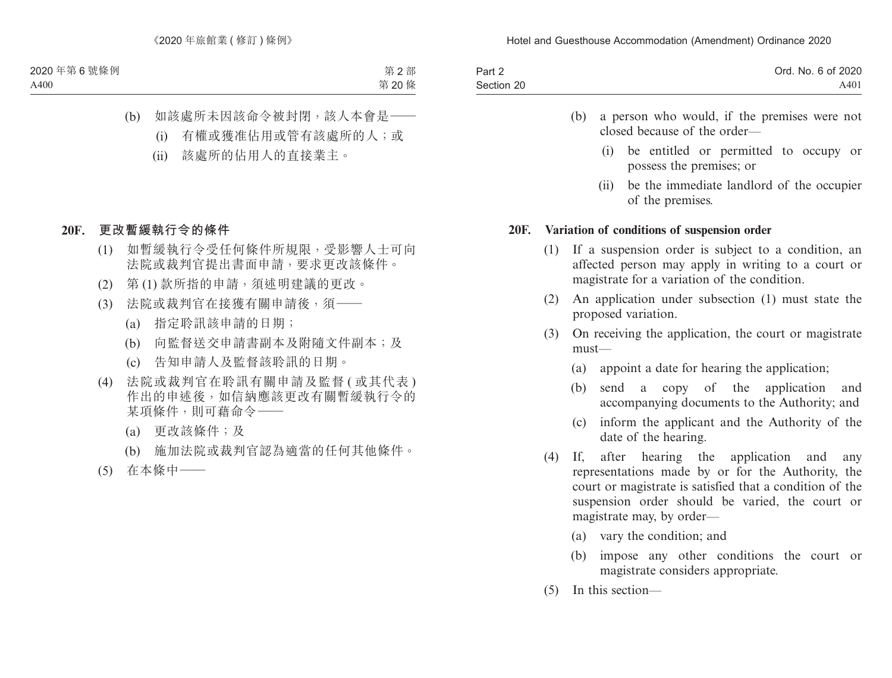| Part 2     | Ord. No. 6 of 2020 |
|------------|--------------------|
| Section 20 | A401               |

- (b) a person who would, if the premises were not closed because of the order—
	- (i) be entitled or permitted to occupy or possess the premises; or
	- (ii) be the immediate landlord of the occupier of the premises.

#### **20F. Variation of conditions of suspension order**

- (1) If a suspension order is subject to a condition, an affected person may apply in writing to a court or magistrate for a variation of the condition.
- (2) An application under subsection (1) must state the proposed variation.
- (3) On receiving the application, the court or magistrate must—
	- (a) appoint a date for hearing the application;
	- (b) send a copy of the application and accompanying documents to the Authority; and
	- (c) inform the applicant and the Authority of the date of the hearing.
- (4) If, after hearing the application and any representations made by or for the Authority, the court or magistrate is satisfied that a condition of the suspension order should be varied, the court or magistrate may, by order—
	- (a) vary the condition; and
	- (b) impose any other conditions the court or magistrate considers appropriate.
- (5) In this section—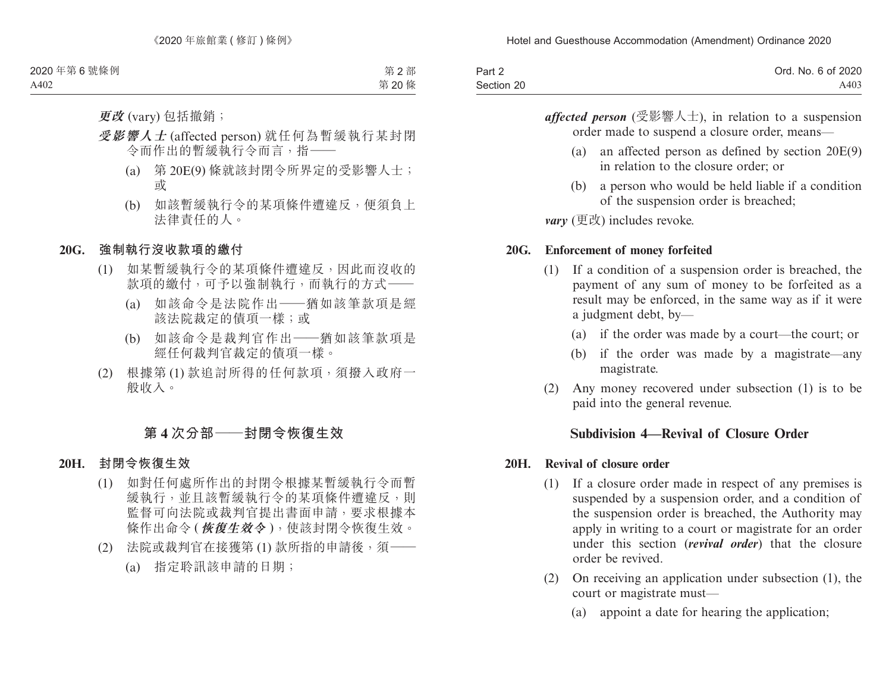| Part 2     | Ord. No. 6 of 2020 |
|------------|--------------------|
| Section 20 | A403               |

*affected person* (受影響人士), in relation to a suspension order made to suspend a closure order, means—

- (a) an affected person as defined by section 20E(9) in relation to the closure order; or
- (b) a person who would be held liable if a condition of the suspension order is breached;

*vary* (更改) includes revoke.

### **20G. Enforcement of money forfeited**

- (1) If a condition of a suspension order is breached, the payment of any sum of money to be forfeited as a result may be enforced, in the same way as if it were a judgment debt, by—
	- (a) if the order was made by a court—the court; or
	- (b) if the order was made by a magistrate—any magistrate.
- (2) Any money recovered under subsection (1) is to be paid into the general revenue.

## **Subdivision 4—Revival of Closure Order**

### **20H. Revival of closure order**

- (1) If a closure order made in respect of any premises is suspended by a suspension order, and a condition of the suspension order is breached, the Authority may apply in writing to a court or magistrate for an order under this section (*revival order*) that the closure order be revived.
- (2) On receiving an application under subsection (1), the court or magistrate must—
	- (a) appoint a date for hearing the application;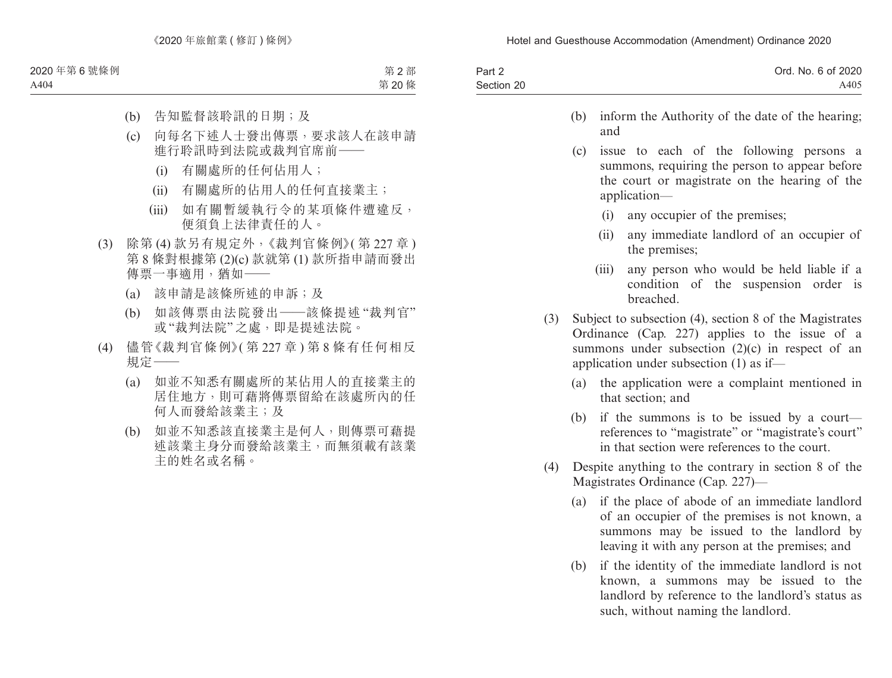| Part 2     | Ord. No. 6 of 2020 |
|------------|--------------------|
| Section 20 | A405               |

- (b) inform the Authority of the date of the hearing; and
- (c) issue to each of the following persons a summons, requiring the person to appear before the court or magistrate on the hearing of the application—
	- (i) any occupier of the premises;
	- (ii) any immediate landlord of an occupier of the premises;
	- (iii) any person who would be held liable if a condition of the suspension order is breached.
- (3) Subject to subsection (4), section 8 of the Magistrates Ordinance (Cap. 227) applies to the issue of a summons under subsection  $(2)(c)$  in respect of an application under subsection (1) as if—
	- (a) the application were a complaint mentioned in that section; and
	- (b) if the summons is to be issued by a court references to "magistrate" or "magistrate's court" in that section were references to the court.
- (4) Despite anything to the contrary in section 8 of the Magistrates Ordinance (Cap. 227)—
	- (a) if the place of abode of an immediate landlord of an occupier of the premises is not known, a summons may be issued to the landlord by leaving it with any person at the premises; and
	- (b) if the identity of the immediate landlord is not known, a summons may be issued to the landlord by reference to the landlord's status as such, without naming the landlord.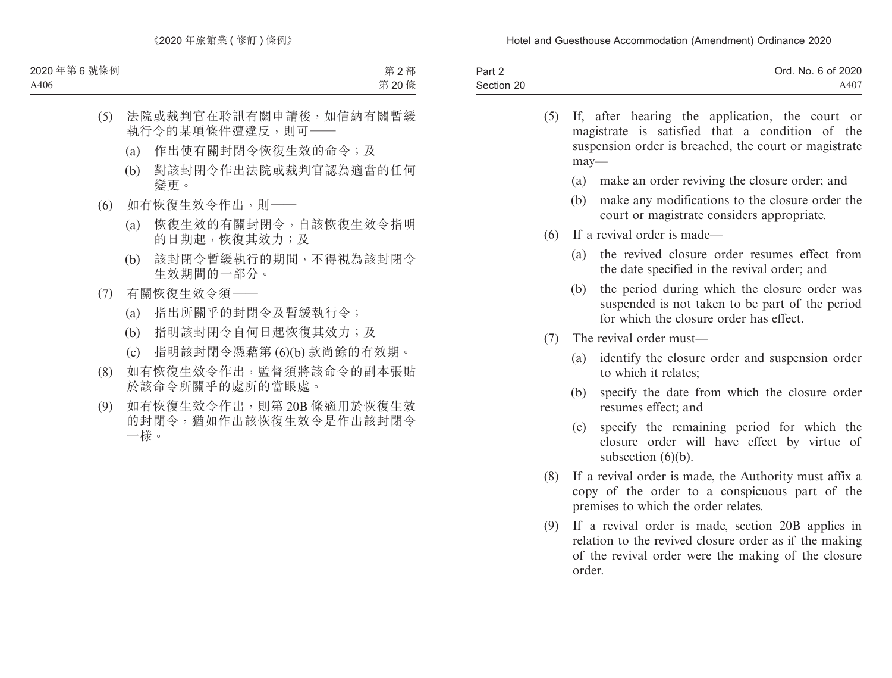| Part 2     | Ord. No. 6 of 2020 |
|------------|--------------------|
| Section 20 | A407               |

- (5) If, after hearing the application, the court or magistrate is satisfied that a condition of the suspension order is breached, the court or magistrate may—
	- (a) make an order reviving the closure order; and
	- (b) make any modifications to the closure order the court or magistrate considers appropriate.
- (6) If a revival order is made—
	- (a) the revived closure order resumes effect from the date specified in the revival order; and
	- (b) the period during which the closure order was suspended is not taken to be part of the period for which the closure order has effect.
- (7) The revival order must—
	- (a) identify the closure order and suspension order to which it relates;
	- (b) specify the date from which the closure order resumes effect; and
	- (c) specify the remaining period for which the closure order will have effect by virtue of subsection (6)(b).
- (8) If a revival order is made, the Authority must affix a copy of the order to a conspicuous part of the premises to which the order relates.
- (9) If a revival order is made, section 20B applies in relation to the revived closure order as if the making of the revival order were the making of the closure order.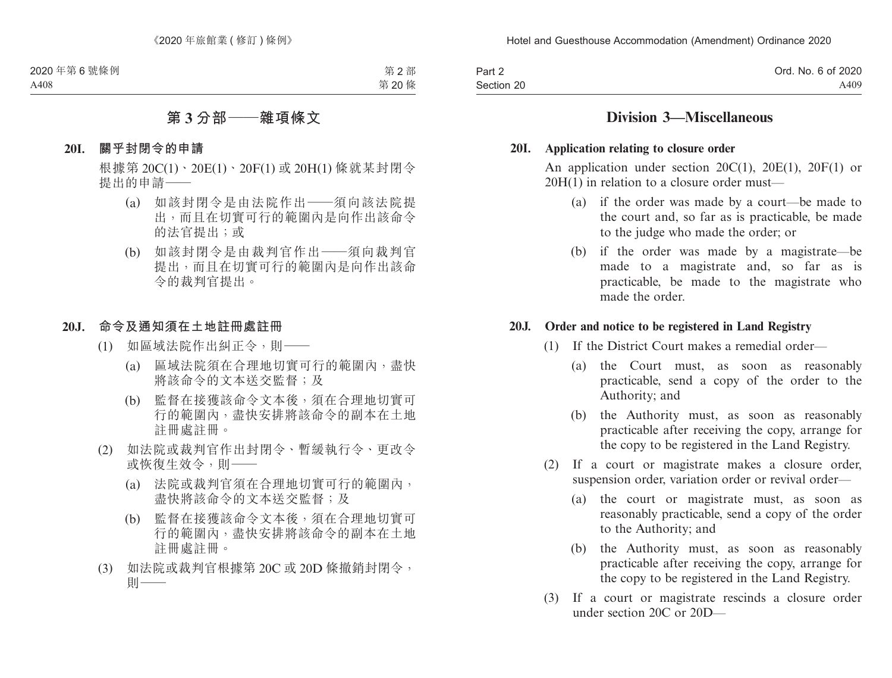| Part 2     | Ord. No. 6 of 2020 |
|------------|--------------------|
| Section 20 | A409               |

## **Division 3—Miscellaneous**

#### **20I. Application relating to closure order**

An application under section  $20C(1)$ ,  $20E(1)$ ,  $20F(1)$  or 20H(1) in relation to a closure order must—

- (a) if the order was made by a court—be made to the court and, so far as is practicable, be made to the judge who made the order; or
- (b) if the order was made by a magistrate—be made to a magistrate and, so far as is practicable, be made to the magistrate who made the order.

#### **20J. Order and notice to be registered in Land Registry**

- (1) If the District Court makes a remedial order—
	- (a) the Court must, as soon as reasonably practicable, send a copy of the order to the Authority; and
	- (b) the Authority must, as soon as reasonably practicable after receiving the copy, arrange for the copy to be registered in the Land Registry.
- (2) If a court or magistrate makes a closure order, suspension order, variation order or revival order—
	- (a) the court or magistrate must, as soon as reasonably practicable, send a copy of the order to the Authority; and
	- (b) the Authority must, as soon as reasonably practicable after receiving the copy, arrange for the copy to be registered in the Land Registry.
- (3) If a court or magistrate rescinds a closure order under section 20C or 20D—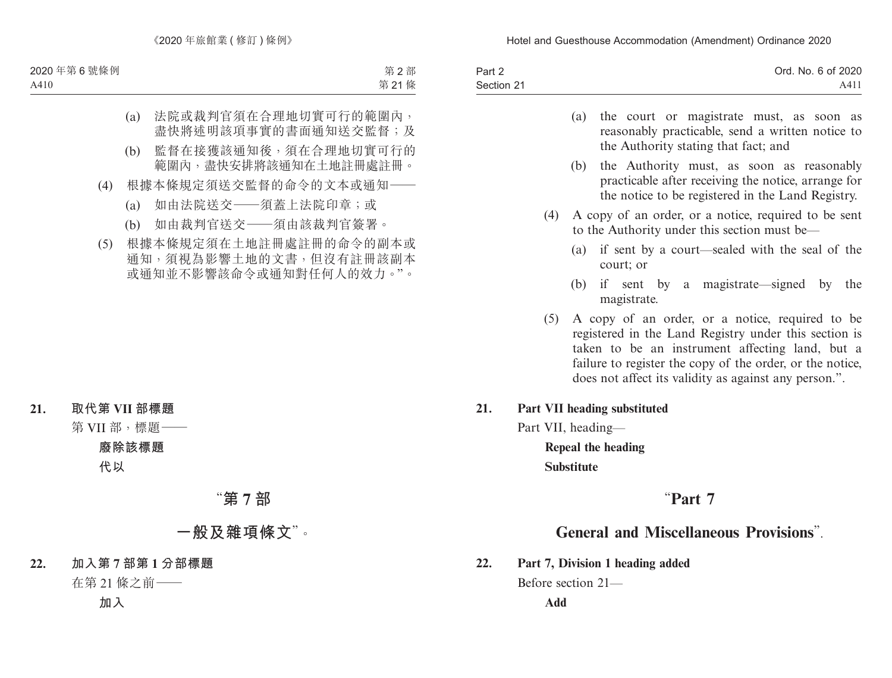| Part 2     | Ord. No. 6 of 2020 |
|------------|--------------------|
| Section 21 | A41 <sub>1</sub>   |

- (a) the court or magistrate must, as soon as reasonably practicable, send a written notice to the Authority stating that fact; and
- (b) the Authority must, as soon as reasonably practicable after receiving the notice, arrange for the notice to be registered in the Land Registry.
- (4) A copy of an order, or a notice, required to be sent to the Authority under this section must be—
	- (a) if sent by a court—sealed with the seal of the court; or
	- (b) if sent by a magistrate—signed by the magistrate.
- (5) A copy of an order, or a notice, required to be registered in the Land Registry under this section is taken to be an instrument affecting land, but a failure to register the copy of the order, or the notice, does not affect its validity as against any person.".

#### **21. Part VII heading substituted**

Part VII, heading—

**Repeal the heading Substitute**

# "**Part 7**

# **General and Miscellaneous Provisions**".

**22. Part 7, Division 1 heading added**

Before section 21—

**Add**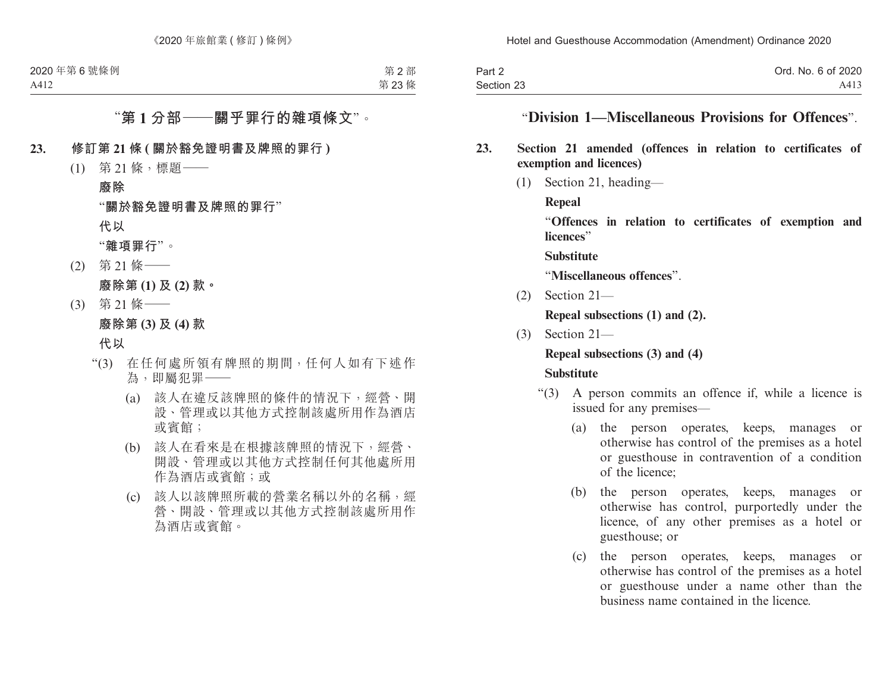| Part 2     | Ord. No. 6 of 2020 |
|------------|--------------------|
| Section 23 | A413               |

## "**Division 1—Miscellaneous Provisions for Offences**".

### **23. Section 21 amended (offences in relation to certificates of exemption and licences)**

(1) Section 21, heading—

**Repeal**

"**Offences in relation to certificates of exemption and licences**"

**Substitute**

"**Miscellaneous offences**".

(2) Section 21—

**Repeal subsections (1) and (2).**

(3) Section 21—

#### **Repeal subsections (3) and (4)**

#### **Substitute**

- "(3) A person commits an offence if, while a licence is issued for any premises—
	- (a) the person operates, keeps, manages or otherwise has control of the premises as a hotel or guesthouse in contravention of a condition of the licence;
	- (b) the person operates, keeps, manages or otherwise has control, purportedly under the licence, of any other premises as a hotel or guesthouse; or
	- (c) the person operates, keeps, manages or otherwise has control of the premises as a hotel or guesthouse under a name other than the business name contained in the licence.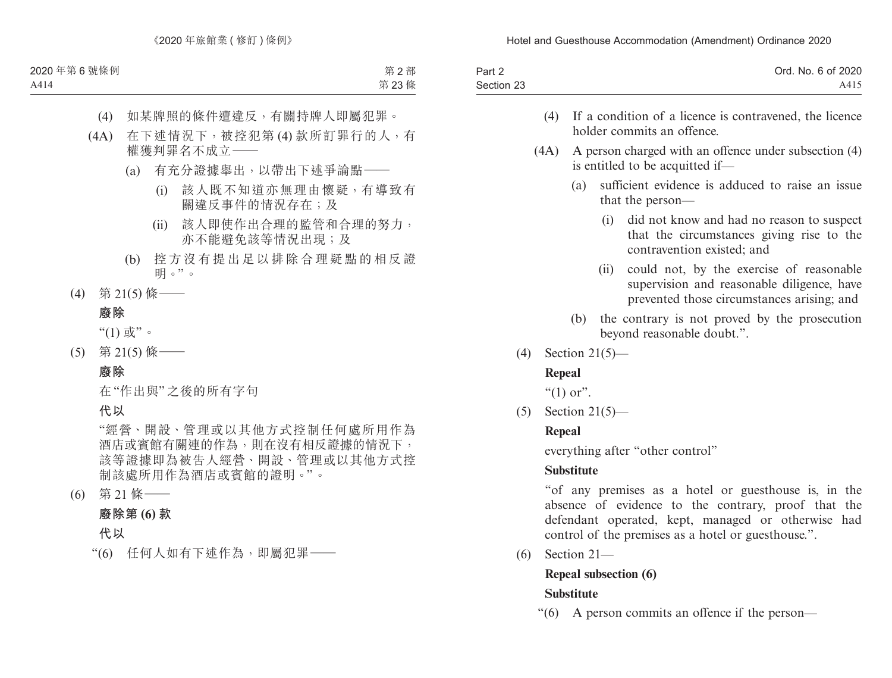| Part 2     | Ord. No. 6 of 2020 |
|------------|--------------------|
| Section 23 | A415               |

- (4) If a condition of a licence is contravened, the licence holder commits an offence.
- (4A) A person charged with an offence under subsection (4) is entitled to be acquitted if—
	- (a) sufficient evidence is adduced to raise an issue that the person—
		- (i) did not know and had no reason to suspect that the circumstances giving rise to the contravention existed; and
		- (ii) could not, by the exercise of reasonable supervision and reasonable diligence, have prevented those circumstances arising; and
	- (b) the contrary is not proved by the prosecution beyond reasonable doubt.".
- (4) Section 21(5)—

## **Repeal**

"(1) or".

(5) Section 21(5)—

## **Repeal**

everything after "other control"

## **Substitute**

"of any premises as a hotel or guesthouse is, in the absence of evidence to the contrary, proof that the defendant operated, kept, managed or otherwise had control of the premises as a hotel or guesthouse.".

(6) Section 21—

# **Repeal subsection (6)**

# **Substitute**

"(6) A person commits an offence if the person—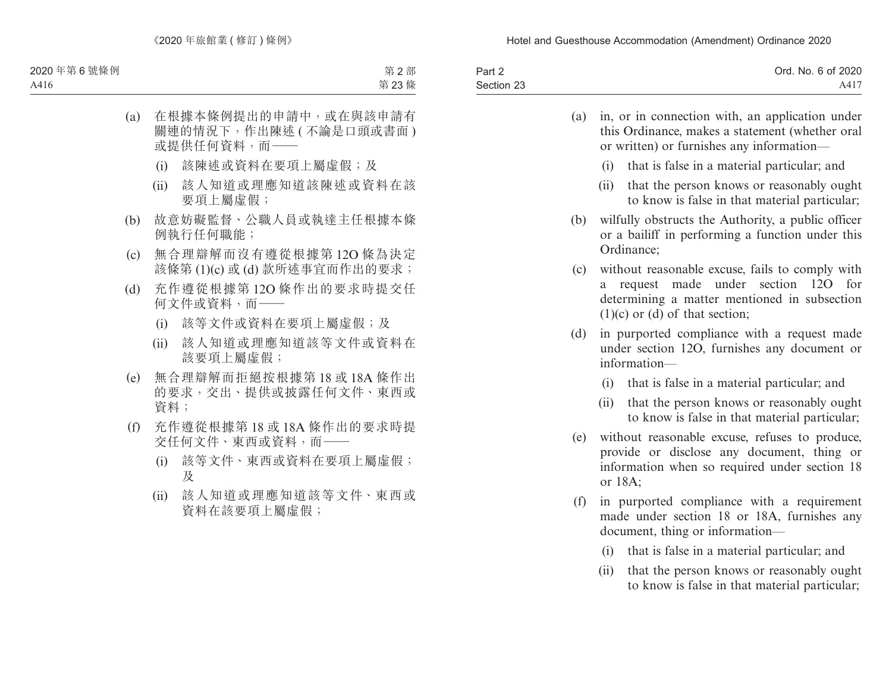| Part 2     | Ord. No. 6 of 2020 |
|------------|--------------------|
| Section 23 | A417               |

| (a) | in, or in connection with, an application under<br>this Ordinance, makes a statement (whether oral<br>or written) or furnishes any information-                                        |
|-----|----------------------------------------------------------------------------------------------------------------------------------------------------------------------------------------|
|     | that is false in a material particular; and<br>(i)                                                                                                                                     |
|     | that the person knows or reasonably ought<br>(ii)<br>to know is false in that material particular;                                                                                     |
| (b) | wilfully obstructs the Authority, a public officer<br>or a bailiff in performing a function under this<br>Ordinance;                                                                   |
| (c) | without reasonable excuse, fails to comply with<br>request made under section<br>12O<br>for<br>a<br>determining a matter mentioned in subsection<br>$(1)(c)$ or $(d)$ of that section; |
| (d) | in purported compliance with a request made<br>under section 12O, furnishes any document or<br>information-                                                                            |
|     | (i)<br>that is false in a material particular; and                                                                                                                                     |
|     | (ii)<br>that the person knows or reasonably ought<br>to know is false in that material particular;                                                                                     |
| (e) | without reasonable excuse, refuses to produce,<br>provide or disclose any document, thing or<br>information when so required under section 18<br>or 18A;                               |
| (f) | in purported compliance with a requirement<br>made under section 18 or 18A, furnishes any<br>document, thing or information—                                                           |
|     | that is false in a material particular; and<br>(i)                                                                                                                                     |

(ii) that the person knows or reasonably ought to know is false in that material particular;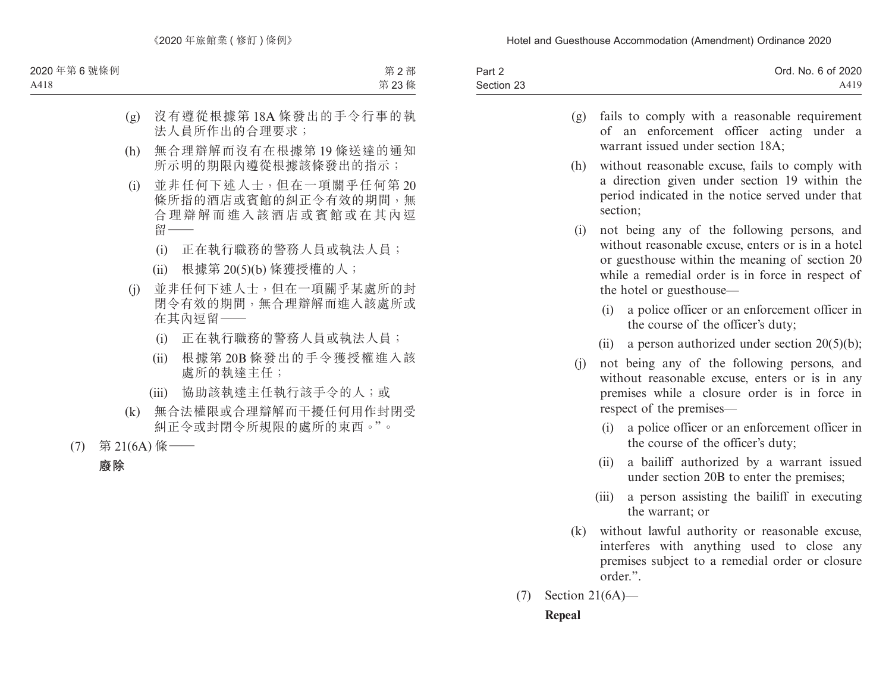| Part 2     | Ord. No. 6 of 2020 |
|------------|--------------------|
| Section 23 | A419               |

- (g) fails to comply with a reasonable requirement of an enforcement officer acting under a warrant issued under section 18A;
- (h) without reasonable excuse, fails to comply with a direction given under section 19 within the period indicated in the notice served under that section;
- (i) not being any of the following persons, and without reasonable excuse, enters or is in a hotel or guesthouse within the meaning of section 20 while a remedial order is in force in respect of the hotel or guesthouse—
	- (i) a police officer or an enforcement officer in the course of the officer's duty;
	- (ii) a person authorized under section  $20(5)(b)$ ;
- (j) not being any of the following persons, and without reasonable excuse, enters or is in any premises while a closure order is in force in respect of the premises—
	- (i) a police officer or an enforcement officer in the course of the officer's duty;
	- (ii) a bailiff authorized by a warrant issued under section 20B to enter the premises;
	- (iii) a person assisting the bailiff in executing the warrant; or
- (k) without lawful authority or reasonable excuse, interferes with anything used to close any premises subject to a remedial order or closure order.".
- (7) Section 21(6A)— **Repeal**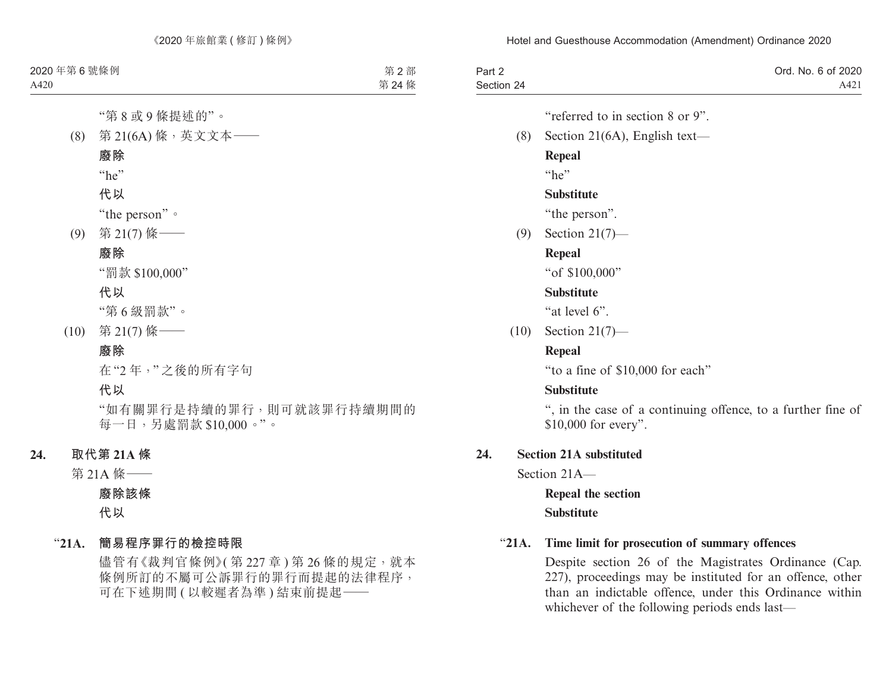| Part 2<br>Section 24 | Ord. No. 6 of 2020<br>A421                                                           |
|----------------------|--------------------------------------------------------------------------------------|
|                      | "referred to in section 8 or 9".                                                     |
| (8)                  | Section 21( $6A$ ), English text—                                                    |
|                      | <b>Repeal</b>                                                                        |
|                      | "he"                                                                                 |
|                      | <b>Substitute</b>                                                                    |
|                      | "the person".                                                                        |
| (9)                  | Section $21(7)$ —                                                                    |
|                      | <b>Repeal</b>                                                                        |
|                      | "of \$100,000"                                                                       |
|                      | <b>Substitute</b>                                                                    |
|                      | "at level 6".                                                                        |
| (10)                 | Section $21(7)$ —                                                                    |
|                      | <b>Repeal</b>                                                                        |
|                      | "to a fine of \$10,000 for each"                                                     |
|                      | <b>Substitute</b>                                                                    |
|                      | ", in the case of a continuing offence, to a further fine of<br>\$10,000 for every". |
| 24.                  | <b>Section 21A substituted</b>                                                       |
|                      | Section 21A-                                                                         |
|                      | <b>Repeal the section</b>                                                            |

**Substitute**

#### "**21A. Time limit for prosecution of summary offences**

Despite section 26 of the Magistrates Ordinance (Cap. 227), proceedings may be instituted for an offence, other than an indictable offence, under this Ordinance within whichever of the following periods ends last—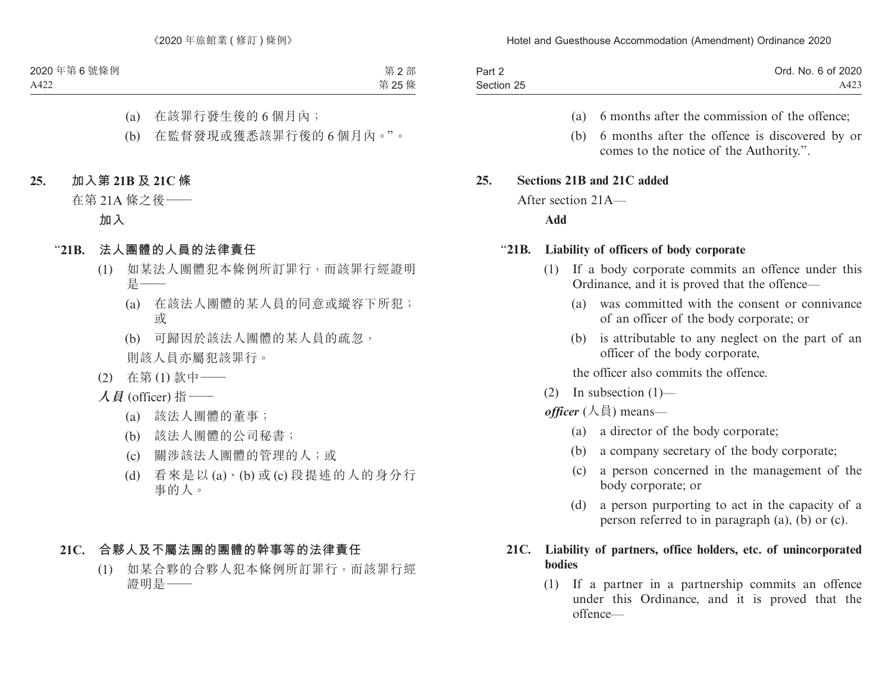| Part 2     | Ord. No. 6 of 2020 |
|------------|--------------------|
| Section 25 | A423               |

- (a) 6 months after the commission of the offence;
- (b) 6 months after the offence is discovered by or comes to the notice of the Authority.".

#### **25. Sections 21B and 21C added**

After section 21A—

**Add**

#### "**21B. Liability of officers of body corporate**

- (1) If a body corporate commits an offence under this Ordinance, and it is proved that the offence—
	- (a) was committed with the consent or connivance of an officer of the body corporate; or
	- (b) is attributable to any neglect on the part of an officer of the body corporate,

the officer also commits the offence.

 $(2)$  In subsection  $(1)$ —

*officer* (人員) means—

- (a) a director of the body corporate;
- (b) a company secretary of the body corporate;
- (c) a person concerned in the management of the body corporate; or
- (d) a person purporting to act in the capacity of a person referred to in paragraph (a), (b) or (c).

#### **21C. Liability of partners, office holders, etc. of unincorporated bodies**

(1) If a partner in a partnership commits an offence under this Ordinance, and it is proved that the offence—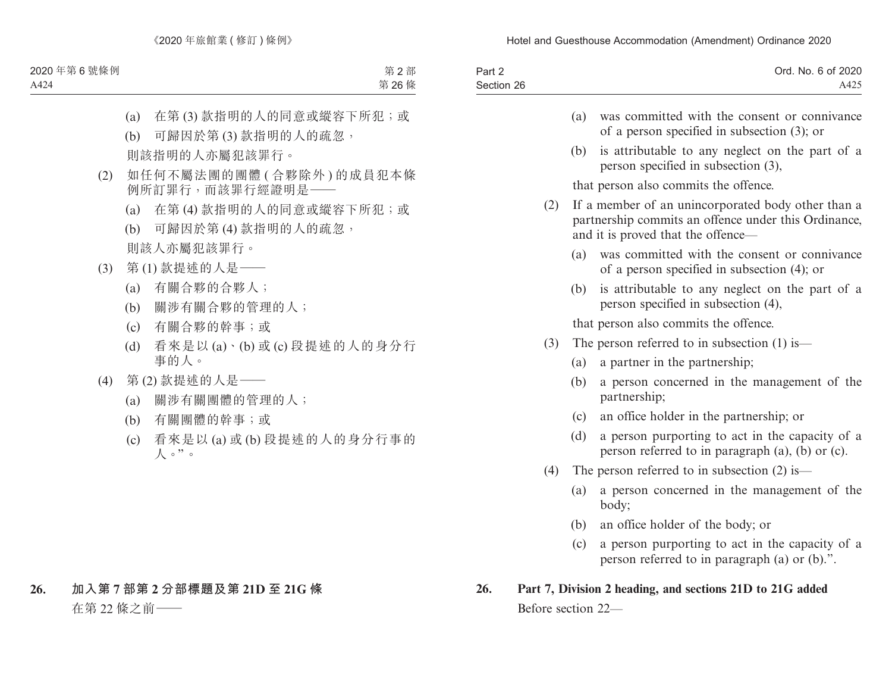| Part 2     | Ord. No. 6 of 2020 |
|------------|--------------------|
| Section 26 | A425               |
|            |                    |

- (a) was committed with the consent or connivance of a person specified in subsection (3); or
- (b) is attributable to any neglect on the part of a person specified in subsection (3),

that person also commits the offence.

- (2) If a member of an unincorporated body other than a partnership commits an offence under this Ordinance, and it is proved that the offence—
	- (a) was committed with the consent or connivance of a person specified in subsection (4); or
	- (b) is attributable to any neglect on the part of a person specified in subsection (4),

that person also commits the offence.

- (3) The person referred to in subsection (1) is—
	- (a) a partner in the partnership;
	- (b) a person concerned in the management of the partnership;
	- (c) an office holder in the partnership; or
	- (d) a person purporting to act in the capacity of a person referred to in paragraph (a), (b) or (c).
- (4) The person referred to in subsection (2) is—
	- (a) a person concerned in the management of the body;
	- (b) an office holder of the body; or
	- (c) a person purporting to act in the capacity of a person referred to in paragraph (a) or (b).".

# **26. Part 7, Division 2 heading, and sections 21D to 21G added** Before section 22—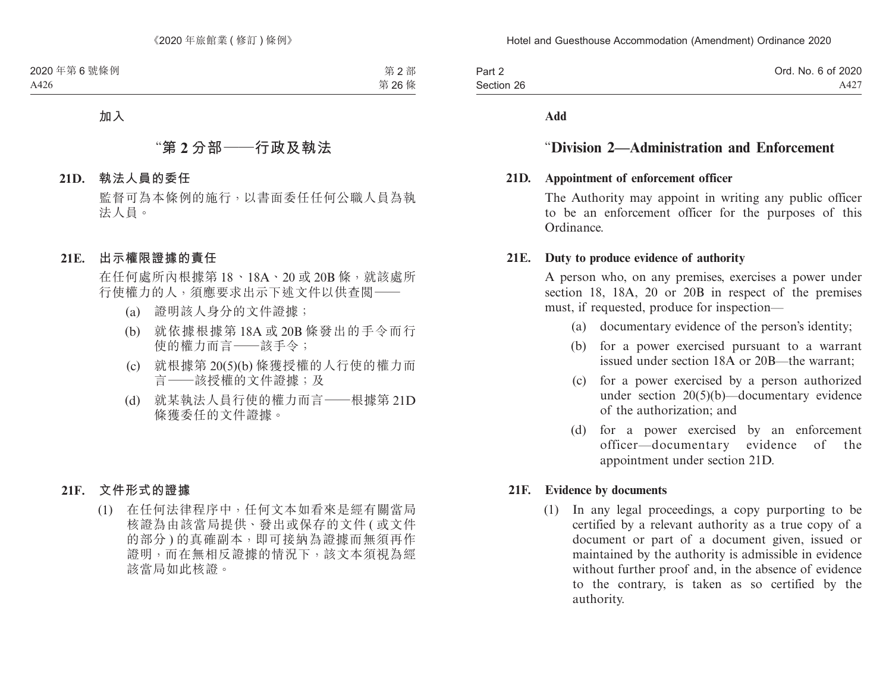| Part 2     | Ord. No. 6 of 2020 |
|------------|--------------------|
| Section 26 | A427               |

**Add**

## "**Division 2—Administration and Enforcement**

### **21D. Appointment of enforcement officer**

The Authority may appoint in writing any public officer to be an enforcement officer for the purposes of this Ordinance.

#### **21E. Duty to produce evidence of authority**

A person who, on any premises, exercises a power under section 18, 18A, 20 or 20B in respect of the premises must, if requested, produce for inspection—

- (a) documentary evidence of the person's identity;
- (b) for a power exercised pursuant to a warrant issued under section 18A or 20B—the warrant;
- (c) for a power exercised by a person authorized under section 20(5)(b)—documentary evidence of the authorization; and
- (d) for a power exercised by an enforcement officer—documentary evidence of the appointment under section 21D.

#### **21F. Evidence by documents**

(1) In any legal proceedings, a copy purporting to be certified by a relevant authority as a true copy of a document or part of a document given, issued or maintained by the authority is admissible in evidence without further proof and, in the absence of evidence to the contrary, is taken as so certified by the authority.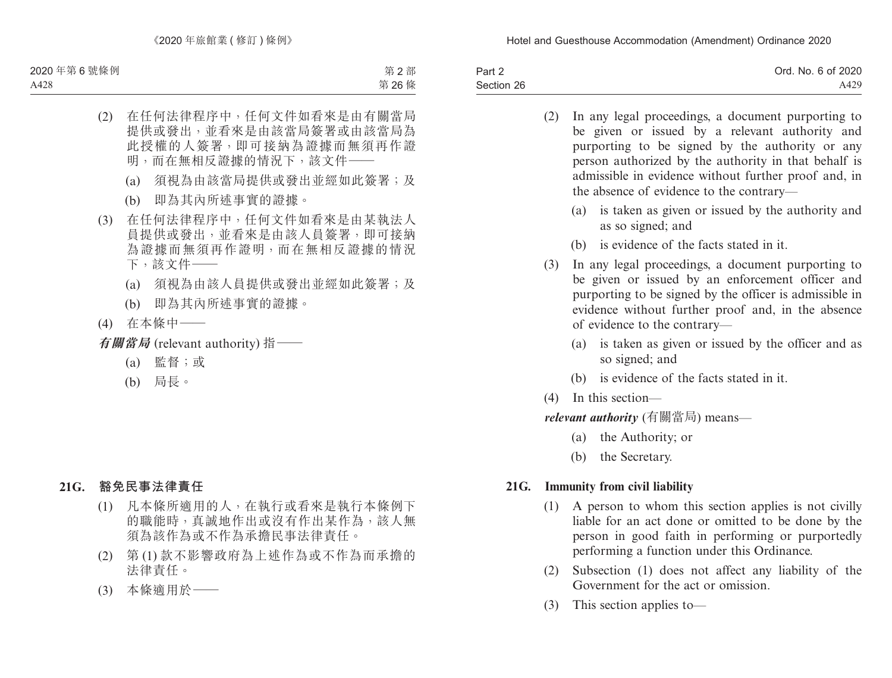| Part 2     | Ord. No. 6 of 2020 |
|------------|--------------------|
| Section 26 | A429               |

- (2) In any legal proceedings, a document purporting to be given or issued by a relevant authority and purporting to be signed by the authority or any person authorized by the authority in that behalf is admissible in evidence without further proof and, in the absence of evidence to the contrary—
	- (a) is taken as given or issued by the authority and as so signed; and
	- (b) is evidence of the facts stated in it.
- (3) In any legal proceedings, a document purporting to be given or issued by an enforcement officer and purporting to be signed by the officer is admissible in evidence without further proof and, in the absence of evidence to the contrary—
	- (a) is taken as given or issued by the officer and as so signed; and
	- (b) is evidence of the facts stated in it.
- (4) In this section—

*relevant authority* (有關當局) means—

- (a) the Authority; or
- (b) the Secretary.

### **21G. Immunity from civil liability**

- (1) A person to whom this section applies is not civilly liable for an act done or omitted to be done by the person in good faith in performing or purportedly performing a function under this Ordinance.
- (2) Subsection (1) does not affect any liability of the Government for the act or omission.
- (3) This section applies to—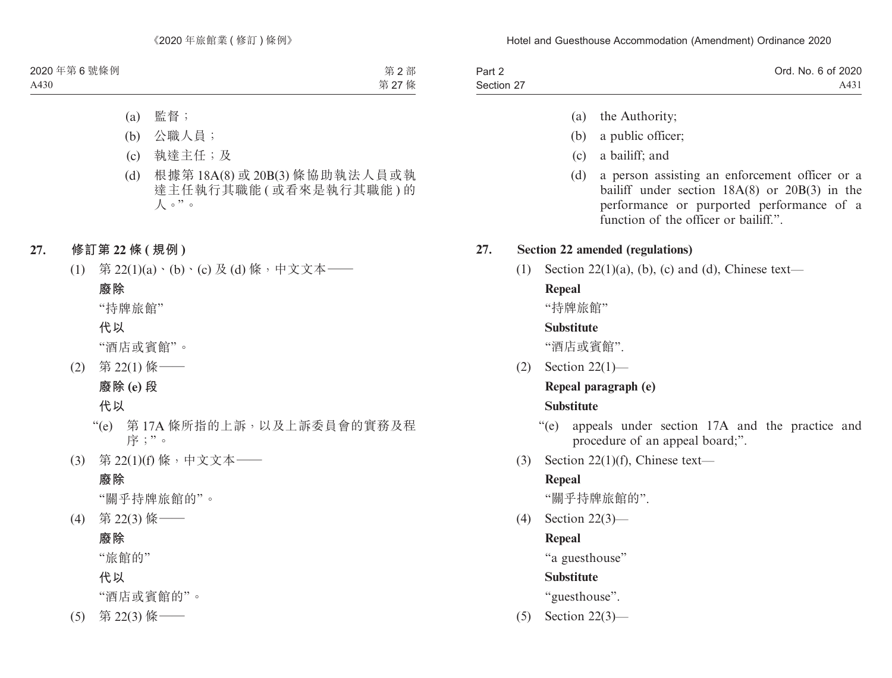| Part 2     | Ord. No. 6 of 2020 |
|------------|--------------------|
| Section 27 | A431               |

- (a) the Authority;
- (b) a public officer;
- (c) a bailiff; and
- (d) a person assisting an enforcement officer or a bailiff under section 18A(8) or 20B(3) in the performance or purported performance of a function of the officer or bailiff."

## **27. Section 22 amended (regulations)**

(1) Section  $22(1)(a)$ , (b), (c) and (d), Chinese text—

# **Repeal**

"持牌旅館"

## **Substitute**

"酒店或賓館".

(2) Section 22(1)—

# **Repeal paragraph (e)**

## **Substitute**

- "(e) appeals under section 17A and the practice and procedure of an appeal board;".
- (3) Section 22(1)(f), Chinese text—

# **Repeal**

"關乎持牌旅館的".

(4) Section 22(3)—

# **Repeal**

"a guesthouse"

# **Substitute**

"guesthouse".

(5) Section 22(3)—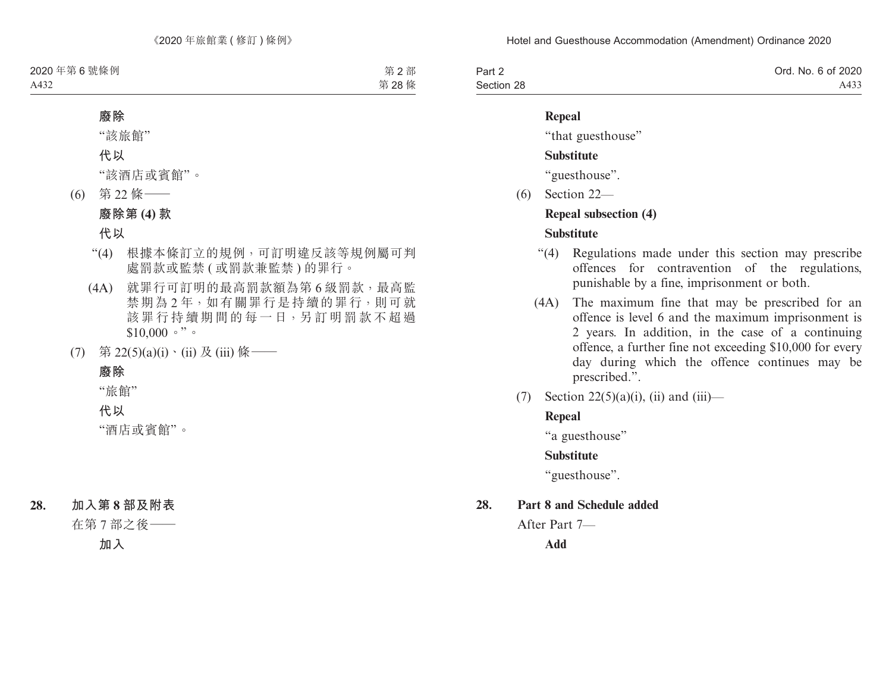| Part 2     | Ord. No. 6 of 2020 |
|------------|--------------------|
| Section 28 | A433               |

#### **Repeal**

"that guesthouse"

### **Substitute**

"guesthouse".

(6) Section 22—

### **Repeal subsection (4)**

## **Substitute**

- "(4) Regulations made under this section may prescribe offences for contravention of the regulations, punishable by a fine, imprisonment or both.
- (4A) The maximum fine that may be prescribed for an offence is level 6 and the maximum imprisonment is 2 years. In addition, in the case of a continuing offence, a further fine not exceeding \$10,000 for every day during which the offence continues may be prescribed.".
- (7) Section 22(5)(a)(i), (ii) and (iii)—

# **Repeal**

"a guesthouse"

## **Substitute**

"guesthouse".

## **28. Part 8 and Schedule added**

After Part 7—

**Add**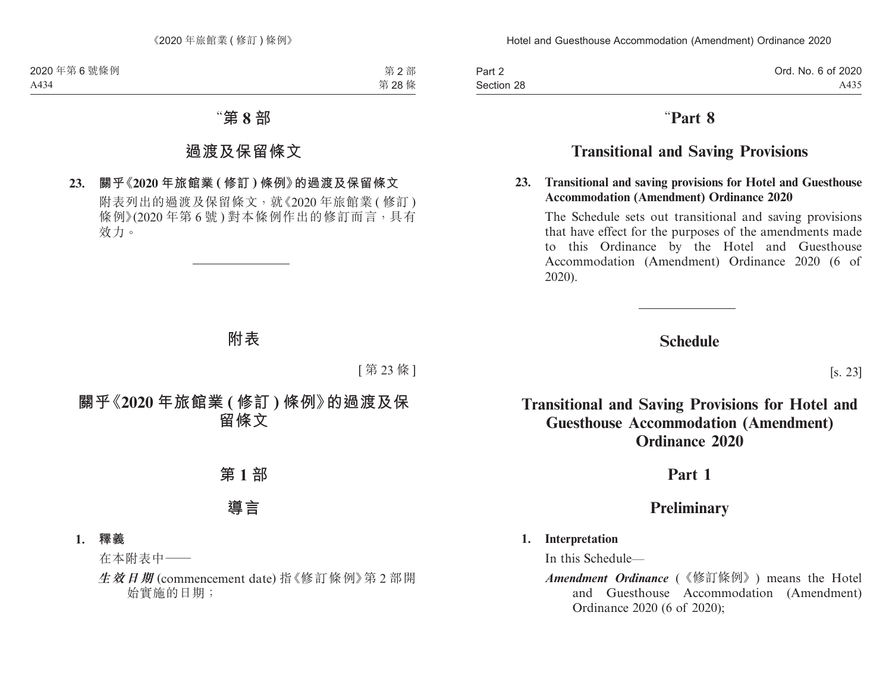| Part 2     |  |  |
|------------|--|--|
| Section 28 |  |  |

# "**Part 8**

# **Transitional and Saving Provisions**

#### **23. Transitional and saving provisions for Hotel and Guesthouse Accommodation (Amendment) Ordinance 2020**

The Schedule sets out transitional and saving provisions that have effect for the purposes of the amendments made to this Ordinance by the Hotel and Guesthouse Accommodation (Amendment) Ordinance 2020 (6 of 2020).

# **Schedule**

[s. 23]

# **Transitional and Saving Provisions for Hotel and Guesthouse Accommodation (Amendment) Ordinance 2020**

# **Part 1**

# **Preliminary**

## **1. Interpretation**

In this Schedule—

*Amendment Ordinance* (《修訂條例》) means the Hotel and Guesthouse Accommodation (Amendment) Ordinance 2020 (6 of 2020);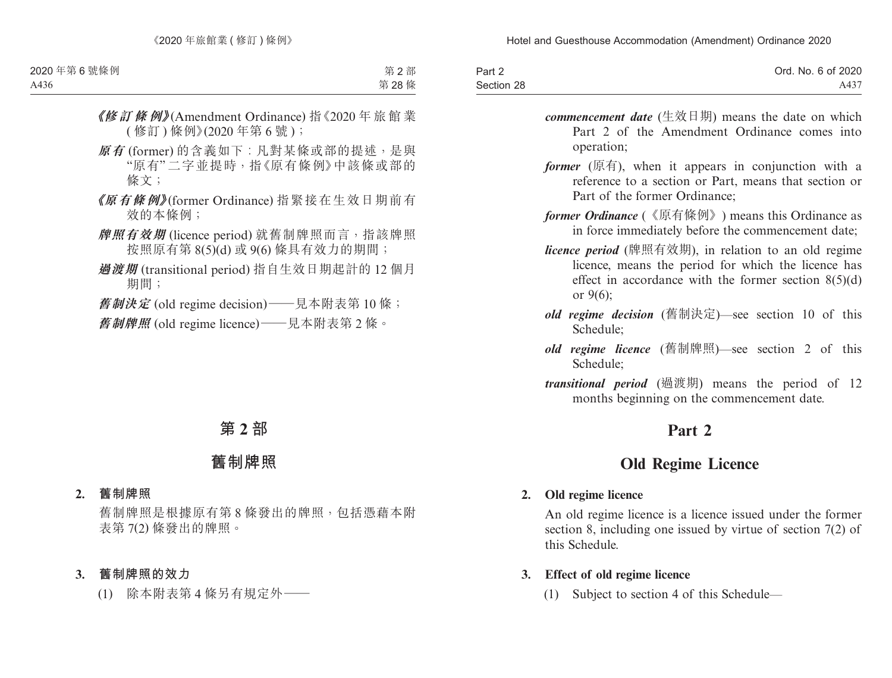| Part 2     | Ord. No. 6 of 2020 |
|------------|--------------------|
| Section 28 | A437               |

- *commencement date* (生效日期) means the date on which Part 2 of the Amendment Ordinance comes into operation;
- *former* (原有), when it appears in conjunction with a reference to a section or Part, means that section or Part of the former Ordinance;
- *former Ordinance* (《原有條例》) means this Ordinance as in force immediately before the commencement date;
- *licence period* (牌照有效期), in relation to an old regime licence, means the period for which the licence has effect in accordance with the former section  $8(5)(d)$ or 9(6);
- *old regime decision* (舊制決定)—see section 10 of this Schedule;
- *old regime licence* (舊制牌照)—see section 2 of this Schedule;
- *transitional period* (過渡期) means the period of 12 months beginning on the commencement date.

# **Part 2**

# **Old Regime Licence**

#### **2. Old regime licence**

An old regime licence is a licence issued under the former section 8, including one issued by virtue of section 7(2) of this Schedule.

- **3. Effect of old regime licence**
	- (1) Subject to section 4 of this Schedule—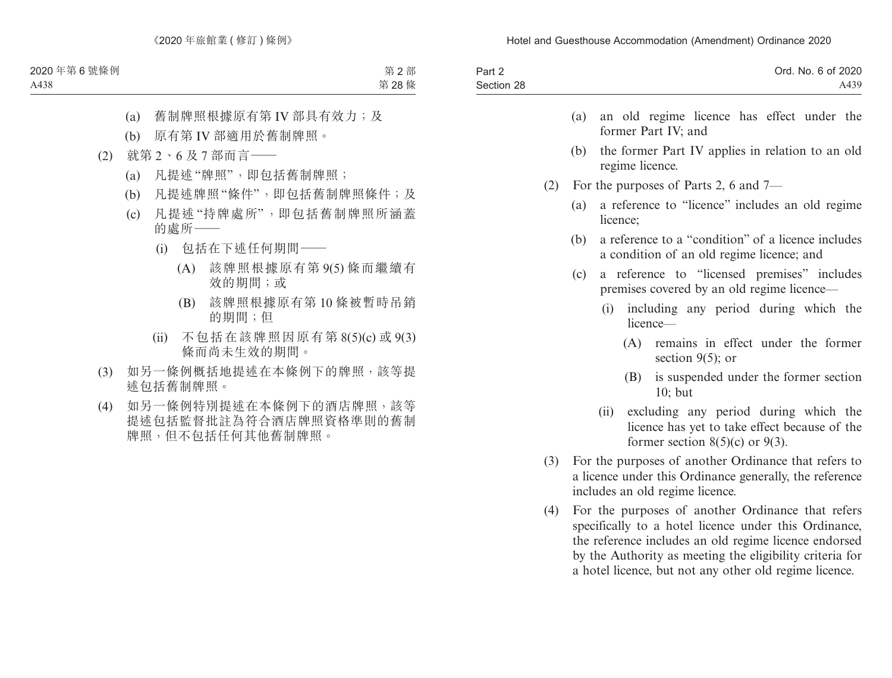| Part 2<br>Section 28 |     | Ord. No. 6 of 2020<br>A439                                                                                                                                          |
|----------------------|-----|---------------------------------------------------------------------------------------------------------------------------------------------------------------------|
|                      |     | an old regime licence has effect under the<br>(a)<br>former Part IV; and                                                                                            |
|                      |     | (b)<br>the former Part IV applies in relation to an old<br>regime licence.                                                                                          |
|                      | (2) | For the purposes of Parts 2, 6 and 7—                                                                                                                               |
|                      |     | a reference to "licence" includes an old regime<br>(a)<br>licence;                                                                                                  |
|                      |     | a reference to a "condition" of a licence includes<br>(b)<br>a condition of an old regime licence; and                                                              |
|                      |     | a reference to "licensed premises" includes<br>(c)<br>premises covered by an old regime licence—                                                                    |
|                      |     | including any period during which the<br>(i)<br>licence—                                                                                                            |
|                      |     | remains in effect under the former<br>(A)<br>section $9(5)$ ; or                                                                                                    |
|                      |     | is suspended under the former section<br>(B)<br>10; but                                                                                                             |
|                      |     | excluding any period during which the<br>(ii)<br>licence has yet to take effect because of the<br>former section $8(5)(c)$ or $9(3)$ .                              |
|                      | (3) | For the purposes of another Ordinance that refers to<br>a licence under this Ordinance generally, the reference<br>includes an old regime licence.                  |
|                      | (4) | For the purposes of another Ordinance that refers<br>specifically to a hotel licence under this Ordinance,<br>the reference includes an old regime licence endorsed |

by the Authority as meeting the eligibility criteria for a hotel licence, but not any other old regime licence.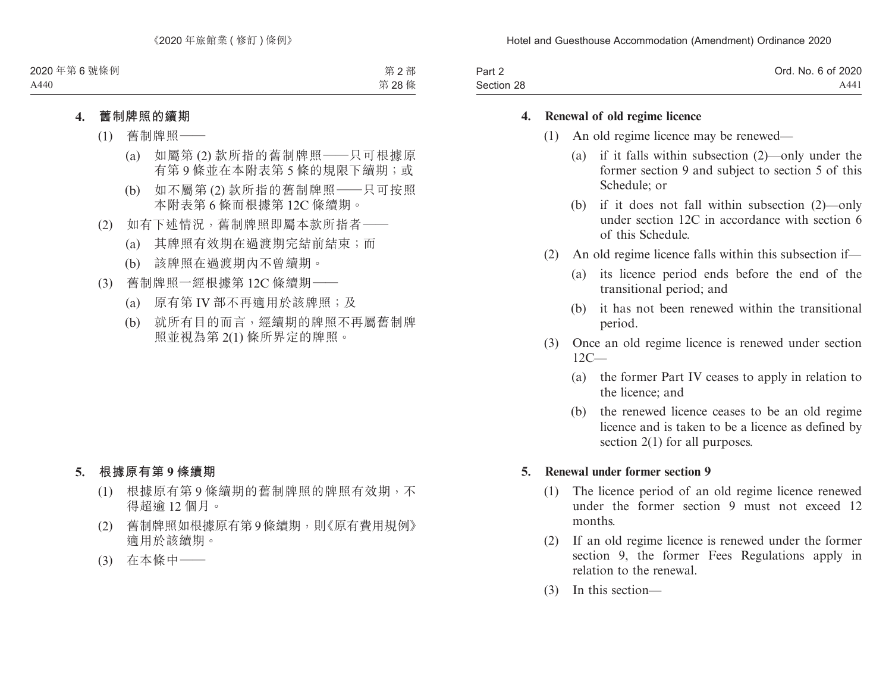| Part 2     | Ord. No. 6 of 2020 |
|------------|--------------------|
| Section 28 | A441               |

#### **4. Renewal of old regime licence**

- (1) An old regime licence may be renewed—
	- (a) if it falls within subsection (2)—only under the former section 9 and subject to section 5 of this Schedule; or
	- (b) if it does not fall within subsection (2)—only under section 12C in accordance with section 6 of this Schedule.
- (2) An old regime licence falls within this subsection if—
	- (a) its licence period ends before the end of the transitional period; and
	- (b) it has not been renewed within the transitional period.
- (3) Once an old regime licence is renewed under section  $12C_{-}$ 
	- (a) the former Part IV ceases to apply in relation to the licence; and
	- (b) the renewed licence ceases to be an old regime licence and is taken to be a licence as defined by section 2(1) for all purposes.

#### **5. Renewal under former section 9**

- (1) The licence period of an old regime licence renewed under the former section 9 must not exceed 12 months.
- (2) If an old regime licence is renewed under the former section 9, the former Fees Regulations apply in relation to the renewal.
- (3) In this section—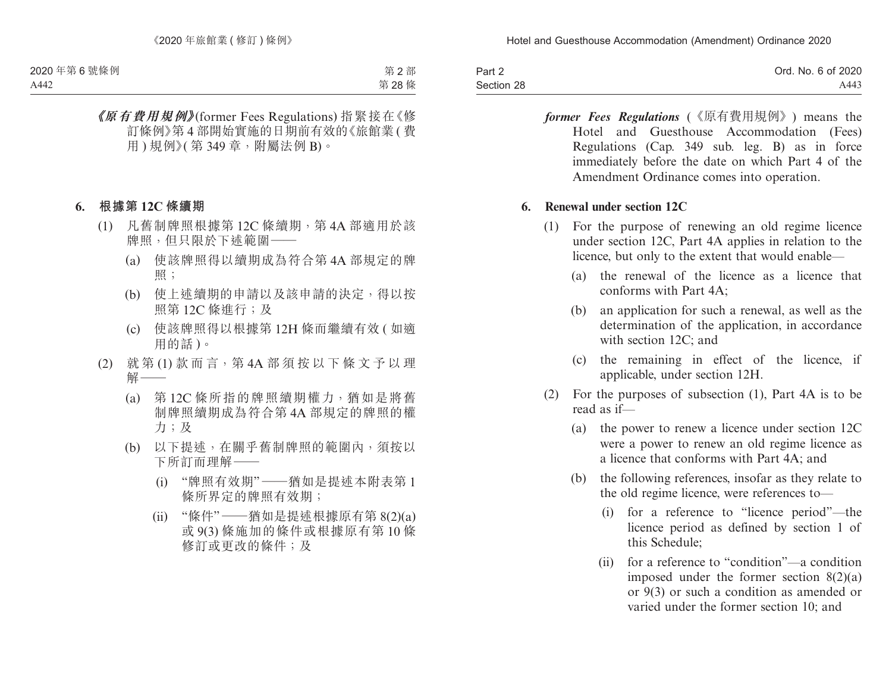| Part 2     | Ord. No. 6 of 2020 |
|------------|--------------------|
| Section 28 | A443               |

*former Fees Regulations* (《原有費用規例》) means the Hotel and Guesthouse Accommodation (Fees) Regulations (Cap. 349 sub. leg. B) as in force immediately before the date on which Part 4 of the Amendment Ordinance comes into operation.

#### **6. Renewal under section 12C**

- (1) For the purpose of renewing an old regime licence under section 12C, Part 4A applies in relation to the licence, but only to the extent that would enable—
	- (a) the renewal of the licence as a licence that conforms with Part 4A;
	- (b) an application for such a renewal, as well as the determination of the application, in accordance with section 12C; and
	- (c) the remaining in effect of the licence, if applicable, under section 12H.
- (2) For the purposes of subsection (1), Part 4A is to be read as if—
	- (a) the power to renew a licence under section 12C were a power to renew an old regime licence as a licence that conforms with Part 4A; and
	- (b) the following references, insofar as they relate to the old regime licence, were references to—
		- (i) for a reference to "licence period"—the licence period as defined by section 1 of this Schedule;
		- (ii) for a reference to "condition"—a condition imposed under the former section  $8(2)(a)$ or 9(3) or such a condition as amended or varied under the former section 10; and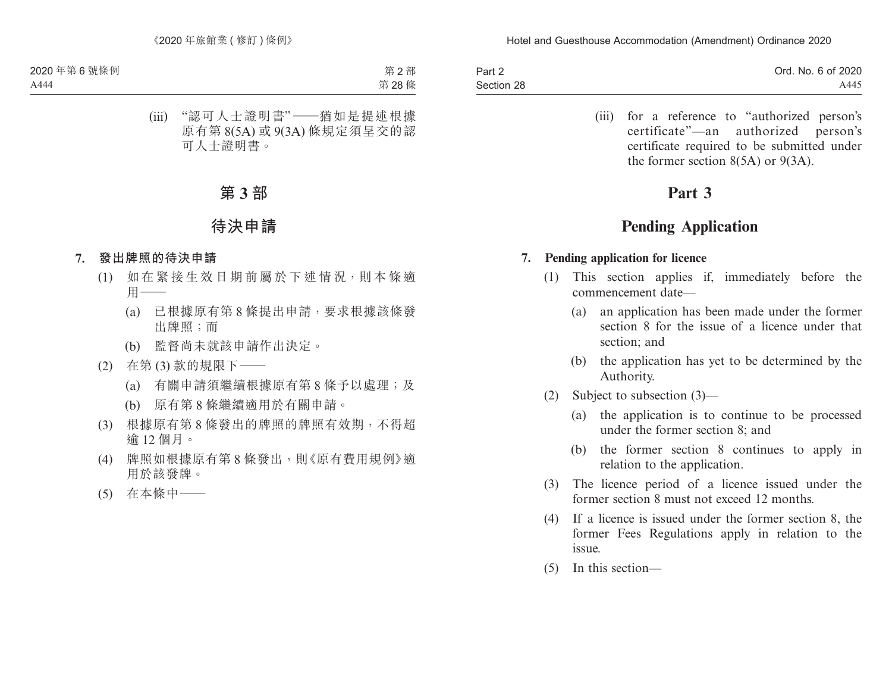| Part 2     | Ord. No. 6 of 2020 |
|------------|--------------------|
| Section 28 | A445               |

(iii) for a reference to "authorized person's certificate"—an authorized person's certificate required to be submitted under the former section 8(5A) or 9(3A).

# **Part 3**

# **Pending Application**

#### **7. Pending application for licence**

- (1) This section applies if, immediately before the commencement date—
	- (a) an application has been made under the former section 8 for the issue of a licence under that section; and
	- (b) the application has yet to be determined by the Authority.
- (2) Subject to subsection (3)—
	- (a) the application is to continue to be processed under the former section 8; and
	- (b) the former section 8 continues to apply in relation to the application.
- (3) The licence period of a licence issued under the former section 8 must not exceed 12 months.
- (4) If a licence is issued under the former section 8, the former Fees Regulations apply in relation to the issue.
- (5) In this section—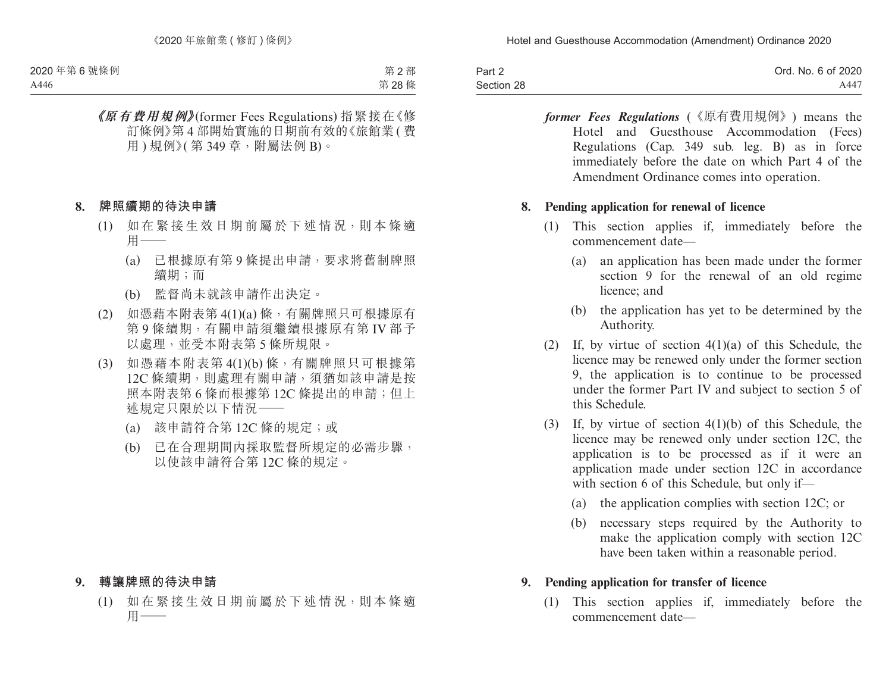| Part 2     | Ord. No. 6 of 2020 |
|------------|--------------------|
| Section 28 | A447               |

*former Fees Regulations* (《原有費用規例》) means the Hotel and Guesthouse Accommodation (Fees) Regulations (Cap. 349 sub. leg. B) as in force immediately before the date on which Part 4 of the Amendment Ordinance comes into operation.

#### **8. Pending application for renewal of licence**

- (1) This section applies if, immediately before the commencement date—
	- (a) an application has been made under the former section 9 for the renewal of an old regime licence; and
	- (b) the application has yet to be determined by the Authority.
- (2) If, by virtue of section 4(1)(a) of this Schedule, the licence may be renewed only under the former section 9, the application is to continue to be processed under the former Part IV and subject to section 5 of this Schedule.
- (3) If, by virtue of section 4(1)(b) of this Schedule, the licence may be renewed only under section 12C, the application is to be processed as if it were an application made under section 12C in accordance with section 6 of this Schedule, but only if—
	- (a) the application complies with section 12C; or
	- (b) necessary steps required by the Authority to make the application comply with section 12C have been taken within a reasonable period.

#### **9. Pending application for transfer of licence**

(1) This section applies if, immediately before the commencement date—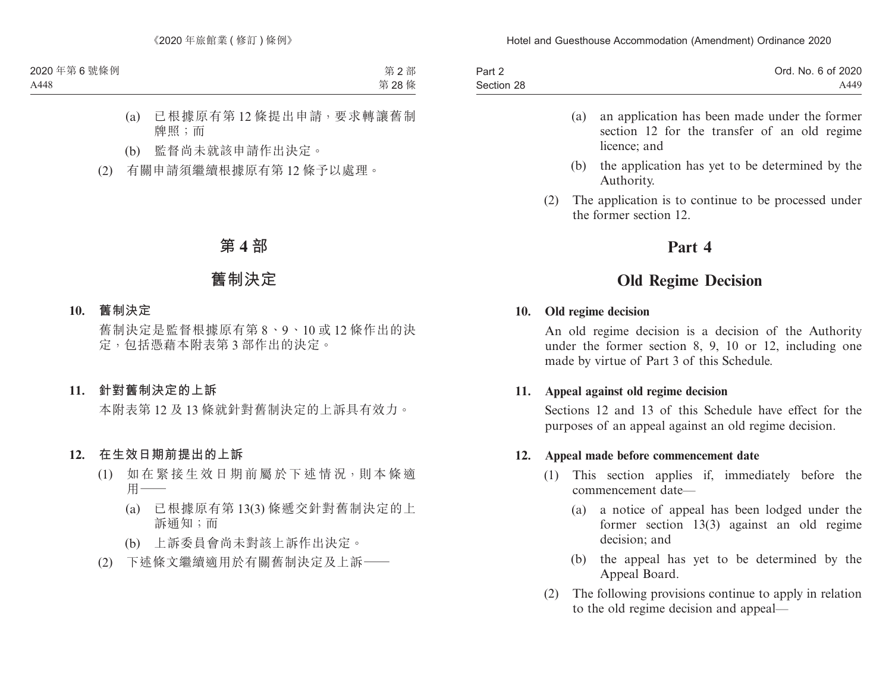| Part 2     | Ord. No. 6 of 2020 |
|------------|--------------------|
| Section 28 | A449               |

- (a) an application has been made under the former section 12 for the transfer of an old regime licence; and
- (b) the application has yet to be determined by the Authority.
- (2) The application is to continue to be processed under the former section 12.

## **Part 4**

# **Old Regime Decision**

#### **10. Old regime decision**

An old regime decision is a decision of the Authority under the former section 8, 9, 10 or 12, including one made by virtue of Part 3 of this Schedule.

### **11. Appeal against old regime decision**

Sections 12 and 13 of this Schedule have effect for the purposes of an appeal against an old regime decision.

#### **12. Appeal made before commencement date**

- (1) This section applies if, immediately before the commencement date—
	- (a) a notice of appeal has been lodged under the former section 13(3) against an old regime decision; and
	- (b) the appeal has yet to be determined by the Appeal Board.
- (2) The following provisions continue to apply in relation to the old regime decision and appeal—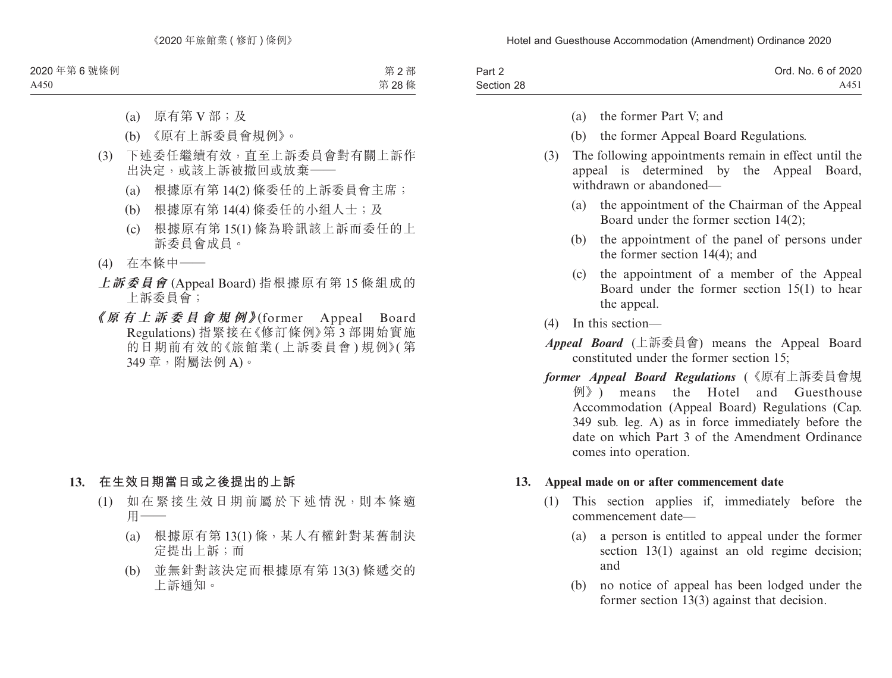| Part 2     | Ord. No. 6 of 2020 |
|------------|--------------------|
| Section 28 | A451               |

- (a) the former Part V; and
- (b) the former Appeal Board Regulations.
- (3) The following appointments remain in effect until the appeal is determined by the Appeal Board, withdrawn or abandoned—
	- (a) the appointment of the Chairman of the Appeal Board under the former section 14(2);
	- (b) the appointment of the panel of persons under the former section 14(4); and
	- (c) the appointment of a member of the Appeal Board under the former section 15(1) to hear the appeal.
- (4) In this section—
- *Appeal Board* (上訴委員會) means the Appeal Board constituted under the former section 15;
- *former Appeal Board Regulations* (《原有上訴委員會規 例》) means the Hotel and Guesthouse Accommodation (Appeal Board) Regulations (Cap. 349 sub. leg. A) as in force immediately before the date on which Part 3 of the Amendment Ordinance comes into operation.

#### **13. Appeal made on or after commencement date**

- (1) This section applies if, immediately before the commencement date—
	- (a) a person is entitled to appeal under the former section 13(1) against an old regime decision; and
	- (b) no notice of appeal has been lodged under the former section 13(3) against that decision.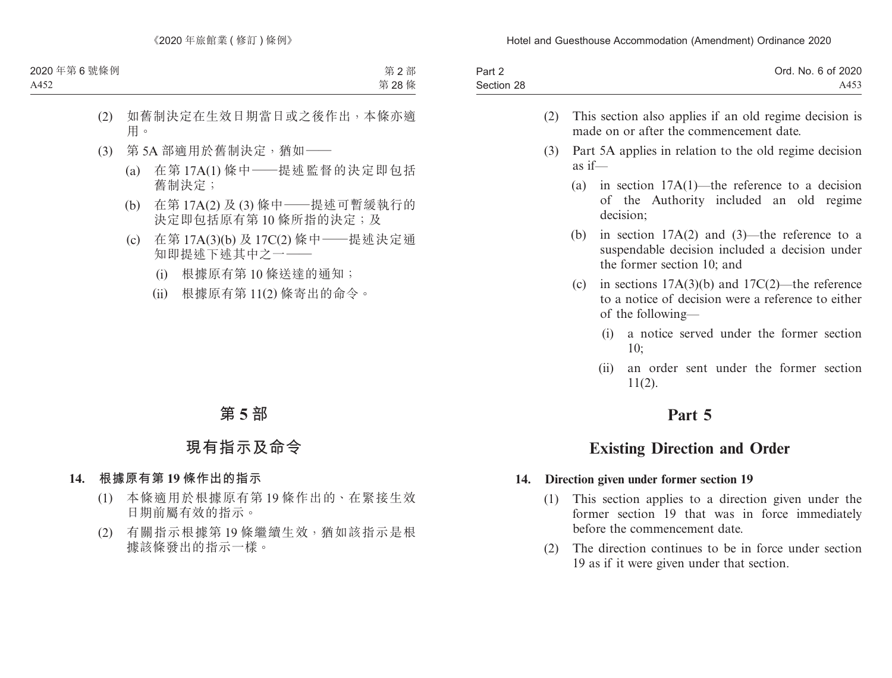| Part 2     | Ord. No. 6 of 2020 |
|------------|--------------------|
| Section 28 | A453               |

- (2) This section also applies if an old regime decision is made on or after the commencement date.
- (3) Part 5A applies in relation to the old regime decision as if—
	- (a) in section 17A(1)—the reference to a decision of the Authority included an old regime decision;
	- (b) in section 17A(2) and (3)—the reference to a suspendable decision included a decision under the former section 10; and
	- (c) in sections  $17A(3)(b)$  and  $17C(2)$ —the reference to a notice of decision were a reference to either of the following—
		- (i) a notice served under the former section 10;
		- (ii) an order sent under the former section  $11(2)$ .

## **Part 5**

# **Existing Direction and Order**

### **14. Direction given under former section 19**

- (1) This section applies to a direction given under the former section 19 that was in force immediately before the commencement date.
- (2) The direction continues to be in force under section 19 as if it were given under that section.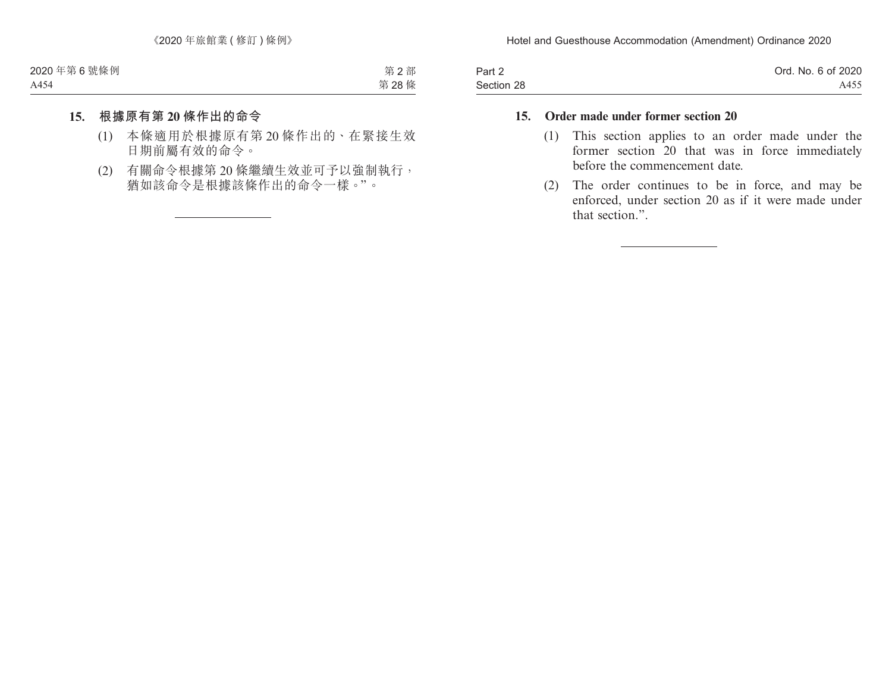| Part 2     | Ord. No. 6 of 2020 |
|------------|--------------------|
| Section 28 | A455               |

### **15. Order made under former section 20**

- (1) This section applies to an order made under the former section 20 that was in force immediately before the commencement date.
- (2) The order continues to be in force, and may be enforced, under section 20 as if it were made under that section.".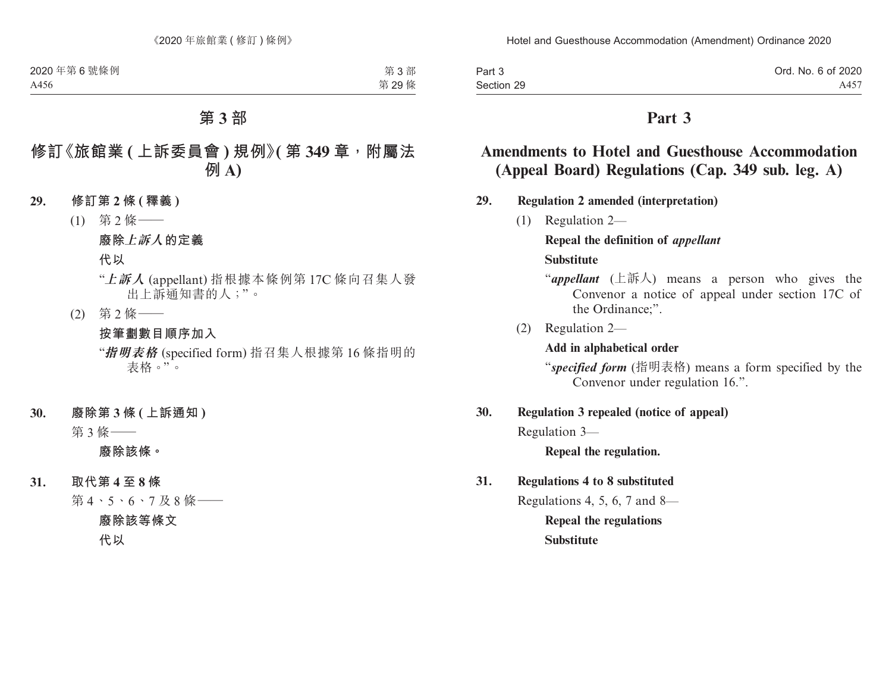| Part 3     | Ord. No. 6 of 2020 |
|------------|--------------------|
| Section 29 | A457               |

## **Part 3**

# **Amendments to Hotel and Guesthouse Accommodation (Appeal Board) Regulations (Cap. 349 sub. leg. A)**

#### **29. Regulation 2 amended (interpretation)**

(1) Regulation 2—

# **Repeal the definition of** *appellant* **Substitute**

- "*appellant* (上訴人) means a person who gives the Convenor a notice of appeal under section 17C of the Ordinance;".
- (2) Regulation 2—

#### **Add in alphabetical order**

"*specified form* (指明表格) means a form specified by the Convenor under regulation 16.".

#### **30. Regulation 3 repealed (notice of appeal)**

Regulation 3—

**Repeal the regulation.**

#### **31. Regulations 4 to 8 substituted**

Regulations 4, 5, 6, 7 and 8— **Repeal the regulations**

**Substitute**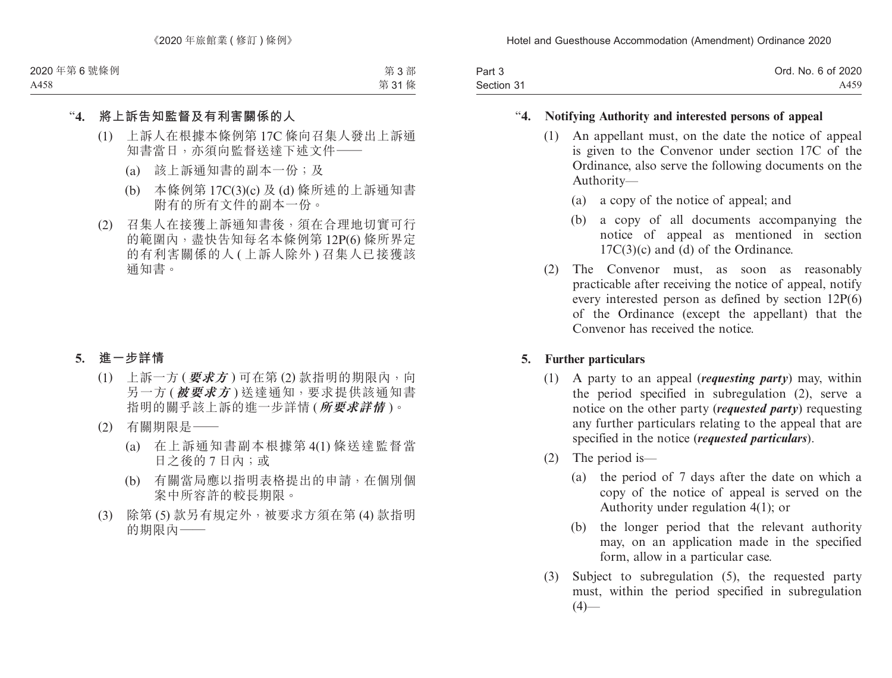| Part 3     | Ord. No. 6 of 2020 |
|------------|--------------------|
| Section 31 | A459               |

## "**4. Notifying Authority and interested persons of appeal**

- (1) An appellant must, on the date the notice of appeal is given to the Convenor under section 17C of the Ordinance, also serve the following documents on the Authority—
	- (a) a copy of the notice of appeal; and
	- (b) a copy of all documents accompanying the notice of appeal as mentioned in section 17C(3)(c) and (d) of the Ordinance.
- (2) The Convenor must, as soon as reasonably practicable after receiving the notice of appeal, notify every interested person as defined by section 12P(6) of the Ordinance (except the appellant) that the Convenor has received the notice.

### **5. Further particulars**

- (1) A party to an appeal (*requesting party*) may, within the period specified in subregulation (2), serve a notice on the other party (*requested party*) requesting any further particulars relating to the appeal that are specified in the notice (*requested particulars*).
- (2) The period is—
	- (a) the period of 7 days after the date on which a copy of the notice of appeal is served on the Authority under regulation 4(1); or
	- (b) the longer period that the relevant authority may, on an application made in the specified form, allow in a particular case.
- (3) Subject to subregulation (5), the requested party must, within the period specified in subregulation  $(4)$ —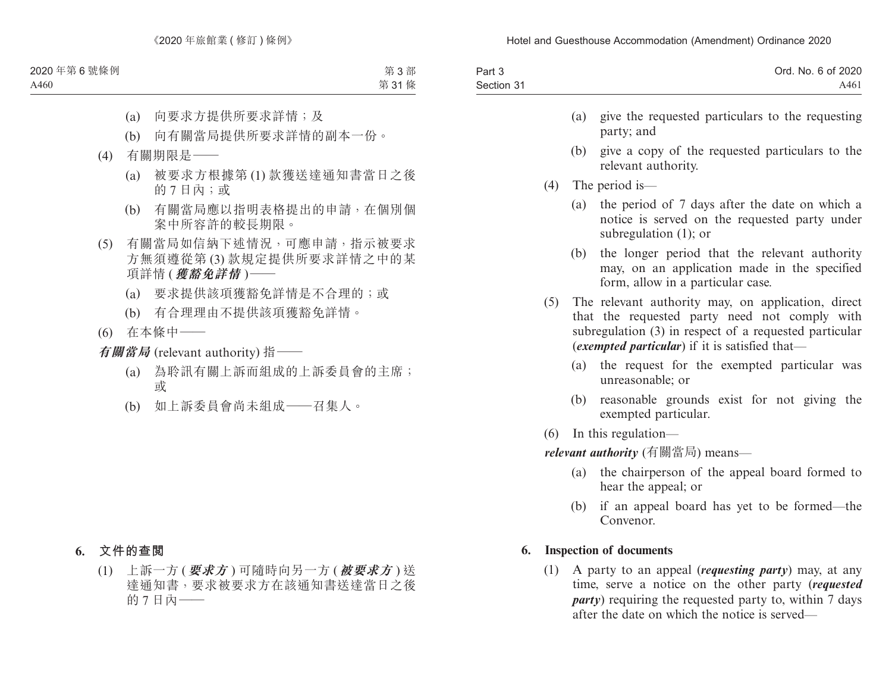| Part 3     | Ord. No. 6 of 2020 |
|------------|--------------------|
| Section 31 | A461               |

- (a) give the requested particulars to the requesting party; and
- (b) give a copy of the requested particulars to the relevant authority.
- (4) The period is—
	- (a) the period of 7 days after the date on which a notice is served on the requested party under subregulation (1); or
	- (b) the longer period that the relevant authority may, on an application made in the specified form, allow in a particular case.
- (5) The relevant authority may, on application, direct that the requested party need not comply with subregulation (3) in respect of a requested particular (*exempted particular*) if it is satisfied that—
	- (a) the request for the exempted particular was unreasonable; or
	- (b) reasonable grounds exist for not giving the exempted particular.
- (6) In this regulation—

*relevant authority* (有關當局) means—

- (a) the chairperson of the appeal board formed to hear the appeal; or
- (b) if an appeal board has yet to be formed—the Convenor.

#### **6. Inspection of documents**

(1) A party to an appeal (*requesting party*) may, at any time, serve a notice on the other party (*requested party*) requiring the requested party to, within 7 days after the date on which the notice is served—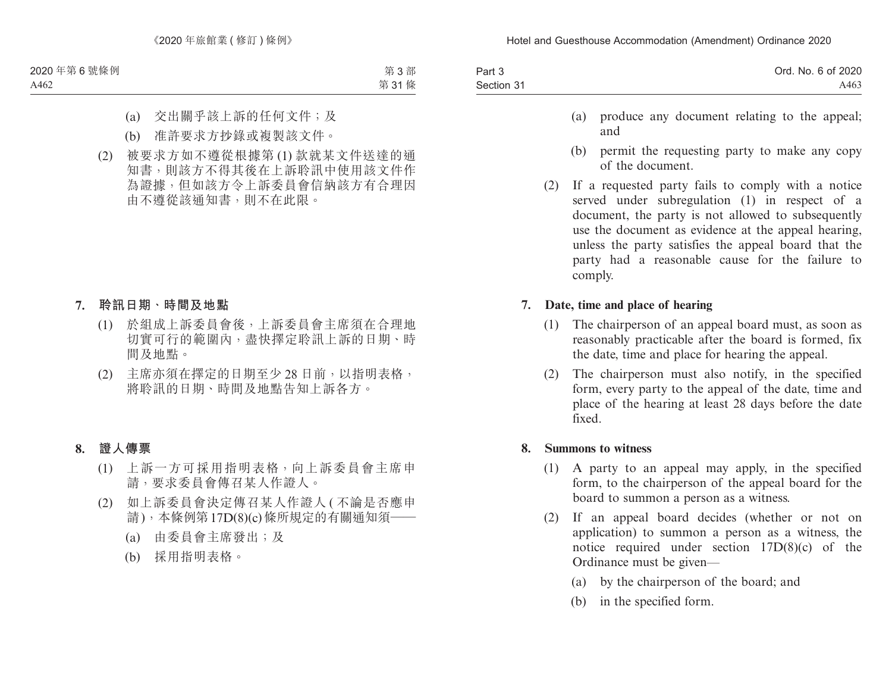| Part 3     | Ord. No. 6 of 2020 |
|------------|--------------------|
| Section 31 | A463               |

- (a) produce any document relating to the appeal; and
- (b) permit the requesting party to make any copy of the document.
- (2) If a requested party fails to comply with a notice served under subregulation (1) in respect of a document, the party is not allowed to subsequently use the document as evidence at the appeal hearing, unless the party satisfies the appeal board that the party had a reasonable cause for the failure to comply.

#### **7. Date, time and place of hearing**

- (1) The chairperson of an appeal board must, as soon as reasonably practicable after the board is formed, fix the date, time and place for hearing the appeal.
- (2) The chairperson must also notify, in the specified form, every party to the appeal of the date, time and place of the hearing at least 28 days before the date fixed.

#### **8. Summons to witness**

- (1) A party to an appeal may apply, in the specified form, to the chairperson of the appeal board for the board to summon a person as a witness.
- (2) If an appeal board decides (whether or not on application) to summon a person as a witness, the notice required under section 17D(8)(c) of the Ordinance must be given—
	- (a) by the chairperson of the board; and
	- (b) in the specified form.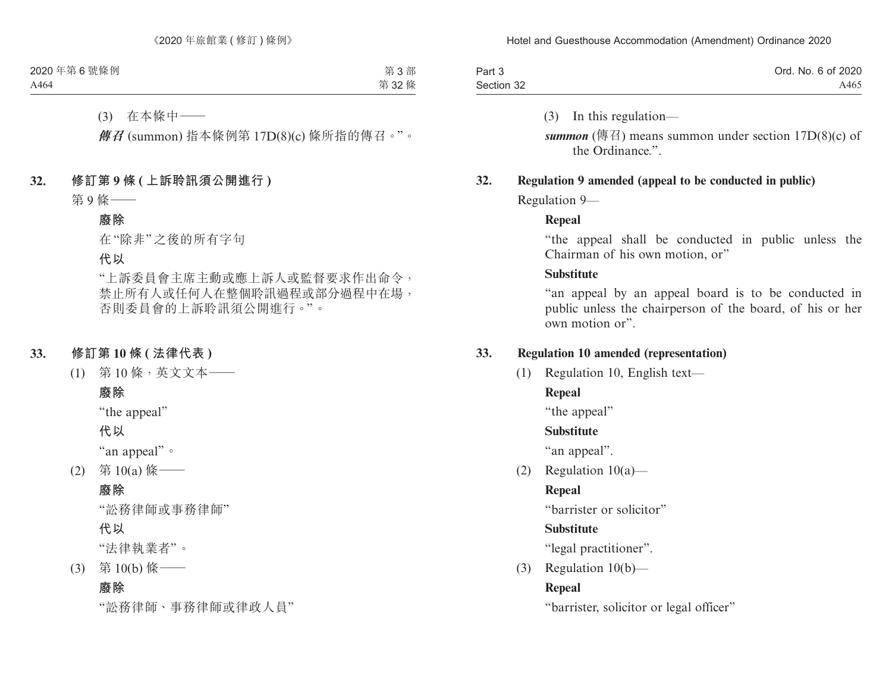| Part 3     | Ord. No. 6 of 2020 |
|------------|--------------------|
| Section 32 | A465               |

(3) In this regulation—

**summon** (傳召) means summon under section  $17D(8)(c)$  of the Ordinance."

#### **32. Regulation 9 amended (appeal to be conducted in public)**

Regulation 9—

#### **Repeal**

"the appeal shall be conducted in public unless the Chairman of his own motion, or"

#### **Substitute**

"an appeal by an appeal board is to be conducted in public unless the chairperson of the board, of his or her own motion or".

### **33. Regulation 10 amended (representation)**

(1) Regulation 10, English text—

## **Repeal**

"the appeal"

## **Substitute**

"an appeal".

(2) Regulation 10(a)—

## **Repeal**

"barrister or solicitor"

## **Substitute**

"legal practitioner".

(3) Regulation 10(b)—

## **Repeal**

"barrister, solicitor or legal officer"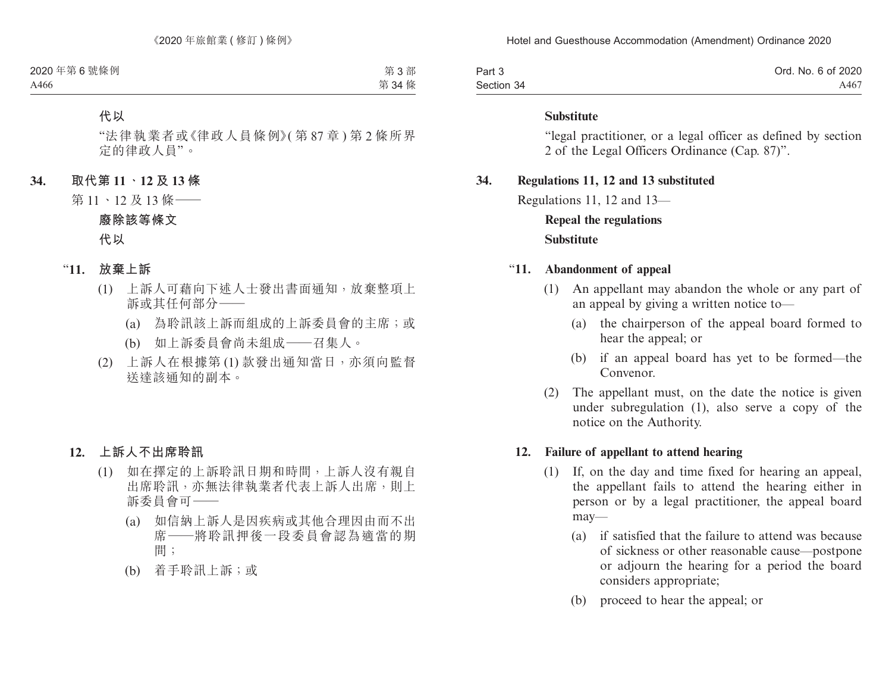| Part 3     | Ord. No. 6 of 2020 |
|------------|--------------------|
| Section 34 | A467               |

#### **Substitute**

"legal practitioner, or a legal officer as defined by section 2 of the Legal Officers Ordinance (Cap. 87)".

#### **34. Regulations 11, 12 and 13 substituted**

Regulations 11, 12 and 13—

## **Repeal the regulations Substitute**

#### "**11. Abandonment of appeal**

- (1) An appellant may abandon the whole or any part of an appeal by giving a written notice to—
	- (a) the chairperson of the appeal board formed to hear the appeal; or
	- (b) if an appeal board has yet to be formed—the Convenor.
- (2) The appellant must, on the date the notice is given under subregulation (1), also serve a copy of the notice on the Authority.

#### **12. Failure of appellant to attend hearing**

- (1) If, on the day and time fixed for hearing an appeal, the appellant fails to attend the hearing either in person or by a legal practitioner, the appeal board may—
	- (a) if satisfied that the failure to attend was because of sickness or other reasonable cause—postpone or adjourn the hearing for a period the board considers appropriate;
	- (b) proceed to hear the appeal; or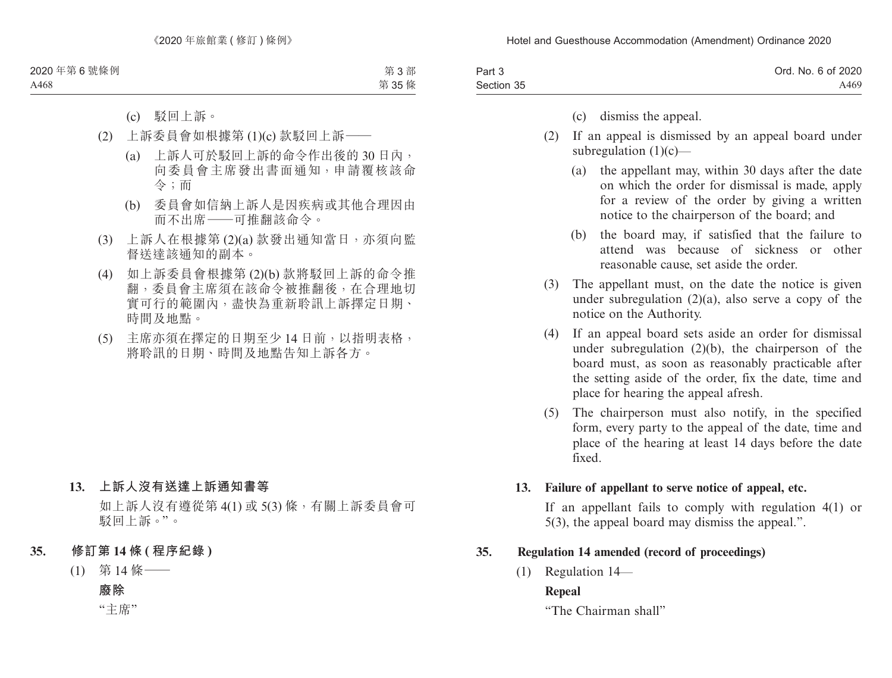| Part 3     | Ord. No. 6 of 2020 |
|------------|--------------------|
| Section 35 | A469               |

- (c) dismiss the appeal.
- (2) If an appeal is dismissed by an appeal board under subregulation  $(1)(c)$ —
	- (a) the appellant may, within 30 days after the date on which the order for dismissal is made, apply for a review of the order by giving a written notice to the chairperson of the board; and
	- (b) the board may, if satisfied that the failure to attend was because of sickness or other reasonable cause, set aside the order.
- (3) The appellant must, on the date the notice is given under subregulation  $(2)(a)$ , also serve a copy of the notice on the Authority.
- (4) If an appeal board sets aside an order for dismissal under subregulation  $(2)(b)$ , the chairperson of the board must, as soon as reasonably practicable after the setting aside of the order, fix the date, time and place for hearing the appeal afresh.
- (5) The chairperson must also notify, in the specified form, every party to the appeal of the date, time and place of the hearing at least 14 days before the date fixed.

### **13. Failure of appellant to serve notice of appeal, etc.**

If an appellant fails to comply with regulation 4(1) or 5(3), the appeal board may dismiss the appeal.".

### **35. Regulation 14 amended (record of proceedings)**

(1) Regulation 14—

## **Repeal**

"The Chairman shall"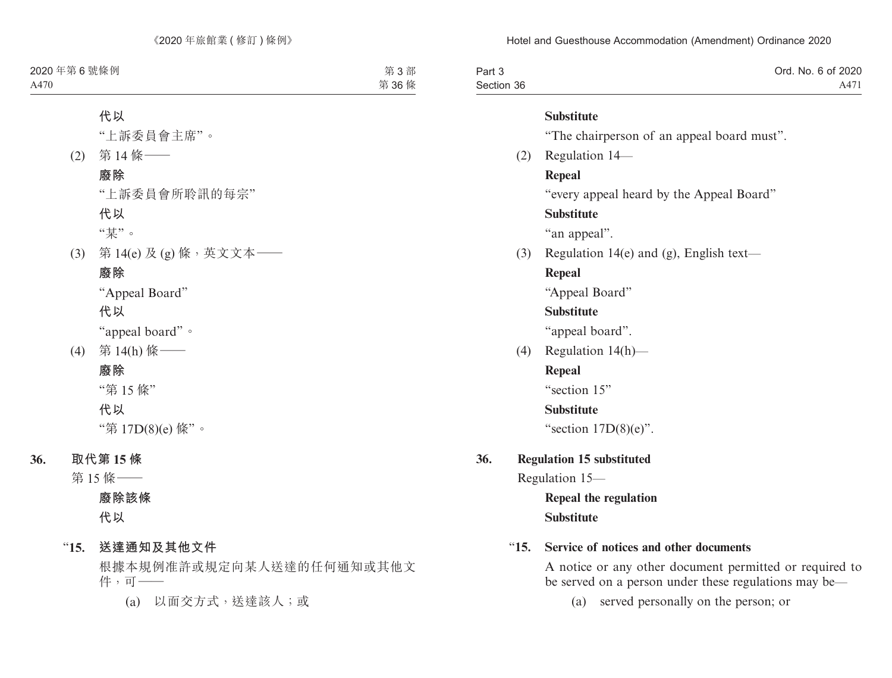| Part 3     | Ord. No. 6 of 2020 |
|------------|--------------------|
| Section 36 | A471               |

#### **Substitute**

"The chairperson of an appeal board must".

(2) Regulation 14—

#### **Repeal**

"every appeal heard by the Appeal Board"

## **Substitute**

"an appeal".

(3) Regulation 14(e) and (g), English text—

## **Repeal**

"Appeal Board"

## **Substitute**

"appeal board".

(4) Regulation 14(h)—

## **Repeal**

"section 15"

## **Substitute**

"section  $17D(8)(e)$ ".

# **36. Regulation 15 substituted**

Regulation 15—

**Repeal the regulation Substitute**

## "**15. Service of notices and other documents**

A notice or any other document permitted or required to be served on a person under these regulations may be—

(a) served personally on the person; or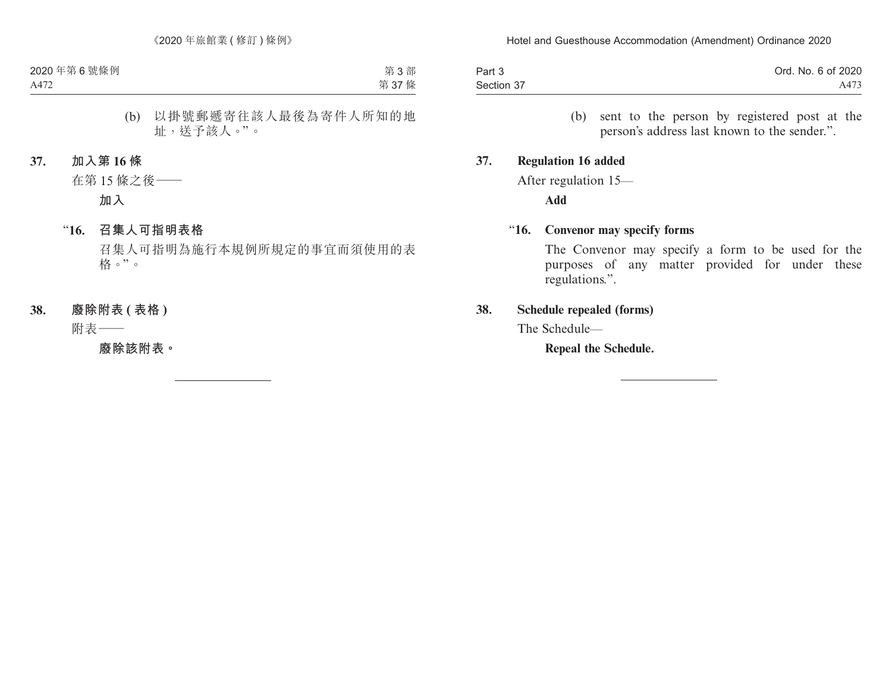| Part 3     | Ord. No. 6 of 2020 |
|------------|--------------------|
| Section 37 | A473               |

(b) sent to the person by registered post at the person's address last known to the sender.".

#### **37. Regulation 16 added**

After regulation 15—

**Add**

#### "**16. Convenor may specify forms**

The Convenor may specify a form to be used for the purposes of any matter provided for under these regulations.".

### **38. Schedule repealed (forms)**

The Schedule—

**Repeal the Schedule.**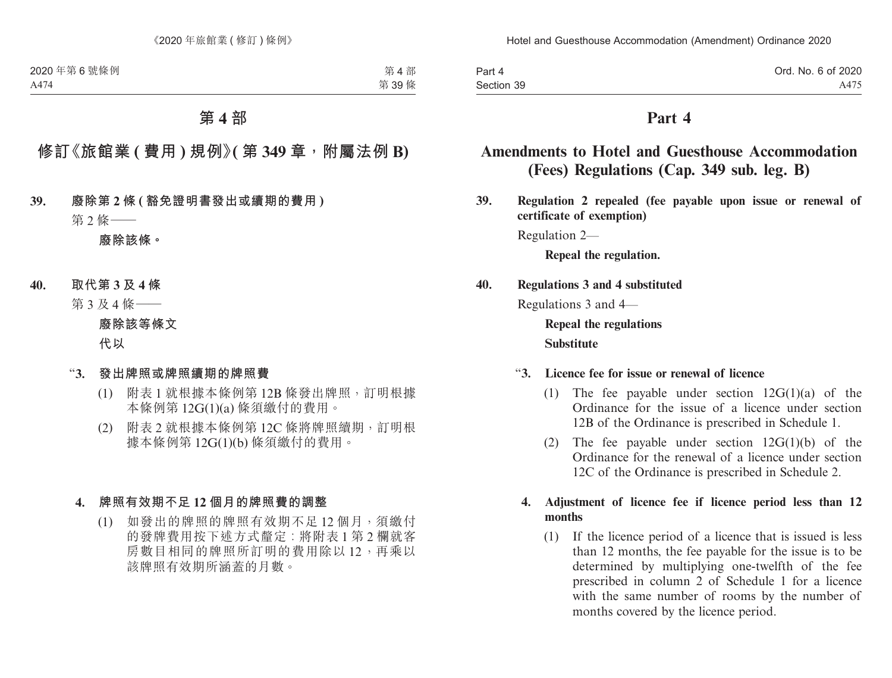| Part 4     | Ord. No. 6 of 2020 |
|------------|--------------------|
| Section 39 | A475               |

## **Part 4**

# **Amendments to Hotel and Guesthouse Accommodation (Fees) Regulations (Cap. 349 sub. leg. B)**

**39. Regulation 2 repealed (fee payable upon issue or renewal of certificate of exemption)**

Regulation 2—

**Repeal the regulation.**

## **40. Regulations 3 and 4 substituted**

Regulations 3 and 4—

**Repeal the regulations Substitute**

#### "**3. Licence fee for issue or renewal of licence**

- (1) The fee payable under section 12G(1)(a) of the Ordinance for the issue of a licence under section 12B of the Ordinance is prescribed in Schedule 1.
- (2) The fee payable under section  $12G(1)(b)$  of the Ordinance for the renewal of a licence under section 12C of the Ordinance is prescribed in Schedule 2.

#### **4. Adjustment of licence fee if licence period less than 12 months**

(1) If the licence period of a licence that is issued is less than 12 months, the fee payable for the issue is to be determined by multiplying one-twelfth of the fee prescribed in column 2 of Schedule 1 for a licence with the same number of rooms by the number of months covered by the licence period.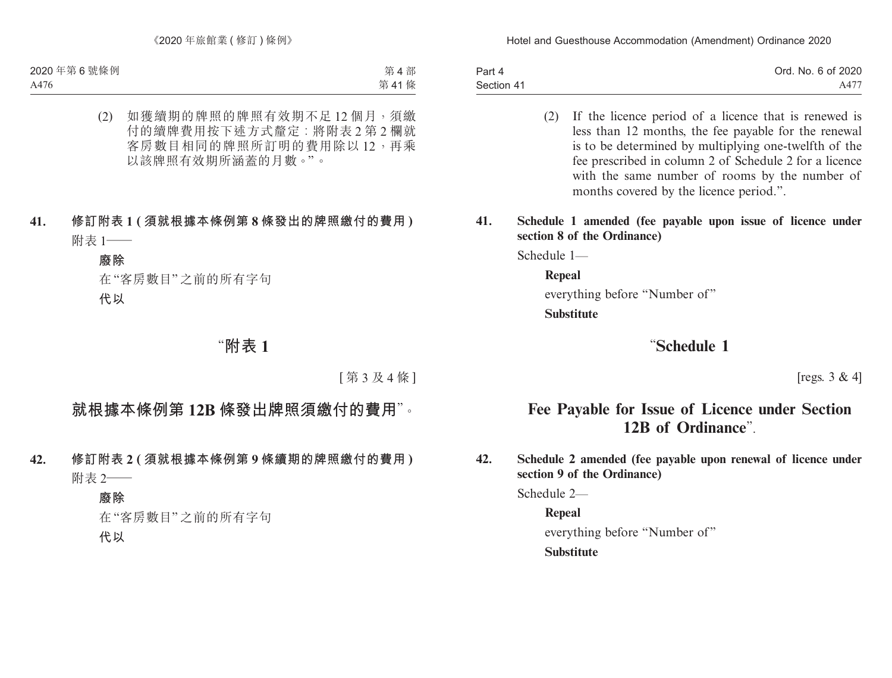| Part 4     | Ord. No. 6 of 2020 |
|------------|--------------------|
| Section 41 | A477               |

- (2) If the licence period of a licence that is renewed is less than 12 months, the fee payable for the renewal is to be determined by multiplying one-twelfth of the fee prescribed in column 2 of Schedule 2 for a licence with the same number of rooms by the number of months covered by the licence period.".
- **41. Schedule 1 amended (fee payable upon issue of licence under section 8 of the Ordinance)**

Schedule 1—

**Repeal**  everything before "Number of"

**Substitute**

# "**Schedule 1**

[regs. 3 & 4]

# **Fee Payable for Issue of Licence under Section 12B of Ordinance**".

**42. Schedule 2 amended (fee payable upon renewal of licence under section 9 of the Ordinance)**

Schedule 2—

**Repeal** everything before "Number of" **Substitute**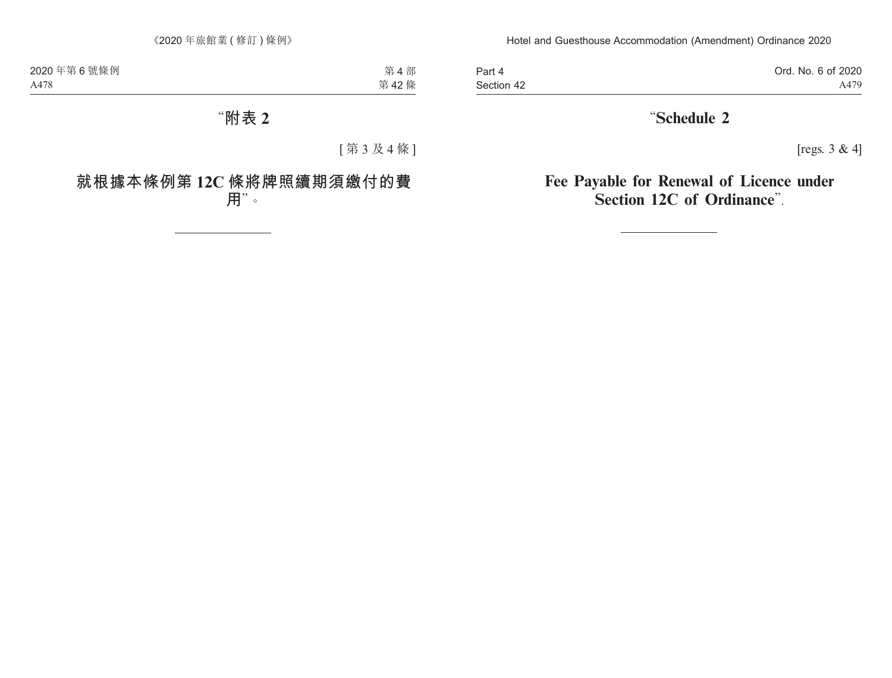Part 4 Section 42 Ord. No. 6 of 2020 A479

# "**Schedule 2**

[regs. 3 & 4]

# **Fee Payable for Renewal of Licence under Section 12C of Ordinance**".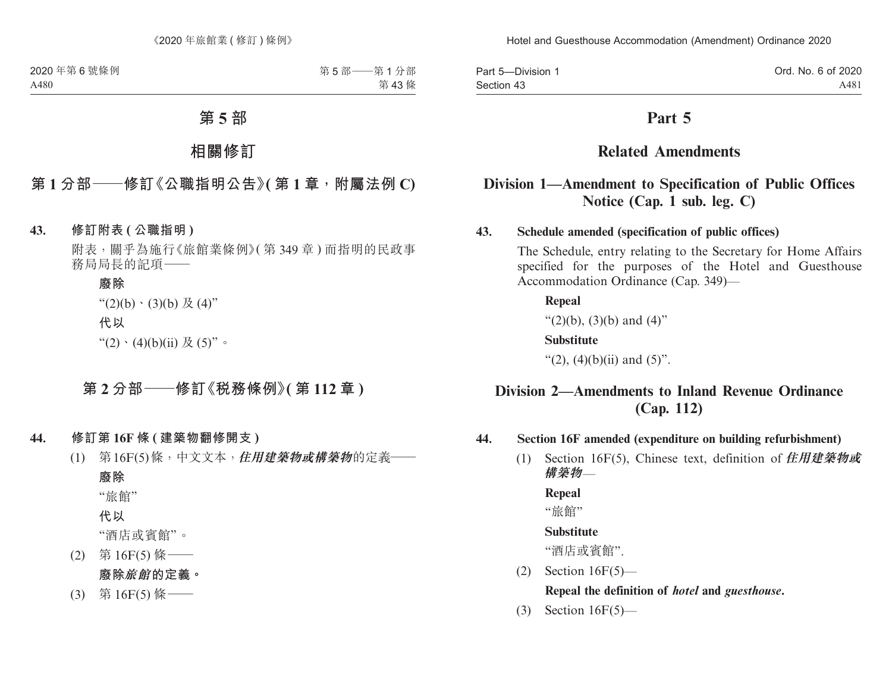| Part 5-Division 1 | Ord. No. 6 of 2020 |
|-------------------|--------------------|
| Section 43        | A481               |

## **Part 5**

# **Related Amendments**

## **Division 1—Amendment to Specification of Public Offices Notice (Cap. 1 sub. leg. C)**

### **43. Schedule amended (specification of public offices)**

The Schedule, entry relating to the Secretary for Home Affairs specified for the purposes of the Hotel and Guesthouse Accommodation Ordinance (Cap. 349)—

**Repeal** " $(2)(b)$ ,  $(3)(b)$  and  $(4)$ " **Substitute** "(2),  $(4)(b)(ii)$  and  $(5)$ ".

## **Division 2—Amendments to Inland Revenue Ordinance (Cap. 112)**

#### **44. Section 16F amended (expenditure on building refurbishment)**

(1) Section 16F(5), Chinese text, definition of **住用建築物或 構築物**—

**Repeal**

"旅館"

#### **Substitute**

"酒店或賓館".

(2) Section 16F(5)—

### **Repeal the definition of** *hotel* **and** *guesthouse***.**

(3) Section 16F(5)—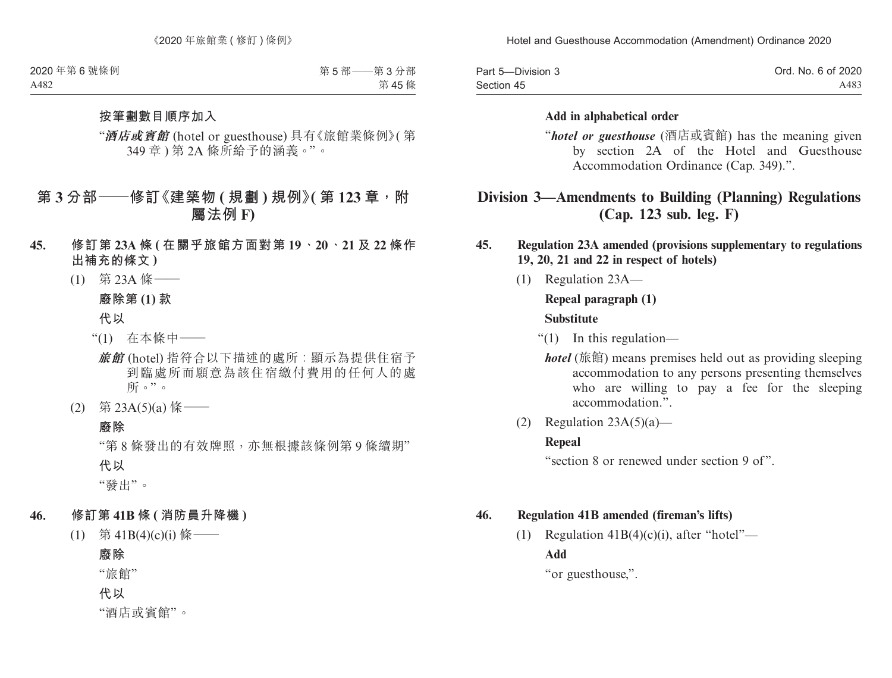| Part 5-Division 3 | Ord. No. 6 of 2020 |
|-------------------|--------------------|
| Section 45        | A483               |

#### **Add in alphabetical order**

"*hotel or guesthouse* (酒店或賓館) has the meaning given by section 2A of the Hotel and Guesthouse Accommodation Ordinance (Cap. 349).".

# **Division 3—Amendments to Building (Planning) Regulations (Cap. 123 sub. leg. F)**

### **45. Regulation 23A amended (provisions supplementary to regulations 19, 20, 21 and 22 in respect of hotels)**

(1) Regulation 23A—

### **Repeal paragraph (1)**

#### **Substitute**

- "(1) In this regulation
	- *hotel* (旅館) means premises held out as providing sleeping accommodation to any persons presenting themselves who are willing to pay a fee for the sleeping accommodation<sup>"</sup>
- (2) Regulation  $23A(5)(a)$ —

#### **Repeal**

"section 8 or renewed under section 9 of".

#### **46. Regulation 41B amended (fireman's lifts)**

(1) Regulation  $41B(4)(c)(i)$ , after "hotel"— **Add**

"or guesthouse,".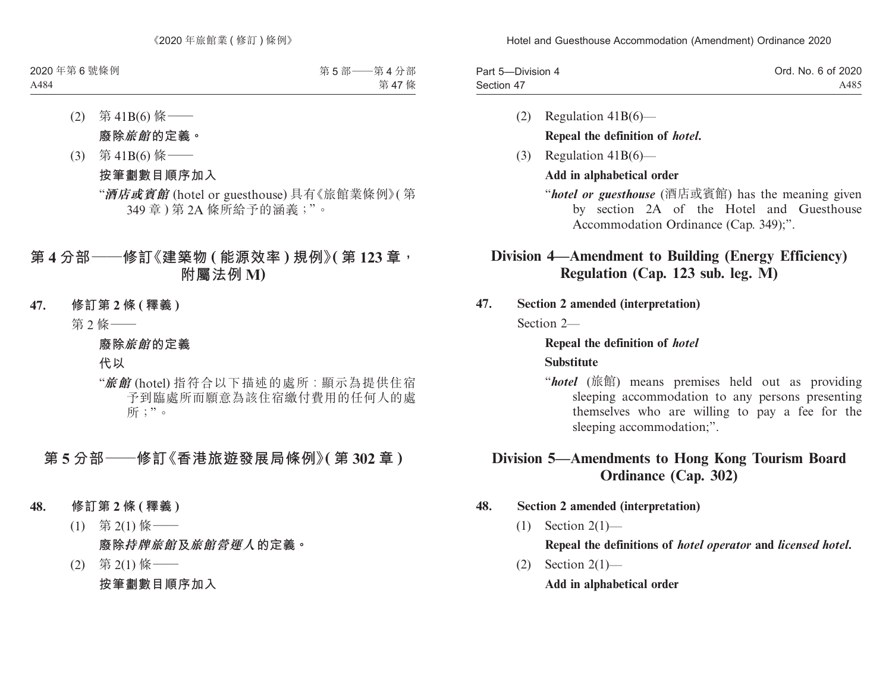| Part 5-Division 4 | Ord. No. 6 of 2020 |
|-------------------|--------------------|
| Section 47        | A485               |

- (2) Regulation 41B(6)— **Repeal the definition of** *hotel***.**
- (3) Regulation 41B(6)—

### **Add in alphabetical order**

"*hotel or guesthouse* (酒店或賓館) has the meaning given by section 2A of the Hotel and Guesthouse Accommodation Ordinance (Cap. 349);".

# **Division 4—Amendment to Building (Energy Efficiency) Regulation (Cap. 123 sub. leg. M)**

**47. Section 2 amended (interpretation)**

Section 2—

### **Repeal the definition of** *hotel*

### **Substitute**

"*hotel* (旅館) means premises held out as providing sleeping accommodation to any persons presenting themselves who are willing to pay a fee for the sleeping accommodation;".

# **Division 5—Amendments to Hong Kong Tourism Board Ordinance (Cap. 302)**

## **48. Section 2 amended (interpretation)**

(1) Section 2(1)—

**Repeal the definitions of** *hotel operator* **and** *licensed hotel***.**

 $(2)$  Section  $2(1)$ —

**Add in alphabetical order**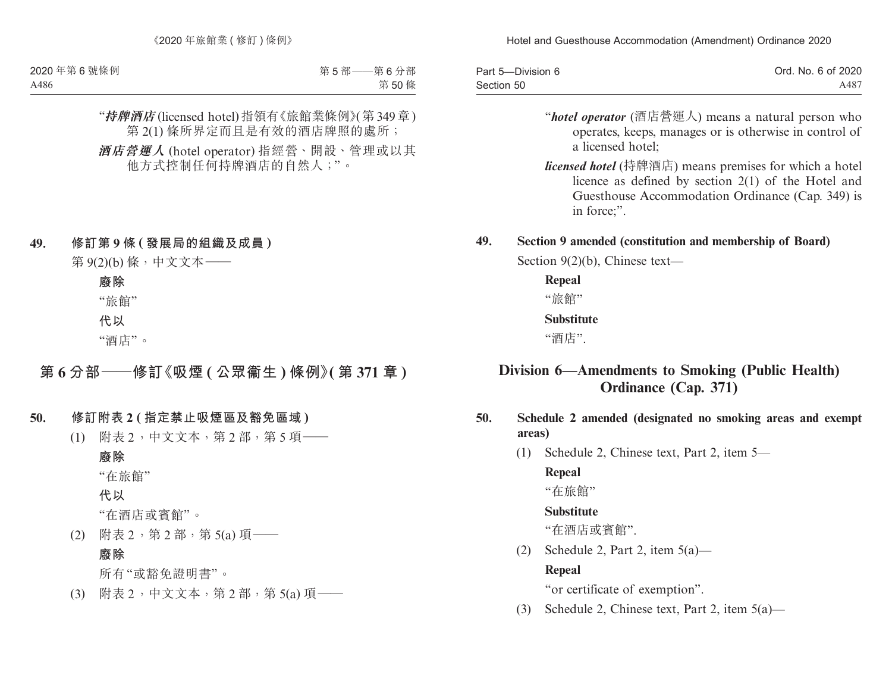| Part 5-Division 6 | Ord. No. 6 of 2020 |
|-------------------|--------------------|
| Section 50        | A487               |

- "*hotel operator* (酒店營運人) means a natural person who operates, keeps, manages or is otherwise in control of a licensed hotel;
- *licensed hotel* (持牌酒店) means premises for which a hotel licence as defined by section 2(1) of the Hotel and Guesthouse Accommodation Ordinance (Cap. 349) is in force;".

### **49. Section 9 amended (constitution and membership of Board)**

Section 9(2)(b), Chinese text—

**Repeal**

"旅館"

### **Substitute**

"酒店".

# **Division 6—Amendments to Smoking (Public Health) Ordinance (Cap. 371)**

## **50. Schedule 2 amended (designated no smoking areas and exempt areas)**

(1) Schedule 2, Chinese text, Part 2, item 5—

## **Repeal**

"在旅館"

## **Substitute**

"在酒店或賓館".

(2) Schedule 2, Part 2, item  $5(a)$ —

## **Repeal**

"or certificate of exemption".

(3) Schedule 2, Chinese text, Part 2, item 5(a)—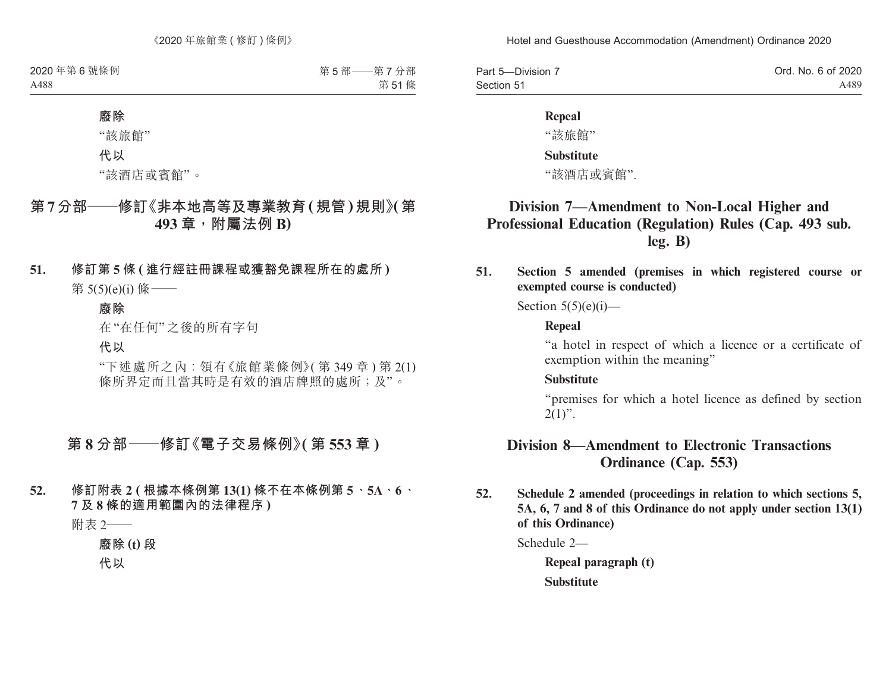| Part 5-Division 7 | Ord. No. 6 of 2020 |
|-------------------|--------------------|
| Section 51        | A489               |

#### **Repeal**

"該旅館"

#### **Substitute**

"該酒店或賓館".

## **Division 7—Amendment to Non-Local Higher and Professional Education (Regulation) Rules (Cap. 493 sub. leg. B)**

**51. Section 5 amended (premises in which registered course or exempted course is conducted)**

Section  $5(5)(e)(i)$ —

#### **Repeal**

"a hotel in respect of which a licence or a certificate of exemption within the meaning"

#### **Substitute**

"premises for which a hotel licence as defined by section  $2(1)$ ".

## **Division 8—Amendment to Electronic Transactions Ordinance (Cap. 553)**

**52. Schedule 2 amended (proceedings in relation to which sections 5, 5A, 6, 7 and 8 of this Ordinance do not apply under section 13(1) of this Ordinance)**

Schedule 2—

**Repeal paragraph (t) Substitute**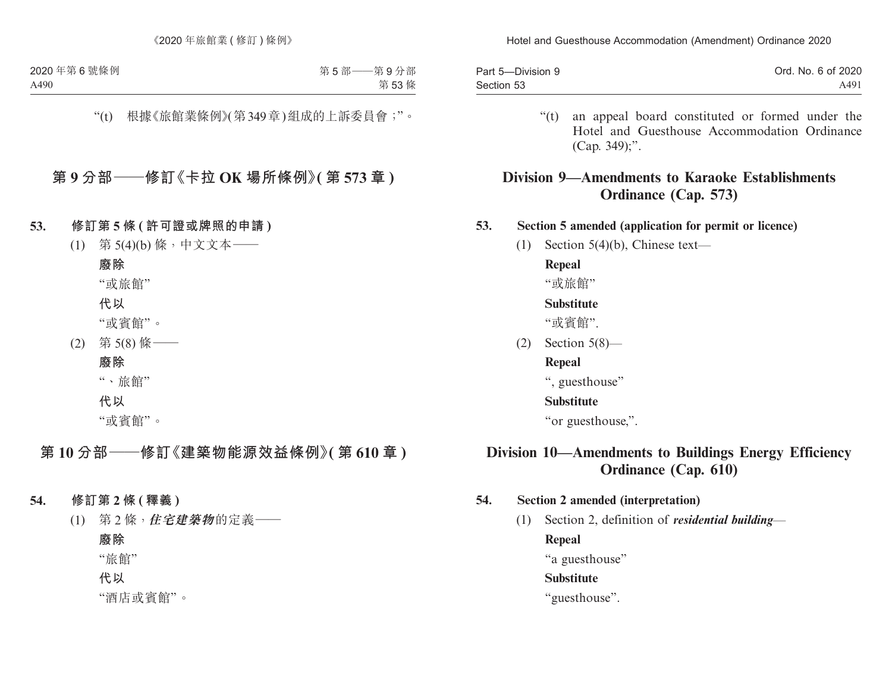| Part 5-Division 9 | Ord. No. 6 of 2020 |
|-------------------|--------------------|
| Section 53        | A491               |

"(t) an appeal board constituted or formed under the Hotel and Guesthouse Accommodation Ordinance (Cap. 349);".

## **Division 9—Amendments to Karaoke Establishments Ordinance (Cap. 573)**

**53. Section 5 amended (application for permit or licence)**

(1) Section 5(4)(b), Chinese text—

**Repeal**

"或旅館"

### **Substitute**

"或賓館".

(2) Section 5(8)—

## **Repeal**

", guesthouse"

## **Substitute**

"or guesthouse,".

# **Division 10—Amendments to Buildings Energy Efficiency Ordinance (Cap. 610)**

## **54. Section 2 amended (interpretation)**

(1) Section 2, definition of *residential building*—

**Repeal**

"a guesthouse"

## **Substitute**

"guesthouse".